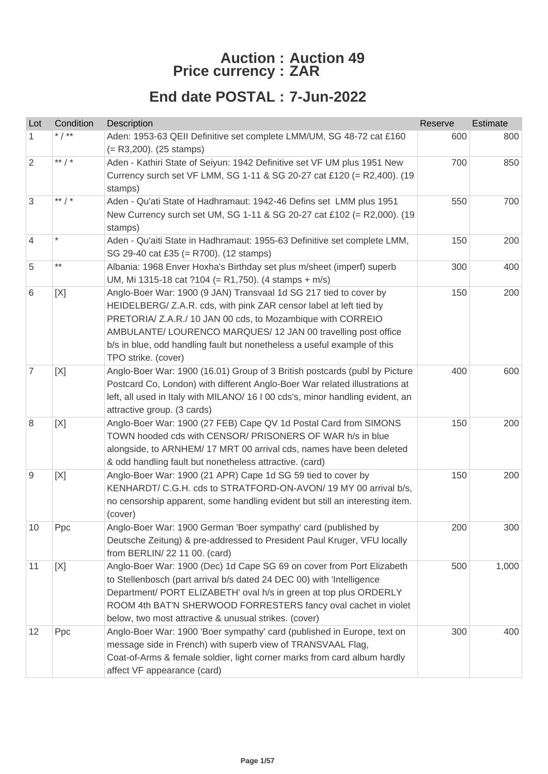## **Auction : Auction 49 Price currency : ZAR**

## **End date POSTAL : 7-Jun-2022**

| Lot             | Condition       | Description                                                                                                                            | Reserve | Estimate |
|-----------------|-----------------|----------------------------------------------------------------------------------------------------------------------------------------|---------|----------|
| 1.              | * $/$ **        | Aden: 1953-63 QEII Definitive set complete LMM/UM, SG 48-72 cat £160                                                                   | 600     | 800      |
|                 |                 | $(= R3,200)$ . (25 stamps)                                                                                                             |         |          |
| $\overline{2}$  | ** $/$ *        | Aden - Kathiri State of Seiyun: 1942 Definitive set VF UM plus 1951 New                                                                | 700     | 850      |
|                 |                 | Currency surch set VF LMM, SG 1-11 & SG 20-27 cat £120 (= R2,400). (19<br>stamps)                                                      |         |          |
| 3               | ** $/$ *        | Aden - Qu'ati State of Hadhramaut: 1942-46 Defins set LMM plus 1951                                                                    | 550     | 700      |
|                 |                 | New Currency surch set UM, SG 1-11 & SG 20-27 cat £102 (= R2,000). (19                                                                 |         |          |
|                 |                 | stamps)                                                                                                                                |         |          |
| $\overline{4}$  |                 | Aden - Qu'aiti State in Hadhramaut: 1955-63 Definitive set complete LMM,                                                               | 150     | 200      |
|                 |                 | SG 29-40 cat £35 (= R700). (12 stamps)                                                                                                 |         |          |
| 5               | $^{\star\star}$ | Albania: 1968 Enver Hoxha's Birthday set plus m/sheet (imperf) superb                                                                  | 300     | 400      |
|                 |                 | UM, Mi 1315-18 cat ?104 (= R1,750). (4 stamps + m/s)                                                                                   |         |          |
| 6               | [X]             | Anglo-Boer War: 1900 (9 JAN) Transvaal 1d SG 217 tied to cover by                                                                      | 150     | 200      |
|                 |                 | HEIDELBERG/ Z.A.R. cds, with pink ZAR censor label at left tied by<br>PRETORIA/ Z.A.R./ 10 JAN 00 cds, to Mozambique with CORREIO      |         |          |
|                 |                 | AMBULANTE/ LOURENCO MARQUES/ 12 JAN 00 travelling post office                                                                          |         |          |
|                 |                 | b/s in blue, odd handling fault but nonetheless a useful example of this                                                               |         |          |
|                 |                 | TPO strike. (cover)                                                                                                                    |         |          |
| $\overline{7}$  | [X]             | Anglo-Boer War: 1900 (16.01) Group of 3 British postcards (publ by Picture                                                             | 400     | 600      |
|                 |                 | Postcard Co, London) with different Anglo-Boer War related illustrations at                                                            |         |          |
|                 |                 | left, all used in Italy with MILANO/ 16 I 00 cds's, minor handling evident, an                                                         |         |          |
|                 |                 | attractive group. (3 cards)                                                                                                            |         |          |
| 8               | [X]             | Anglo-Boer War: 1900 (27 FEB) Cape QV 1d Postal Card from SIMONS                                                                       | 150     | 200      |
|                 |                 | TOWN hooded cds with CENSOR/ PRISONERS OF WAR h/s in blue                                                                              |         |          |
|                 |                 | alongside, to ARNHEM/ 17 MRT 00 arrival cds, names have been deleted                                                                   |         |          |
|                 |                 | & odd handling fault but nonetheless attractive. (card)                                                                                |         | 200      |
| 9               | [X]             | Anglo-Boer War: 1900 (21 APR) Cape 1d SG 59 tied to cover by<br>KENHARDT/ C.G.H. cds to STRATFORD-ON-AVON/ 19 MY 00 arrival b/s,       | 150     |          |
|                 |                 | no censorship apparent, some handling evident but still an interesting item.                                                           |         |          |
|                 |                 | (cover)                                                                                                                                |         |          |
| 10 <sup>°</sup> | Ppc             | Anglo-Boer War: 1900 German 'Boer sympathy' card (published by                                                                         | 200     | 300      |
|                 |                 | Deutsche Zeitung) & pre-addressed to President Paul Kruger, VFU locally                                                                |         |          |
|                 |                 | from BERLIN/ 22 11 00. (card)                                                                                                          |         |          |
| 11              | [X]             | Anglo-Boer War: 1900 (Dec) 1d Cape SG 69 on cover from Port Elizabeth                                                                  | 500     | 1,000    |
|                 |                 | to Stellenbosch (part arrival b/s dated 24 DEC 00) with 'Intelligence                                                                  |         |          |
|                 |                 | Department/ PORT ELIZABETH' oval h/s in green at top plus ORDERLY                                                                      |         |          |
|                 |                 | ROOM 4th BAT'N SHERWOOD FORRESTERS fancy oval cachet in violet                                                                         |         |          |
|                 |                 | below, two most attractive & unusual strikes. (cover)                                                                                  |         |          |
| 12              | Ppc             | Anglo-Boer War: 1900 'Boer sympathy' card (published in Europe, text on<br>message side in French) with superb view of TRANSVAAL Flag, | 300     | 400      |
|                 |                 | Coat-of-Arms & female soldier, light corner marks from card album hardly                                                               |         |          |
|                 |                 | affect VF appearance (card)                                                                                                            |         |          |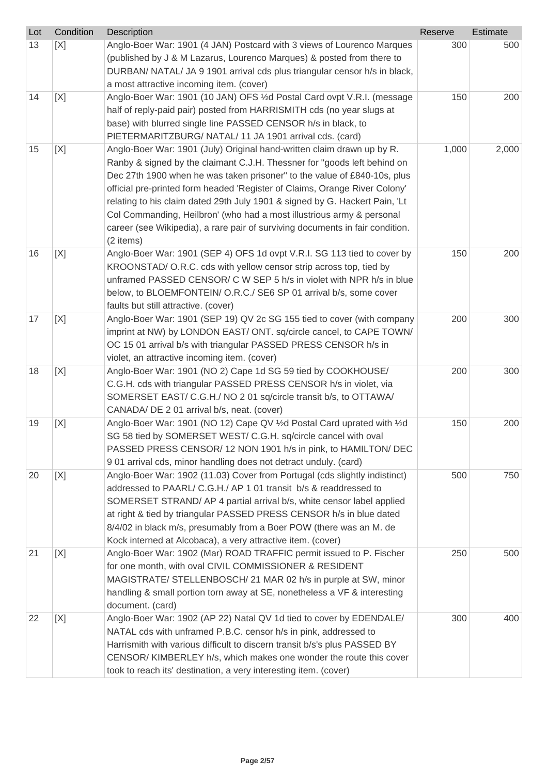| Lot | Condition | Description                                                                                                                               | Reserve | <b>Estimate</b> |
|-----|-----------|-------------------------------------------------------------------------------------------------------------------------------------------|---------|-----------------|
| 13  | [X]       | Anglo-Boer War: 1901 (4 JAN) Postcard with 3 views of Lourenco Marques                                                                    | 300     | 500             |
|     |           | (published by J & M Lazarus, Lourenco Marques) & posted from there to                                                                     |         |                 |
|     |           | DURBAN/ NATAL/ JA 9 1901 arrival cds plus triangular censor h/s in black,                                                                 |         |                 |
|     |           | a most attractive incoming item. (cover)                                                                                                  |         |                 |
| 14  | [X]       | Anglo-Boer War: 1901 (10 JAN) OFS 1/2d Postal Card ovpt V.R.I. (message                                                                   | 150     | 200             |
|     |           | half of reply-paid pair) posted from HARRISMITH cds (no year slugs at                                                                     |         |                 |
|     |           | base) with blurred single line PASSED CENSOR h/s in black, to                                                                             |         |                 |
|     |           | PIETERMARITZBURG/ NATAL/ 11 JA 1901 arrival cds. (card)                                                                                   |         |                 |
| 15  | [X]       | Anglo-Boer War: 1901 (July) Original hand-written claim drawn up by R.                                                                    | 1,000   | 2,000           |
|     |           | Ranby & signed by the claimant C.J.H. Thessner for "goods left behind on                                                                  |         |                 |
|     |           | Dec 27th 1900 when he was taken prisoner" to the value of £840-10s, plus                                                                  |         |                 |
|     |           | official pre-printed form headed 'Register of Claims, Orange River Colony'                                                                |         |                 |
|     |           | relating to his claim dated 29th July 1901 & signed by G. Hackert Pain, 'Lt                                                               |         |                 |
|     |           | Col Commanding, Heilbron' (who had a most illustrious army & personal                                                                     |         |                 |
|     |           | career (see Wikipedia), a rare pair of surviving documents in fair condition.                                                             |         |                 |
|     |           | (2 items)                                                                                                                                 |         |                 |
| 16  | [X]       | Anglo-Boer War: 1901 (SEP 4) OFS 1d ovpt V.R.I. SG 113 tied to cover by                                                                   | 150     | 200             |
|     |           | KROONSTAD/ O.R.C. cds with yellow censor strip across top, tied by                                                                        |         |                 |
|     |           | unframed PASSED CENSOR/ C W SEP 5 h/s in violet with NPR h/s in blue                                                                      |         |                 |
|     |           | below, to BLOEMFONTEIN/ O.R.C./ SE6 SP 01 arrival b/s, some cover                                                                         |         |                 |
|     |           | faults but still attractive. (cover)                                                                                                      |         |                 |
| 17  | [X]       | Anglo-Boer War: 1901 (SEP 19) QV 2c SG 155 tied to cover (with company                                                                    | 200     | 300             |
|     |           | imprint at NW) by LONDON EAST/ ONT. sq/circle cancel, to CAPE TOWN/                                                                       |         |                 |
|     |           | OC 15 01 arrival b/s with triangular PASSED PRESS CENSOR h/s in                                                                           |         |                 |
|     |           | violet, an attractive incoming item. (cover)                                                                                              |         |                 |
| 18  | [X]       | Anglo-Boer War: 1901 (NO 2) Cape 1d SG 59 tied by COOKHOUSE/                                                                              | 200     | 300             |
|     |           | C.G.H. cds with triangular PASSED PRESS CENSOR h/s in violet, via                                                                         |         |                 |
|     |           | SOMERSET EAST/ C.G.H./ NO 2 01 sq/circle transit b/s, to OTTAWA/                                                                          |         |                 |
|     |           | CANADA/ DE 2 01 arrival b/s, neat. (cover)                                                                                                |         | 200             |
| 19  | [X]       | Anglo-Boer War: 1901 (NO 12) Cape QV 1/2d Postal Card uprated with 1/2d<br>SG 58 tied by SOMERSET WEST/ C.G.H. sq/circle cancel with oval | 150     |                 |
|     |           | PASSED PRESS CENSOR/ 12 NON 1901 h/s in pink, to HAMILTON/ DEC                                                                            |         |                 |
|     |           | 901 arrival cds, minor handling does not detract unduly. (card)                                                                           |         |                 |
| 20  | [X]       | Anglo-Boer War: 1902 (11.03) Cover from Portugal (cds slightly indistinct)                                                                | 500     | 750             |
|     |           | addressed to PAARL/ C.G.H./ AP 1 01 transit b/s & readdressed to                                                                          |         |                 |
|     |           | SOMERSET STRAND/ AP 4 partial arrival b/s, white censor label applied                                                                     |         |                 |
|     |           | at right & tied by triangular PASSED PRESS CENSOR h/s in blue dated                                                                       |         |                 |
|     |           | 8/4/02 in black m/s, presumably from a Boer POW (there was an M. de                                                                       |         |                 |
|     |           | Kock interned at Alcobaca), a very attractive item. (cover)                                                                               |         |                 |
| 21  | [X]       | Anglo-Boer War: 1902 (Mar) ROAD TRAFFIC permit issued to P. Fischer                                                                       | 250     | 500             |
|     |           | for one month, with oval CIVIL COMMISSIONER & RESIDENT                                                                                    |         |                 |
|     |           | MAGISTRATE/ STELLENBOSCH/ 21 MAR 02 h/s in purple at SW, minor                                                                            |         |                 |
|     |           | handling & small portion torn away at SE, nonetheless a VF & interesting                                                                  |         |                 |
|     |           | document. (card)                                                                                                                          |         |                 |
| 22  | [X]       | Anglo-Boer War: 1902 (AP 22) Natal QV 1d tied to cover by EDENDALE/                                                                       | 300     | 400             |
|     |           | NATAL cds with unframed P.B.C. censor h/s in pink, addressed to                                                                           |         |                 |
|     |           | Harrismith with various difficult to discern transit b/s's plus PASSED BY                                                                 |         |                 |
|     |           | CENSOR/KIMBERLEY h/s, which makes one wonder the route this cover                                                                         |         |                 |
|     |           | took to reach its' destination, a very interesting item. (cover)                                                                          |         |                 |
|     |           |                                                                                                                                           |         |                 |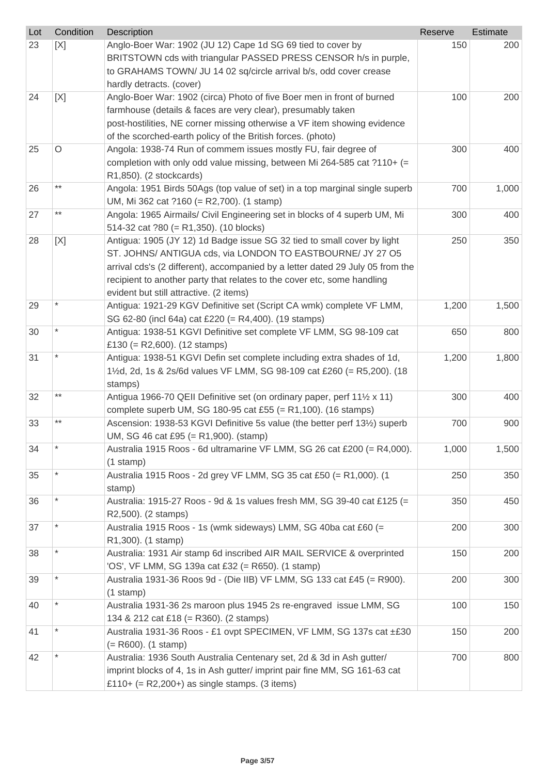| Lot | Condition       | Description                                                                                                          | Reserve | Estimate |
|-----|-----------------|----------------------------------------------------------------------------------------------------------------------|---------|----------|
| 23  | [X]             | Anglo-Boer War: 1902 (JU 12) Cape 1d SG 69 tied to cover by                                                          | 150     | 200      |
|     |                 | BRITSTOWN cds with triangular PASSED PRESS CENSOR h/s in purple,                                                     |         |          |
|     |                 | to GRAHAMS TOWN/ JU 14 02 sq/circle arrival b/s, odd cover crease                                                    |         |          |
|     |                 | hardly detracts. (cover)                                                                                             |         |          |
| 24  | [X]             | Anglo-Boer War: 1902 (circa) Photo of five Boer men in front of burned                                               | 100     | 200      |
|     |                 | farmhouse (details & faces are very clear), presumably taken                                                         |         |          |
|     |                 | post-hostilities, NE corner missing otherwise a VF item showing evidence                                             |         |          |
|     |                 | of the scorched-earth policy of the British forces. (photo)                                                          |         |          |
| 25  | $\circ$         | Angola: 1938-74 Run of commem issues mostly FU, fair degree of                                                       | 300     | 400      |
|     |                 | completion with only odd value missing, between Mi 264-585 cat ?110+ (=                                              |         |          |
|     | $^{\star\star}$ | R1,850). (2 stockcards)                                                                                              |         |          |
| 26  |                 | Angola: 1951 Birds 50Ags (top value of set) in a top marginal single superb                                          | 700     | 1,000    |
|     | $^{\star\star}$ | UM, Mi 362 cat ?160 (= R2,700). (1 stamp)                                                                            |         |          |
| 27  |                 | Angola: 1965 Airmails/ Civil Engineering set in blocks of 4 superb UM, Mi                                            | 300     | 400      |
|     |                 | 514-32 cat $?80 (= R1,350)$ . (10 blocks)<br>Antigua: 1905 (JY 12) 1d Badge issue SG 32 tied to small cover by light | 250     | 350      |
| 28  | [X]             | ST. JOHNS/ ANTIGUA cds, via LONDON TO EASTBOURNE/ JY 27 O5                                                           |         |          |
|     |                 | arrival cds's (2 different), accompanied by a letter dated 29 July 05 from the                                       |         |          |
|     |                 | recipient to another party that relates to the cover etc, some handling                                              |         |          |
|     |                 | evident but still attractive. (2 items)                                                                              |         |          |
| 29  |                 | Antigua: 1921-29 KGV Definitive set (Script CA wmk) complete VF LMM,                                                 | 1,200   | 1,500    |
|     |                 | SG 62-80 (incl 64a) cat £220 (= R4,400). (19 stamps)                                                                 |         |          |
| 30  |                 | Antigua: 1938-51 KGVI Definitive set complete VF LMM, SG 98-109 cat                                                  | 650     | 800      |
|     |                 | £130 (= R2,600). $(12 \text{ stamps})$                                                                               |         |          |
| 31  |                 | Antigua: 1938-51 KGVI Defin set complete including extra shades of 1d,                                               | 1,200   | 1,800    |
|     |                 | 1½d, 2d, 1s & 2s/6d values VF LMM, SG 98-109 cat £260 (= R5,200). (18                                                |         |          |
|     |                 | stamps)                                                                                                              |         |          |
| 32  | $***$           | Antigua 1966-70 QEII Definitive set (on ordinary paper, perf 111/2 x 11)                                             | 300     | 400      |
|     |                 | complete superb UM, SG 180-95 cat £55 (= R1,100). (16 stamps)                                                        |         |          |
| 33  | $***$           | Ascension: 1938-53 KGVI Definitive 5s value (the better perf 131/2) superb                                           | 700     | 900      |
|     |                 | UM, SG 46 cat £95 (= R1,900). (stamp)                                                                                |         |          |
| 34  | $\ast$          | Australia 1915 Roos - 6d ultramarine VF LMM, SG 26 cat £200 (= R4,000).                                              | 1,000   | 1,500    |
|     |                 | $(1$ stamp)                                                                                                          |         |          |
| 35  | $\star$         | Australia 1915 Roos - 2d grey VF LMM, SG 35 cat £50 (= R1,000). (1                                                   | 250     | 350      |
|     |                 | stamp)                                                                                                               |         |          |
| 36  |                 | Australia: 1915-27 Roos - 9d & 1s values fresh MM, SG 39-40 cat £125 (=                                              | 350     | 450      |
|     |                 | R2,500). (2 stamps)                                                                                                  |         |          |
| 37  |                 | Australia 1915 Roos - 1s (wmk sideways) LMM, SG 40ba cat £60 (=                                                      | 200     | 300      |
|     |                 | R1,300). (1 stamp)                                                                                                   |         |          |
| 38  |                 | Australia: 1931 Air stamp 6d inscribed AIR MAIL SERVICE & overprinted                                                | 150     | 200      |
|     |                 | 'OS', VF LMM, SG 139a cat £32 (= R650). (1 stamp)                                                                    |         |          |
| 39  |                 | Australia 1931-36 Roos 9d - (Die IIB) VF LMM, SG 133 cat £45 (= R900).                                               | 200     | 300      |
|     |                 | $(1$ stamp)                                                                                                          |         |          |
| 40  |                 | Australia 1931-36 2s maroon plus 1945 2s re-engraved issue LMM, SG                                                   | 100     | 150      |
|     |                 | 134 & 212 cat £18 (= R360). (2 stamps)                                                                               |         |          |
| 41  | $\star$         | Australia 1931-36 Roos - £1 ovpt SPECIMEN, VF LMM, SG 137s cat ±£30                                                  | 150     | 200      |
|     |                 | $(= R600)$ . (1 stamp)                                                                                               |         |          |
| 42  |                 | Australia: 1936 South Australia Centenary set, 2d & 3d in Ash gutter/                                                | 700     | 800      |
|     |                 | imprint blocks of 4, 1s in Ash gutter/ imprint pair fine MM, SG 161-63 cat                                           |         |          |
|     |                 | £110+ (= $R2,200+$ ) as single stamps. (3 items)                                                                     |         |          |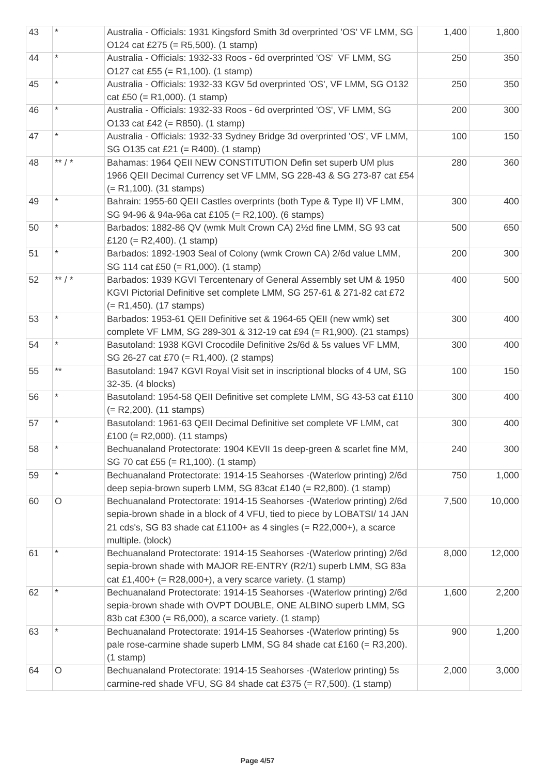| 43 |          | Australia - Officials: 1931 Kingsford Smith 3d overprinted 'OS' VF LMM, SG<br>O124 cat £275 (= R5,500). (1 stamp)                                                                                                                                  | 1,400 | 1,800  |
|----|----------|----------------------------------------------------------------------------------------------------------------------------------------------------------------------------------------------------------------------------------------------------|-------|--------|
| 44 |          | Australia - Officials: 1932-33 Roos - 6d overprinted 'OS' VF LMM, SG<br>O127 cat £55 (= R1,100). (1 stamp)                                                                                                                                         | 250   | 350    |
| 45 |          | Australia - Officials: 1932-33 KGV 5d overprinted 'OS', VF LMM, SG O132<br>cat £50 (= R1,000). (1 stamp)                                                                                                                                           | 250   | 350    |
| 46 |          | Australia - Officials: 1932-33 Roos - 6d overprinted 'OS', VF LMM, SG<br>O133 cat £42 (= R850). (1 stamp)                                                                                                                                          | 200   | 300    |
| 47 |          | Australia - Officials: 1932-33 Sydney Bridge 3d overprinted 'OS', VF LMM,<br>SG O135 cat £21 (= R400). (1 stamp)                                                                                                                                   | 100   | 150    |
| 48 | ** $/$ * | Bahamas: 1964 QEII NEW CONSTITUTION Defin set superb UM plus<br>1966 QEII Decimal Currency set VF LMM, SG 228-43 & SG 273-87 cat £54<br>$(= R1, 100)$ . (31 stamps)                                                                                | 280   | 360    |
| 49 |          | Bahrain: 1955-60 QEII Castles overprints (both Type & Type II) VF LMM,<br>SG 94-96 & 94a-96a cat £105 (= R2,100). (6 stamps)                                                                                                                       | 300   | 400    |
| 50 |          | Barbados: 1882-86 QV (wmk Mult Crown CA) 21/2d fine LMM, SG 93 cat<br>£120 (= R2,400). (1 stamp)                                                                                                                                                   | 500   | 650    |
| 51 |          | Barbados: 1892-1903 Seal of Colony (wmk Crown CA) 2/6d value LMM,<br>SG 114 cat £50 (= R1,000). (1 stamp)                                                                                                                                          | 200   | 300    |
| 52 | ** $/$ * | Barbados: 1939 KGVI Tercentenary of General Assembly set UM & 1950<br>KGVI Pictorial Definitive set complete LMM, SG 257-61 & 271-82 cat £72<br>$(= R1,450)$ . (17 stamps)                                                                         | 400   | 500    |
| 53 |          | Barbados: 1953-61 QEII Definitive set & 1964-65 QEII (new wmk) set<br>complete VF LMM, SG 289-301 & 312-19 cat £94 (= R1,900). (21 stamps)                                                                                                         | 300   | 400    |
| 54 |          | Basutoland: 1938 KGVI Crocodile Definitive 2s/6d & 5s values VF LMM,<br>SG 26-27 cat £70 (= R1,400). (2 stamps)                                                                                                                                    | 300   | 400    |
| 55 | $***$    | Basutoland: 1947 KGVI Royal Visit set in inscriptional blocks of 4 UM, SG<br>32-35. (4 blocks)                                                                                                                                                     | 100   | 150    |
| 56 |          | Basutoland: 1954-58 QEII Definitive set complete LMM, SG 43-53 cat £110<br>$(= R2,200)$ . (11 stamps)                                                                                                                                              | 300   | 400    |
| 57 |          | Basutoland: 1961-63 QEII Decimal Definitive set complete VF LMM, cat<br>£100 (= R2,000). $(11 \text{ stamps})$                                                                                                                                     | 300   | 400    |
| 58 | $\star$  | Bechuanaland Protectorate: 1904 KEVII 1s deep-green & scarlet fine MM,<br>SG 70 cat £55 (= R1,100). (1 stamp)                                                                                                                                      | 240   | 300    |
| 59 | $\star$  | Bechuanaland Protectorate: 1914-15 Seahorses - (Waterlow printing) 2/6d<br>deep sepia-brown superb LMM, SG 83cat £140 (= R2,800). (1 stamp)                                                                                                        | 750   | 1,000  |
| 60 | $\circ$  | Bechuanaland Protectorate: 1914-15 Seahorses - (Waterlow printing) 2/6d<br>sepia-brown shade in a block of 4 VFU, tied to piece by LOBATSI/ 14 JAN<br>21 cds's, SG 83 shade cat £1100+ as 4 singles $(= R22,000+)$ , a scarce<br>multiple. (block) | 7,500 | 10,000 |
| 61 |          | Bechuanaland Protectorate: 1914-15 Seahorses - (Waterlow printing) 2/6d<br>sepia-brown shade with MAJOR RE-ENTRY (R2/1) superb LMM, SG 83a<br>cat £1,400+ (= R28,000+), a very scarce variety. (1 stamp)                                           | 8,000 | 12,000 |
| 62 |          | Bechuanaland Protectorate: 1914-15 Seahorses -(Waterlow printing) 2/6d<br>sepia-brown shade with OVPT DOUBLE, ONE ALBINO superb LMM, SG<br>83b cat £300 (= $R6,000$ ), a scarce variety. (1 stamp)                                                 | 1,600 | 2,200  |
| 63 |          | Bechuanaland Protectorate: 1914-15 Seahorses - (Waterlow printing) 5s<br>pale rose-carmine shade superb LMM, SG 84 shade cat £160 (= R3,200).<br>$(1$ stamp)                                                                                       | 900   | 1,200  |
| 64 | O        | Bechuanaland Protectorate: 1914-15 Seahorses - (Waterlow printing) 5s<br>carmine-red shade VFU, SG 84 shade cat £375 (= $R7,500$ ). (1 stamp)                                                                                                      | 2,000 | 3,000  |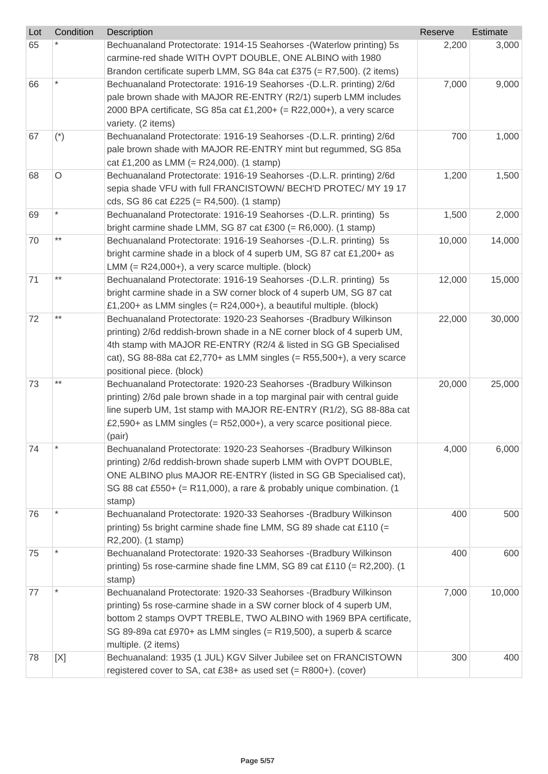| Lot | Condition | Description                                                               | Reserve | Estimate |
|-----|-----------|---------------------------------------------------------------------------|---------|----------|
| 65  |           | Bechuanaland Protectorate: 1914-15 Seahorses - (Waterlow printing) 5s     | 2,200   | 3,000    |
|     |           | carmine-red shade WITH OVPT DOUBLE, ONE ALBINO with 1980                  |         |          |
|     |           | Brandon certificate superb LMM, SG 84a cat £375 (= $R7,500$ ). (2 items)  |         |          |
| 66  |           | Bechuanaland Protectorate: 1916-19 Seahorses - (D.L.R. printing) 2/6d     | 7,000   | 9,000    |
|     |           | pale brown shade with MAJOR RE-ENTRY (R2/1) superb LMM includes           |         |          |
|     |           | 2000 BPA certificate, SG 85a cat £1,200+ (= R22,000+), a very scarce      |         |          |
|     |           | variety. (2 items)                                                        |         |          |
| 67  | $(*)$     | Bechuanaland Protectorate: 1916-19 Seahorses - (D.L.R. printing) 2/6d     | 700     | 1,000    |
|     |           | pale brown shade with MAJOR RE-ENTRY mint but regummed, SG 85a            |         |          |
|     |           | cat £1,200 as LMM (= R24,000). (1 stamp)                                  |         |          |
| 68  | $\circ$   | Bechuanaland Protectorate: 1916-19 Seahorses - (D.L.R. printing) 2/6d     | 1,200   | 1,500    |
|     |           | sepia shade VFU with full FRANCISTOWN/ BECH'D PROTEC/ MY 19 17            |         |          |
|     |           | cds, SG 86 cat £225 (= $R4,500$ ). (1 stamp)                              |         |          |
| 69  |           | Bechuanaland Protectorate: 1916-19 Seahorses -(D.L.R. printing) 5s        | 1,500   | 2,000    |
|     |           | bright carmine shade LMM, SG 87 cat £300 (= $R6,000$ ). (1 stamp)         |         |          |
| 70  | $***$     | Bechuanaland Protectorate: 1916-19 Seahorses - (D.L.R. printing) 5s       | 10,000  | 14,000   |
|     |           | bright carmine shade in a block of 4 superb UM, SG 87 cat £1,200+ as      |         |          |
|     |           | LMM $(= R24,000+)$ , a very scarce multiple. (block)                      |         |          |
| 71  | $***$     | Bechuanaland Protectorate: 1916-19 Seahorses - (D.L.R. printing) 5s       | 12,000  | 15,000   |
|     |           | bright carmine shade in a SW corner block of 4 superb UM, SG 87 cat       |         |          |
|     |           | £1,200+ as LMM singles (= $R24,000+$ ), a beautiful multiple. (block)     |         |          |
| 72  | $***$     | Bechuanaland Protectorate: 1920-23 Seahorses - (Bradbury Wilkinson        | 22,000  | 30,000   |
|     |           | printing) 2/6d reddish-brown shade in a NE corner block of 4 superb UM,   |         |          |
|     |           | 4th stamp with MAJOR RE-ENTRY (R2/4 & listed in SG GB Specialised         |         |          |
|     |           | cat), SG 88-88a cat £2,770+ as LMM singles (= $R55,500+$ ), a very scarce |         |          |
|     |           | positional piece. (block)                                                 |         |          |
| 73  | $***$     | Bechuanaland Protectorate: 1920-23 Seahorses - (Bradbury Wilkinson        | 20,000  | 25,000   |
|     |           | printing) 2/6d pale brown shade in a top marginal pair with central guide |         |          |
|     |           | line superb UM, 1st stamp with MAJOR RE-ENTRY (R1/2), SG 88-88a cat       |         |          |
|     |           | £2,590+ as LMM singles (= R52,000+), a very scarce positional piece.      |         |          |
|     |           | (pair)                                                                    |         |          |
| 74  |           | Bechuanaland Protectorate: 1920-23 Seahorses - (Bradbury Wilkinson        | 4,000   | 6,000    |
|     |           | printing) 2/6d reddish-brown shade superb LMM with OVPT DOUBLE,           |         |          |
|     |           | ONE ALBINO plus MAJOR RE-ENTRY (listed in SG GB Specialised cat),         |         |          |
|     |           | SG 88 cat £550+ (= R11,000), a rare & probably unique combination. (1     |         |          |
|     |           | stamp)                                                                    |         |          |
| 76  |           | Bechuanaland Protectorate: 1920-33 Seahorses -(Bradbury Wilkinson         | 400     | 500      |
|     |           | printing) 5s bright carmine shade fine LMM, SG 89 shade cat £110 (=       |         |          |
|     |           | R2,200). (1 stamp)                                                        |         |          |
| 75  |           | Bechuanaland Protectorate: 1920-33 Seahorses -(Bradbury Wilkinson         | 400     | 600      |
|     |           | printing) 5s rose-carmine shade fine LMM, SG 89 cat £110 (= R2,200). (1   |         |          |
|     |           | stamp)                                                                    |         |          |
| 77  |           | Bechuanaland Protectorate: 1920-33 Seahorses - (Bradbury Wilkinson        | 7,000   | 10,000   |
|     |           | printing) 5s rose-carmine shade in a SW corner block of 4 superb UM,      |         |          |
|     |           | bottom 2 stamps OVPT TREBLE, TWO ALBINO with 1969 BPA certificate,        |         |          |
|     |           | SG 89-89a cat £970+ as LMM singles (= R19,500), a superb & scarce         |         |          |
|     |           | multiple. (2 items)                                                       |         |          |
| 78  | [X]       | Bechuanaland: 1935 (1 JUL) KGV Silver Jubilee set on FRANCISTOWN          | 300     | 400      |
|     |           | registered cover to SA, cat £38+ as used set (= R800+). (cover)           |         |          |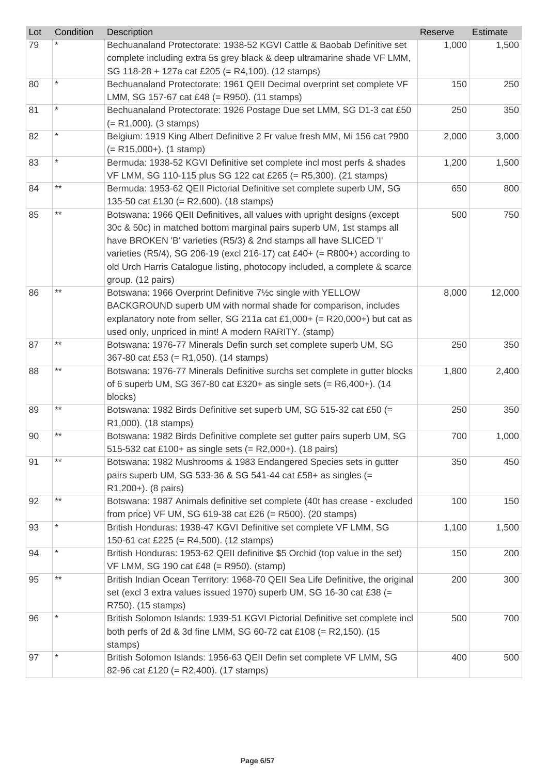| Lot | Condition | <b>Description</b>                                                                                                            | Reserve | <b>Estimate</b> |
|-----|-----------|-------------------------------------------------------------------------------------------------------------------------------|---------|-----------------|
| 79  |           | Bechuanaland Protectorate: 1938-52 KGVI Cattle & Baobab Definitive set                                                        | 1,000   | 1,500           |
|     |           | complete including extra 5s grey black & deep ultramarine shade VF LMM,                                                       |         |                 |
|     |           | SG 118-28 + 127a cat £205 (= R4,100). (12 stamps)                                                                             |         |                 |
| 80  |           | Bechuanaland Protectorate: 1961 QEII Decimal overprint set complete VF                                                        | 150     | 250             |
|     |           | LMM, SG 157-67 cat £48 (= R950). (11 stamps)                                                                                  |         |                 |
| 81  |           | Bechuanaland Protectorate: 1926 Postage Due set LMM, SG D1-3 cat £50                                                          | 250     | 350             |
|     |           | $(= R1,000)$ . (3 stamps)                                                                                                     |         |                 |
| 82  |           | Belgium: 1919 King Albert Definitive 2 Fr value fresh MM, Mi 156 cat ?900                                                     | 2,000   | 3,000           |
|     |           | $(= R15,000+).$ (1 stamp)                                                                                                     |         |                 |
| 83  | $\star$   | Bermuda: 1938-52 KGVI Definitive set complete incl most perfs & shades                                                        | 1,200   | 1,500           |
|     | $***$     | VF LMM, SG 110-115 plus SG 122 cat £265 (= R5,300). (21 stamps)                                                               |         |                 |
| 84  |           | Bermuda: 1953-62 QEII Pictorial Definitive set complete superb UM, SG                                                         | 650     | 800             |
|     | $***$     | 135-50 cat £130 (= R2,600). (18 stamps)                                                                                       |         |                 |
| 85  |           | Botswana: 1966 QEII Definitives, all values with upright designs (except                                                      | 500     | 750             |
|     |           | 30c & 50c) in matched bottom marginal pairs superb UM, 1st stamps all                                                         |         |                 |
|     |           | have BROKEN 'B' varieties (R5/3) & 2nd stamps all have SLICED 'I'                                                             |         |                 |
|     |           | varieties (R5/4), SG 206-19 (excl 216-17) cat £40+ (= R800+) according to                                                     |         |                 |
|     |           | old Urch Harris Catalogue listing, photocopy included, a complete & scarce                                                    |         |                 |
|     | $***$     | group. (12 pairs)                                                                                                             |         |                 |
| 86  |           | Botswana: 1966 Overprint Definitive 71/2c single with YELLOW                                                                  | 8,000   | 12,000          |
|     |           | BACKGROUND superb UM with normal shade for comparison, includes                                                               |         |                 |
|     |           | explanatory note from seller, SG 211a cat £1,000+ (= R20,000+) but cat as                                                     |         |                 |
|     | $***$     | used only, unpriced in mint! A modern RARITY. (stamp)                                                                         |         |                 |
| 87  |           | Botswana: 1976-77 Minerals Defin surch set complete superb UM, SG                                                             | 250     | 350             |
|     | $***$     | 367-80 cat £53 (= R1,050). (14 stamps)                                                                                        |         |                 |
| 88  |           | Botswana: 1976-77 Minerals Definitive surchs set complete in gutter blocks                                                    | 1,800   | 2,400           |
|     |           | of 6 superb UM, SG 367-80 cat £320+ as single sets $(= R6,400+)$ . (14                                                        |         |                 |
|     | $***$     | blocks)<br>Botswana: 1982 Birds Definitive set superb UM, SG 515-32 cat £50 (=                                                |         | 350             |
| 89  |           | R1,000). (18 stamps)                                                                                                          | 250     |                 |
|     | $***$     |                                                                                                                               | 700     |                 |
| 90  |           | Botswana: 1982 Birds Definitive complete set gutter pairs superb UM, SG                                                       |         | 1,000           |
| 91  | $***$     | 515-532 cat £100+ as single sets (= R2,000+). (18 pairs)<br>Botswana: 1982 Mushrooms & 1983 Endangered Species sets in gutter | 350     | 450             |
|     |           | pairs superb UM, SG 533-36 & SG 541-44 cat £58+ as singles (=                                                                 |         |                 |
|     |           | R1,200+). (8 pairs)                                                                                                           |         |                 |
| 92  | $***$     | Botswana: 1987 Animals definitive set complete (40t has crease - excluded                                                     | 100     | 150             |
|     |           | from price) VF UM, SG 619-38 cat £26 (= R500). (20 stamps)                                                                    |         |                 |
| 93  | $\star$   | British Honduras: 1938-47 KGVI Definitive set complete VF LMM, SG                                                             | 1,100   | 1,500           |
|     |           | 150-61 cat £225 (= R4,500). (12 stamps)                                                                                       |         |                 |
| 94  | $\star$   | British Honduras: 1953-62 QEII definitive \$5 Orchid (top value in the set)                                                   | 150     | 200             |
|     |           | VF LMM, SG 190 cat £48 (= R950). (stamp)                                                                                      |         |                 |
| 95  | $***$     | British Indian Ocean Territory: 1968-70 QEII Sea Life Definitive, the original                                                | 200     | 300             |
|     |           | set (excl 3 extra values issued 1970) superb UM, SG 16-30 cat £38 (=                                                          |         |                 |
|     |           | R750). (15 stamps)                                                                                                            |         |                 |
| 96  |           | British Solomon Islands: 1939-51 KGVI Pictorial Definitive set complete incl                                                  | 500     | 700             |
|     |           | both perfs of 2d & 3d fine LMM, SG 60-72 cat £108 (= R2,150). (15                                                             |         |                 |
|     |           | stamps)                                                                                                                       |         |                 |
| 97  |           | British Solomon Islands: 1956-63 QEII Defin set complete VF LMM, SG                                                           | 400     | 500             |
|     |           | 82-96 cat £120 (= R2,400). (17 stamps)                                                                                        |         |                 |
|     |           |                                                                                                                               |         |                 |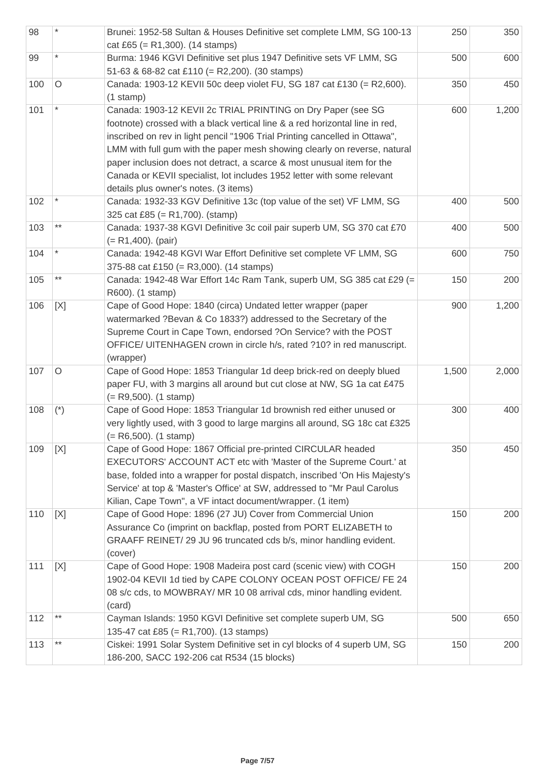| 98  |         | Brunei: 1952-58 Sultan & Houses Definitive set complete LMM, SG 100-13<br>cat £65 (= $R1,300$ ). (14 stamps)                                                                                                                                                                                                                                                                                                                                                                                           | 250   | 350   |
|-----|---------|--------------------------------------------------------------------------------------------------------------------------------------------------------------------------------------------------------------------------------------------------------------------------------------------------------------------------------------------------------------------------------------------------------------------------------------------------------------------------------------------------------|-------|-------|
| 99  | $\star$ | Burma: 1946 KGVI Definitive set plus 1947 Definitive sets VF LMM, SG<br>51-63 & 68-82 cat £110 (= R2,200). (30 stamps)                                                                                                                                                                                                                                                                                                                                                                                 | 500   | 600   |
| 100 | $\circ$ | Canada: 1903-12 KEVII 50c deep violet FU, SG 187 cat £130 (= R2,600).<br>$(1$ stamp)                                                                                                                                                                                                                                                                                                                                                                                                                   | 350   | 450   |
| 101 |         | Canada: 1903-12 KEVII 2c TRIAL PRINTING on Dry Paper (see SG<br>footnote) crossed with a black vertical line & a red horizontal line in red,<br>inscribed on rev in light pencil "1906 Trial Printing cancelled in Ottawa",<br>LMM with full gum with the paper mesh showing clearly on reverse, natural<br>paper inclusion does not detract, a scarce & most unusual item for the<br>Canada or KEVII specialist, lot includes 1952 letter with some relevant<br>details plus owner's notes. (3 items) | 600   | 1,200 |
| 102 |         | Canada: 1932-33 KGV Definitive 13c (top value of the set) VF LMM, SG<br>325 cat £85 (= $R1,700$ ). (stamp)                                                                                                                                                                                                                                                                                                                                                                                             | 400   | 500   |
| 103 | $***$   | Canada: 1937-38 KGVI Definitive 3c coil pair superb UM, SG 370 cat £70<br>$(= R1,400)$ . (pair)                                                                                                                                                                                                                                                                                                                                                                                                        | 400   | 500   |
| 104 |         | Canada: 1942-48 KGVI War Effort Definitive set complete VF LMM, SG<br>375-88 cat £150 (= R3,000). (14 stamps)                                                                                                                                                                                                                                                                                                                                                                                          | 600   | 750   |
| 105 | $***$   | Canada: 1942-48 War Effort 14c Ram Tank, superb UM, SG 385 cat £29 (=<br>R600). (1 stamp)                                                                                                                                                                                                                                                                                                                                                                                                              | 150   | 200   |
| 106 | [X]     | Cape of Good Hope: 1840 (circa) Undated letter wrapper (paper<br>watermarked ?Bevan & Co 1833?) addressed to the Secretary of the<br>Supreme Court in Cape Town, endorsed ?On Service? with the POST<br>OFFICE/ UITENHAGEN crown in circle h/s, rated ?10? in red manuscript.<br>(wrapper)                                                                                                                                                                                                             | 900   | 1,200 |
| 107 | $\circ$ | Cape of Good Hope: 1853 Triangular 1d deep brick-red on deeply blued<br>paper FU, with 3 margins all around but cut close at NW, SG 1a cat £475<br>$(= R9,500)$ . (1 stamp)                                                                                                                                                                                                                                                                                                                            | 1,500 | 2,000 |
| 108 | $(*)$   | Cape of Good Hope: 1853 Triangular 1d brownish red either unused or<br>very lightly used, with 3 good to large margins all around, SG 18c cat £325<br>$(= R6,500)$ . (1 stamp)                                                                                                                                                                                                                                                                                                                         | 300   | 400   |
| 109 | [X]     | Cape of Good Hope: 1867 Official pre-printed CIRCULAR headed<br>EXECUTORS' ACCOUNT ACT etc with 'Master of the Supreme Court.' at<br>base, folded into a wrapper for postal dispatch, inscribed 'On His Majesty's<br>Service' at top & 'Master's Office' at SW, addressed to "Mr Paul Carolus<br>Kilian, Cape Town", a VF intact document/wrapper. (1 item)                                                                                                                                            | 350   | 450   |
| 110 | [X]     | Cape of Good Hope: 1896 (27 JU) Cover from Commercial Union<br>Assurance Co (imprint on backflap, posted from PORT ELIZABETH to<br>GRAAFF REINET/29 JU 96 truncated cds b/s, minor handling evident.<br>(cover)                                                                                                                                                                                                                                                                                        | 150   | 200   |
| 111 | [X]     | Cape of Good Hope: 1908 Madeira post card (scenic view) with COGH<br>1902-04 KEVII 1d tied by CAPE COLONY OCEAN POST OFFICE/ FE 24<br>08 s/c cds, to MOWBRAY/ MR 10 08 arrival cds, minor handling evident.<br>(card)                                                                                                                                                                                                                                                                                  | 150   | 200   |
| 112 | $***$   | Cayman Islands: 1950 KGVI Definitive set complete superb UM, SG<br>135-47 cat £85 (= R1,700). (13 stamps)                                                                                                                                                                                                                                                                                                                                                                                              | 500   | 650   |
| 113 | $***$   | Ciskei: 1991 Solar System Definitive set in cyl blocks of 4 superb UM, SG<br>186-200, SACC 192-206 cat R534 (15 blocks)                                                                                                                                                                                                                                                                                                                                                                                | 150   | 200   |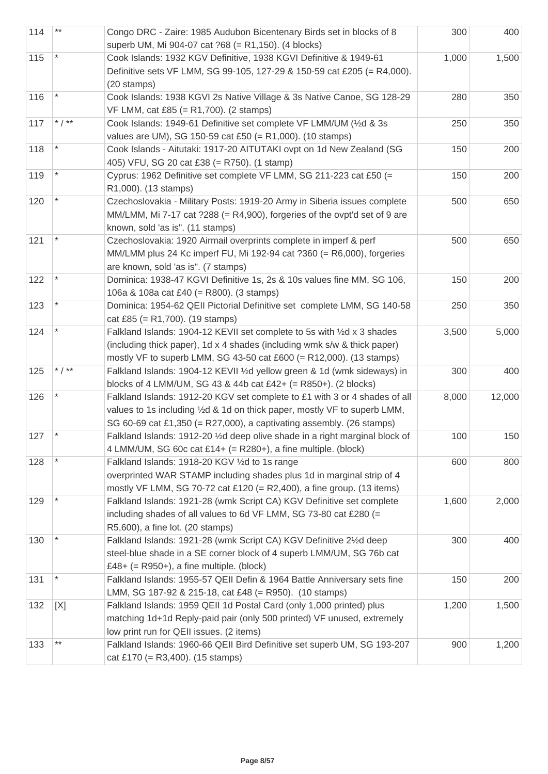| 114 | $***$    | Congo DRC - Zaire: 1985 Audubon Bicentenary Birds set in blocks of 8<br>superb UM, Mi 904-07 cat ?68 (= R1,150). (4 blocks)                                                                                                     | 300   | 400    |
|-----|----------|---------------------------------------------------------------------------------------------------------------------------------------------------------------------------------------------------------------------------------|-------|--------|
| 115 |          | Cook Islands: 1932 KGV Definitive, 1938 KGVI Definitive & 1949-61<br>Definitive sets VF LMM, SG 99-105, 127-29 & 150-59 cat £205 (= R4,000).<br>(20 stamps)                                                                     | 1,000 | 1,500  |
| 116 |          | Cook Islands: 1938 KGVI 2s Native Village & 3s Native Canoe, SG 128-29<br>VF LMM, cat £85 (= R1,700). (2 stamps)                                                                                                                | 280   | 350    |
| 117 | * $/$ ** | Cook Islands: 1949-61 Definitive set complete VF LMM/UM (1/2d & 3s<br>values are UM), SG 150-59 cat £50 (= R1,000). (10 stamps)                                                                                                 | 250   | 350    |
| 118 |          | Cook Islands - Aitutaki: 1917-20 AITUTAKI ovpt on 1d New Zealand (SG<br>405) VFU, SG 20 cat £38 (= R750). (1 stamp)                                                                                                             | 150   | 200    |
| 119 |          | Cyprus: 1962 Definitive set complete VF LMM, SG 211-223 cat £50 (=<br>R1,000). (13 stamps)                                                                                                                                      | 150   | 200    |
| 120 |          | Czechoslovakia - Military Posts: 1919-20 Army in Siberia issues complete<br>MM/LMM, Mi 7-17 cat ?288 (= R4,900), forgeries of the ovpt'd set of 9 are<br>known, sold 'as is". (11 stamps)                                       | 500   | 650    |
| 121 |          | Czechoslovakia: 1920 Airmail overprints complete in imperf & perf<br>MM/LMM plus 24 Kc imperf FU, Mi 192-94 cat ?360 (= R6,000), forgeries<br>are known, sold 'as is". (7 stamps)                                               | 500   | 650    |
| 122 |          | Dominica: 1938-47 KGVI Definitive 1s, 2s & 10s values fine MM, SG 106,<br>106a & 108a cat £40 (= R800). (3 stamps)                                                                                                              | 150   | 200    |
| 123 |          | Dominica: 1954-62 QEII Pictorial Definitive set complete LMM, SG 140-58<br>cat £85 (= R1,700). (19 stamps)                                                                                                                      | 250   | 350    |
| 124 |          | Falkland Islands: 1904-12 KEVII set complete to 5s with 1/2d x 3 shades<br>(including thick paper), 1d x 4 shades (including wmk s/w & thick paper)<br>mostly VF to superb LMM, SG 43-50 cat £600 (= R12,000). (13 stamps)      | 3,500 | 5,000  |
| 125 | * $/$ ** | Falkland Islands: 1904-12 KEVII 1/2d yellow green & 1d (wmk sideways) in<br>blocks of 4 LMM/UM, SG 43 & 44b cat £42+ (= R850+). (2 blocks)                                                                                      | 300   | 400    |
| 126 |          | Falkland Islands: 1912-20 KGV set complete to £1 with 3 or 4 shades of all<br>values to 1s including 1/2d & 1d on thick paper, mostly VF to superb LMM,<br>SG 60-69 cat £1,350 (= R27,000), a captivating assembly. (26 stamps) | 8,000 | 12,000 |
| 127 |          | Falkland Islands: 1912-20 1/2d deep olive shade in a right marginal block of<br>4 LMM/UM, SG 60c cat $£14+ (= R280+),$ a fine multiple. (block)                                                                                 | 100   | 150    |
| 128 |          | Falkland Islands: 1918-20 KGV 1/2d to 1s range<br>overprinted WAR STAMP including shades plus 1d in marginal strip of 4<br>mostly VF LMM, SG 70-72 cat £120 (= R2,400), a fine group. (13 items)                                | 600   | 800    |
| 129 |          | Falkland Islands: 1921-28 (wmk Script CA) KGV Definitive set complete<br>including shades of all values to 6d VF LMM, SG 73-80 cat £280 (=<br>R5,600), a fine lot. (20 stamps)                                                  | 1,600 | 2,000  |
| 130 |          | Falkland Islands: 1921-28 (wmk Script CA) KGV Definitive 21/2d deep<br>steel-blue shade in a SE corner block of 4 superb LMM/UM, SG 76b cat<br>£48+ (= $R950+$ ), a fine multiple. (block)                                      | 300   | 400    |
| 131 |          | Falkland Islands: 1955-57 QEII Defin & 1964 Battle Anniversary sets fine<br>LMM, SG 187-92 & 215-18, cat £48 (= R950). (10 stamps)                                                                                              | 150   | 200    |
| 132 | [X]      | Falkland Islands: 1959 QEII 1d Postal Card (only 1,000 printed) plus<br>matching 1d+1d Reply-paid pair (only 500 printed) VF unused, extremely<br>low print run for QEII issues. (2 items)                                      | 1,200 | 1,500  |
| 133 | $***$    | Falkland Islands: 1960-66 QEII Bird Definitive set superb UM, SG 193-207<br>cat £170 (= $R3,400$ ). (15 stamps)                                                                                                                 | 900   | 1,200  |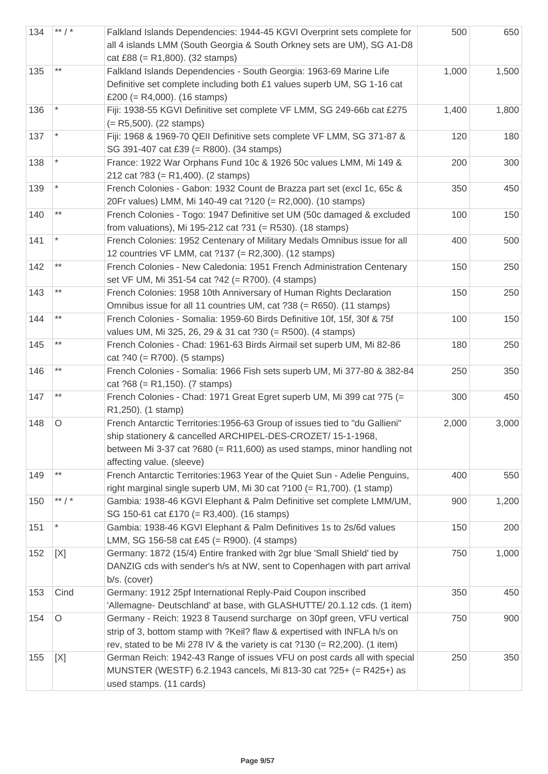| 134 | ** $/$ * | Falkland Islands Dependencies: 1944-45 KGVI Overprint sets complete for<br>all 4 islands LMM (South Georgia & South Orkney sets are UM), SG A1-D8<br>cat £88 (= $R1,800$ ). (32 stamps)                                                              | 500   | 650   |
|-----|----------|------------------------------------------------------------------------------------------------------------------------------------------------------------------------------------------------------------------------------------------------------|-------|-------|
| 135 | $***$    | Falkland Islands Dependencies - South Georgia: 1963-69 Marine Life<br>Definitive set complete including both £1 values superb UM, SG 1-16 cat<br>£200 (= $R4,000$ ). (16 stamps)                                                                     | 1,000 | 1,500 |
| 136 |          | Fiji: 1938-55 KGVI Definitive set complete VF LMM, SG 249-66b cat £275<br>$(= R5,500)$ . (22 stamps)                                                                                                                                                 | 1,400 | 1,800 |
| 137 |          | Fiji: 1968 & 1969-70 QEII Definitive sets complete VF LMM, SG 371-87 &<br>SG 391-407 cat £39 (= R800). (34 stamps)                                                                                                                                   | 120   | 180   |
| 138 | $\star$  | France: 1922 War Orphans Fund 10c & 1926 50c values LMM, Mi 149 &<br>212 cat $?83 (= R1,400)$ . (2 stamps)                                                                                                                                           | 200   | 300   |
| 139 |          | French Colonies - Gabon: 1932 Count de Brazza part set (excl 1c, 65c &<br>20Fr values) LMM, Mi 140-49 cat ?120 (= R2,000). (10 stamps)                                                                                                               | 350   | 450   |
| 140 | $***$    | French Colonies - Togo: 1947 Definitive set UM (50c damaged & excluded<br>from valuations), Mi 195-212 cat ?31 (= R530). (18 stamps)                                                                                                                 | 100   | 150   |
| 141 |          | French Colonies: 1952 Centenary of Military Medals Omnibus issue for all<br>12 countries VF LMM, cat ?137 (= R2,300). (12 stamps)                                                                                                                    | 400   | 500   |
| 142 | $***$    | French Colonies - New Caledonia: 1951 French Administration Centenary<br>set VF UM, Mi 351-54 cat ?42 (= R700). (4 stamps)                                                                                                                           | 150   | 250   |
| 143 | $***$    | French Colonies: 1958 10th Anniversary of Human Rights Declaration<br>Omnibus issue for all 11 countries UM, cat ?38 (= R650). (11 stamps)                                                                                                           | 150   | 250   |
| 144 | $***$    | French Colonies - Somalia: 1959-60 Birds Definitive 10f, 15f, 30f & 75f<br>values UM, Mi 325, 26, 29 & 31 cat ?30 (= R500). (4 stamps)                                                                                                               | 100   | 150   |
| 145 | $***$    | French Colonies - Chad: 1961-63 Birds Airmail set superb UM, Mi 82-86<br>cat $?40 (= R700)$ . (5 stamps)                                                                                                                                             | 180   | 250   |
| 146 | $***$    | French Colonies - Somalia: 1966 Fish sets superb UM, Mi 377-80 & 382-84<br>cat $?68 (= R1,150)$ . (7 stamps)                                                                                                                                         | 250   | 350   |
| 147 | $***$    | French Colonies - Chad: 1971 Great Egret superb UM, Mi 399 cat ?75 (=<br>R1,250). (1 stamp)                                                                                                                                                          | 300   | 450   |
| 148 | O        | French Antarctic Territories: 1956-63 Group of issues tied to "du Gallieni"<br>ship stationery & cancelled ARCHIPEL-DES-CROZET/ 15-1-1968,<br>between Mi 3-37 cat $?680 (= R11,600)$ as used stamps, minor handling not<br>affecting value. (sleeve) | 2,000 | 3,000 |
| 149 | $***$    | French Antarctic Territories: 1963 Year of the Quiet Sun - Adelie Penguins,<br>right marginal single superb UM, Mi 30 cat $?100 (= R1,700)$ . (1 stamp)                                                                                              | 400   | 550   |
| 150 | ** $/$ * | Gambia: 1938-46 KGVI Elephant & Palm Definitive set complete LMM/UM,<br>SG 150-61 cat £170 (= R3,400). (16 stamps)                                                                                                                                   | 900   | 1,200 |
| 151 |          | Gambia: 1938-46 KGVI Elephant & Palm Definitives 1s to 2s/6d values<br>LMM, SG 156-58 cat £45 (= R900). (4 stamps)                                                                                                                                   | 150   | 200   |
| 152 | [X]      | Germany: 1872 (15/4) Entire franked with 2gr blue 'Small Shield' tied by<br>DANZIG cds with sender's h/s at NW, sent to Copenhagen with part arrival<br>b/s. (cover)                                                                                 | 750   | 1,000 |
| 153 | Cind     | Germany: 1912 25pf International Reply-Paid Coupon inscribed<br>'Allemagne- Deutschland' at base, with GLASHUTTE/ 20.1.12 cds. (1 item)                                                                                                              | 350   | 450   |
| 154 | $\circ$  | Germany - Reich: 1923 8 Tausend surcharge on 30pf green, VFU vertical<br>strip of 3, bottom stamp with ?Keil? flaw & expertised with INFLA h/s on<br>rev, stated to be Mi 278 IV & the variety is cat $?130 (= R2,200)$ . (1 item)                   | 750   | 900   |
| 155 | [X]      | German Reich: 1942-43 Range of issues VFU on post cards all with special<br>MUNSTER (WESTF) 6.2.1943 cancels, Mi 813-30 cat ?25+ (= R425+) as<br>used stamps. (11 cards)                                                                             | 250   | 350   |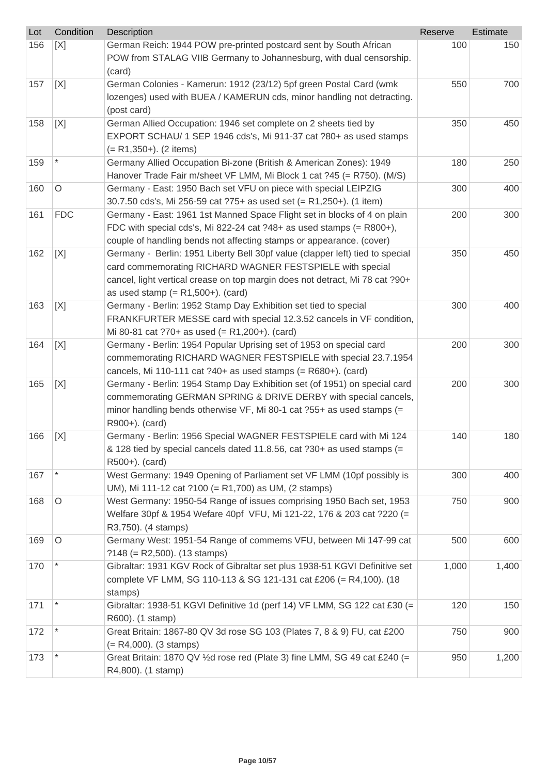| Lot | Condition  | <b>Description</b>                                                                                                      | Reserve | Estimate |
|-----|------------|-------------------------------------------------------------------------------------------------------------------------|---------|----------|
| 156 | [X]        | German Reich: 1944 POW pre-printed postcard sent by South African                                                       | 100     | 150      |
|     |            | POW from STALAG VIIB Germany to Johannesburg, with dual censorship.                                                     |         |          |
|     |            | (card)                                                                                                                  |         |          |
| 157 | [X]        | German Colonies - Kamerun: 1912 (23/12) 5pf green Postal Card (wmk                                                      | 550     | 700      |
|     |            | lozenges) used with BUEA / KAMERUN cds, minor handling not detracting.<br>(post card)                                   |         |          |
| 158 | [X]        | German Allied Occupation: 1946 set complete on 2 sheets tied by                                                         | 350     | 450      |
|     |            | EXPORT SCHAU/ 1 SEP 1946 cds's, Mi 911-37 cat ?80+ as used stamps                                                       |         |          |
|     |            | $(= R1, 350+)$ . (2 items)                                                                                              |         |          |
| 159 |            | Germany Allied Occupation Bi-zone (British & American Zones): 1949                                                      | 180     | 250      |
|     |            | Hanover Trade Fair m/sheet VF LMM, Mi Block 1 cat ?45 (= R750). (M/S)                                                   |         |          |
| 160 | $\circ$    | Germany - East: 1950 Bach set VFU on piece with special LEIPZIG                                                         | 300     | 400      |
|     |            | 30.7.50 cds's, Mi 256-59 cat ?75+ as used set (= R1,250+). (1 item)                                                     |         |          |
| 161 | <b>FDC</b> | Germany - East: 1961 1st Manned Space Flight set in blocks of 4 on plain                                                | 200     | 300      |
|     |            | FDC with special cds's, Mi 822-24 cat $?48+$ as used stamps (= R800+),                                                  |         |          |
|     |            | couple of handling bends not affecting stamps or appearance. (cover)                                                    |         |          |
| 162 | [X]        | Germany - Berlin: 1951 Liberty Bell 30pf value (clapper left) tied to special                                           | 350     | 450      |
|     |            | card commemorating RICHARD WAGNER FESTSPIELE with special                                                               |         |          |
|     |            | cancel, light vertical crease on top margin does not detract, Mi 78 cat ?90+                                            |         |          |
|     |            | as used stamp $(= R1, 500+)$ . (card)                                                                                   |         |          |
| 163 | [X]        | Germany - Berlin: 1952 Stamp Day Exhibition set tied to special                                                         | 300     | 400      |
|     |            | FRANKFURTER MESSE card with special 12.3.52 cancels in VF condition,                                                    |         |          |
| 164 | [X]        | Mi 80-81 cat ?70+ as used $(= R1,200+)$ . (card)<br>Germany - Berlin: 1954 Popular Uprising set of 1953 on special card | 200     | 300      |
|     |            | commemorating RICHARD WAGNER FESTSPIELE with special 23.7.1954                                                          |         |          |
|     |            | cancels, Mi 110-111 cat $?40+$ as used stamps (= R680+). (card)                                                         |         |          |
| 165 | [X]        | Germany - Berlin: 1954 Stamp Day Exhibition set (of 1951) on special card                                               | 200     | 300      |
|     |            | commemorating GERMAN SPRING & DRIVE DERBY with special cancels,                                                         |         |          |
|     |            | minor handling bends otherwise VF, Mi 80-1 cat ?55+ as used stamps (=                                                   |         |          |
|     |            | R900+). (card)                                                                                                          |         |          |
| 166 | [X]        | Germany - Berlin: 1956 Special WAGNER FESTSPIELE card with Mi 124                                                       | 140     | 180      |
|     |            | & 128 tied by special cancels dated 11.8.56, cat ?30+ as used stamps (=                                                 |         |          |
|     |            | R500+). (card)                                                                                                          |         |          |
| 167 | $\star$    | West Germany: 1949 Opening of Parliament set VF LMM (10pf possibly is                                                   | 300     | 400      |
|     |            | UM), Mi 111-12 cat ?100 (= R1,700) as UM, (2 stamps)                                                                    |         |          |
| 168 | $\circ$    | West Germany: 1950-54 Range of issues comprising 1950 Bach set, 1953                                                    | 750     | 900      |
|     |            | Welfare 30pf & 1954 Wefare 40pf VFU, Mi 121-22, 176 & 203 cat ?220 (=                                                   |         |          |
|     |            | R3,750). (4 stamps)                                                                                                     |         |          |
| 169 | $\circ$    | Germany West: 1951-54 Range of commems VFU, between Mi 147-99 cat                                                       | 500     | 600      |
| 170 |            | $?148 (= R2,500)$ . (13 stamps)<br>Gibraltar: 1931 KGV Rock of Gibraltar set plus 1938-51 KGVI Definitive set           | 1,000   | 1,400    |
|     |            | complete VF LMM, SG 110-113 & SG 121-131 cat £206 (= R4,100). (18                                                       |         |          |
|     |            | stamps)                                                                                                                 |         |          |
| 171 |            | Gibraltar: 1938-51 KGVI Definitive 1d (perf 14) VF LMM, SG 122 cat £30 (=                                               | 120     | 150      |
|     |            | R600). (1 stamp)                                                                                                        |         |          |
| 172 |            | Great Britain: 1867-80 QV 3d rose SG 103 (Plates 7, 8 & 9) FU, cat £200                                                 | 750     | 900      |
|     |            | $(= R4,000)$ . (3 stamps)                                                                                               |         |          |
| 173 |            | Great Britain: 1870 QV 1/2d rose red (Plate 3) fine LMM, SG 49 cat £240 (=                                              | 950     | 1,200    |
|     |            | R4,800). (1 stamp)                                                                                                      |         |          |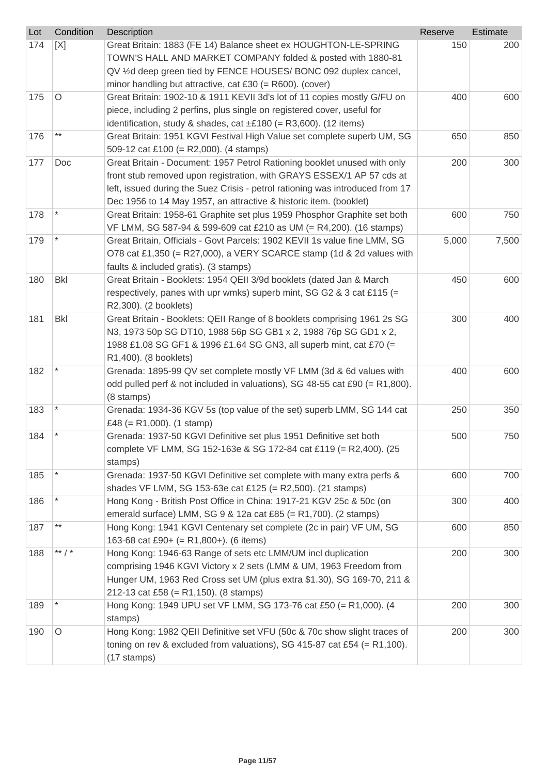| Lot | Condition       | Description                                                                                        | Reserve | <b>Estimate</b> |
|-----|-----------------|----------------------------------------------------------------------------------------------------|---------|-----------------|
| 174 | [X]             | Great Britain: 1883 (FE 14) Balance sheet ex HOUGHTON-LE-SPRING                                    | 150     | 200             |
|     |                 | TOWN'S HALL AND MARKET COMPANY folded & posted with 1880-81                                        |         |                 |
|     |                 | QV 1/2d deep green tied by FENCE HOUSES/ BONC 092 duplex cancel,                                   |         |                 |
|     |                 | minor handling but attractive, cat £30 (= R600). (cover)                                           |         |                 |
| 175 | O               | Great Britain: 1902-10 & 1911 KEVII 3d's lot of 11 copies mostly G/FU on                           | 400     | 600             |
|     |                 | piece, including 2 perfins, plus single on registered cover, useful for                            |         |                 |
|     |                 | identification, study & shades, cat $\pm$ £180 (= R3,600). (12 items)                              |         |                 |
| 176 | $***$           | Great Britain: 1951 KGVI Festival High Value set complete superb UM, SG                            | 650     | 850             |
|     |                 | 509-12 cat £100 (= R2,000). (4 stamps)                                                             |         |                 |
| 177 | Doc             | Great Britain - Document: 1957 Petrol Rationing booklet unused with only                           | 200     | 300             |
|     |                 | front stub removed upon registration, with GRAYS ESSEX/1 AP 57 cds at                              |         |                 |
|     |                 | left, issued during the Suez Crisis - petrol rationing was introduced from 17                      |         |                 |
|     |                 | Dec 1956 to 14 May 1957, an attractive & historic item. (booklet)                                  |         |                 |
| 178 |                 | Great Britain: 1958-61 Graphite set plus 1959 Phosphor Graphite set both                           | 600     | 750             |
|     |                 | VF LMM, SG 587-94 & 599-609 cat £210 as UM (= R4,200). (16 stamps)                                 |         |                 |
| 179 |                 | Great Britain, Officials - Govt Parcels: 1902 KEVII 1s value fine LMM, SG                          | 5,000   | 7,500           |
|     |                 | O78 cat £1,350 (= R27,000), a VERY SCARCE stamp (1d & 2d values with                               |         |                 |
|     |                 | faults & included gratis). (3 stamps)                                                              |         |                 |
| 180 | <b>Bkl</b>      | Great Britain - Booklets: 1954 QEII 3/9d booklets (dated Jan & March                               | 450     | 600             |
|     |                 | respectively, panes with upr wmks) superb mint, SG G2 & 3 cat £115 (=                              |         |                 |
|     |                 | R2,300). (2 booklets)                                                                              |         |                 |
| 181 | <b>Bkl</b>      | Great Britain - Booklets: QEII Range of 8 booklets comprising 1961 2s SG                           | 300     | 400             |
|     |                 | N3, 1973 50p SG DT10, 1988 56p SG GB1 x 2, 1988 76p SG GD1 x 2,                                    |         |                 |
|     |                 | 1988 £1.08 SG GF1 & 1996 £1.64 SG GN3, all superb mint, cat £70 (=                                 |         |                 |
|     |                 | R1,400). (8 booklets)                                                                              |         |                 |
| 182 |                 | Grenada: 1895-99 QV set complete mostly VF LMM (3d & 6d values with                                | 400     | 600             |
|     |                 | odd pulled perf & not included in valuations), SG 48-55 cat £90 (= R1,800).                        |         |                 |
|     |                 | (8 stamps)                                                                                         |         |                 |
| 183 |                 | Grenada: 1934-36 KGV 5s (top value of the set) superb LMM, SG 144 cat<br>£48 (= R1,000). (1 stamp) | 250     | 350             |
| 184 |                 | Grenada: 1937-50 KGVI Definitive set plus 1951 Definitive set both                                 | 500     | 750             |
|     |                 | complete VF LMM, SG 152-163e & SG 172-84 cat £119 (= R2,400). (25                                  |         |                 |
|     |                 | stamps)                                                                                            |         |                 |
| 185 |                 | Grenada: 1937-50 KGVI Definitive set complete with many extra perfs &                              | 600     | 700             |
|     |                 | shades VF LMM, SG 153-63e cat £125 (= R2,500). (21 stamps)                                         |         |                 |
| 186 |                 | Hong Kong - British Post Office in China: 1917-21 KGV 25c & 50c (on                                | 300     | 400             |
|     |                 | emerald surface) LMM, SG 9 & 12a cat £85 (= R1,700). (2 stamps)                                    |         |                 |
| 187 | $^{\star\star}$ | Hong Kong: 1941 KGVI Centenary set complete (2c in pair) VF UM, SG                                 | 600     | 850             |
|     |                 | 163-68 cat £90+ (= R1,800+). (6 items)                                                             |         |                 |
| 188 | ** $/$ *        | Hong Kong: 1946-63 Range of sets etc LMM/UM incl duplication                                       | 200     | 300             |
|     |                 | comprising 1946 KGVI Victory x 2 sets (LMM & UM, 1963 Freedom from                                 |         |                 |
|     |                 | Hunger UM, 1963 Red Cross set UM (plus extra \$1.30), SG 169-70, 211 &                             |         |                 |
|     |                 | 212-13 cat £58 (= R1,150). (8 stamps)                                                              |         |                 |
| 189 |                 | Hong Kong: 1949 UPU set VF LMM, SG 173-76 cat £50 (= R1,000). (4                                   | 200     | 300             |
|     |                 | stamps)                                                                                            |         |                 |
| 190 | O               | Hong Kong: 1982 QEII Definitive set VFU (50c & 70c show slight traces of                           | 200     | 300             |
|     |                 | toning on rev & excluded from valuations), SG 415-87 cat £54 (= R1,100).                           |         |                 |
|     |                 | (17 stamps)                                                                                        |         |                 |
|     |                 |                                                                                                    |         |                 |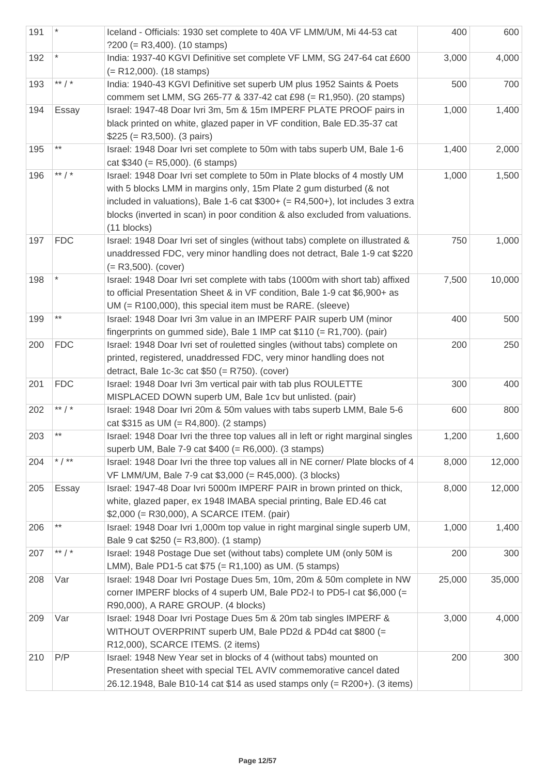| 191 |            | Iceland - Officials: 1930 set complete to 40A VF LMM/UM, Mi 44-53 cat<br>$?200 (= R3,400).$ (10 stamps)                                                                                                                                                                                                                              | 400    | 600    |
|-----|------------|--------------------------------------------------------------------------------------------------------------------------------------------------------------------------------------------------------------------------------------------------------------------------------------------------------------------------------------|--------|--------|
| 192 |            | India: 1937-40 KGVI Definitive set complete VF LMM, SG 247-64 cat £600<br>$(= R12,000)$ . (18 stamps)                                                                                                                                                                                                                                | 3,000  | 4,000  |
| 193 | ** $/$ *   | India: 1940-43 KGVI Definitive set superb UM plus 1952 Saints & Poets<br>commem set LMM, SG 265-77 & 337-42 cat £98 (= R1,950). (20 stamps)                                                                                                                                                                                          | 500    | 700    |
| 194 | Essay      | Israel: 1947-48 Doar Ivri 3m, 5m & 15m IMPERF PLATE PROOF pairs in<br>black printed on white, glazed paper in VF condition, Bale ED.35-37 cat<br>$$225 (= R3,500).$ (3 pairs)                                                                                                                                                        | 1,000  | 1,400  |
| 195 | $***$      | Israel: 1948 Doar Ivri set complete to 50m with tabs superb UM, Bale 1-6<br>cat $$340 (= R5,000)$ . (6 stamps)                                                                                                                                                                                                                       | 1,400  | 2,000  |
| 196 | ** $/$ *   | Israel: 1948 Doar Ivri set complete to 50m in Plate blocks of 4 mostly UM<br>with 5 blocks LMM in margins only, 15m Plate 2 gum disturbed (& not<br>included in valuations), Bale 1-6 cat $$300+ (= R4,500+),$ lot includes 3 extra<br>blocks (inverted in scan) in poor condition & also excluded from valuations.<br>$(11$ blocks) | 1,000  | 1,500  |
| 197 | <b>FDC</b> | Israel: 1948 Doar Ivri set of singles (without tabs) complete on illustrated &<br>unaddressed FDC, very minor handling does not detract, Bale 1-9 cat \$220<br>$(= R3,500)$ . (cover)                                                                                                                                                | 750    | 1,000  |
| 198 |            | Israel: 1948 Doar Ivri set complete with tabs (1000m with short tab) affixed<br>to official Presentation Sheet & in VF condition, Bale 1-9 cat \$6,900+ as<br>UM (= R100,000), this special item must be RARE. (sleeve)                                                                                                              | 7,500  | 10,000 |
| 199 | $***$      | Israel: 1948 Doar Ivri 3m value in an IMPERF PAIR superb UM (minor<br>fingerprints on gummed side), Bale 1 IMP cat $$110 (= R1,700)$ . (pair)                                                                                                                                                                                        | 400    | 500    |
| 200 | <b>FDC</b> | Israel: 1948 Doar Ivri set of rouletted singles (without tabs) complete on<br>printed, registered, unaddressed FDC, very minor handling does not<br>detract, Bale 1c-3c cat $$50 (= R750)$ . (cover)                                                                                                                                 | 200    | 250    |
| 201 | <b>FDC</b> | Israel: 1948 Doar Ivri 3m vertical pair with tab plus ROULETTE<br>MISPLACED DOWN superb UM, Bale 1cv but unlisted. (pair)                                                                                                                                                                                                            | 300    | 400    |
| 202 | ** $/$ *   | Israel: 1948 Doar Ivri 20m & 50m values with tabs superb LMM, Bale 5-6<br>cat $$315$ as UM (= R4,800). (2 stamps)                                                                                                                                                                                                                    | 600    | 800    |
| 203 | $***$      | Israel: 1948 Doar Ivri the three top values all in left or right marginal singles<br>superb UM, Bale 7-9 cat \$400 (= R6,000). (3 stamps)                                                                                                                                                                                            | 1,200  | 1,600  |
| 204 | * $/$ **   | Israel: 1948 Doar Ivri the three top values all in NE corner/ Plate blocks of 4<br>VF LMM/UM, Bale 7-9 cat \$3,000 (= R45,000). (3 blocks)                                                                                                                                                                                           | 8,000  | 12,000 |
| 205 | Essay      | Israel: 1947-48 Doar Ivri 5000m IMPERF PAIR in brown printed on thick,<br>white, glazed paper, ex 1948 IMABA special printing, Bale ED.46 cat<br>\$2,000 (= R30,000), A SCARCE ITEM. (pair)                                                                                                                                          | 8,000  | 12,000 |
| 206 | $***$      | Israel: 1948 Doar Ivri 1,000m top value in right marginal single superb UM,<br>Bale 9 cat \$250 (= R3,800). (1 stamp)                                                                                                                                                                                                                | 1,000  | 1,400  |
| 207 | ** $/$ *   | Israel: 1948 Postage Due set (without tabs) complete UM (only 50M is<br>LMM), Bale PD1-5 cat \$75 (= R1,100) as UM. (5 stamps)                                                                                                                                                                                                       | 200    | 300    |
| 208 | Var        | Israel: 1948 Doar Ivri Postage Dues 5m, 10m, 20m & 50m complete in NW<br>corner IMPERF blocks of 4 superb UM, Bale PD2-I to PD5-I cat \$6,000 (=<br>R90,000), A RARE GROUP. (4 blocks)                                                                                                                                               | 25,000 | 35,000 |
| 209 | Var        | Israel: 1948 Doar Ivri Postage Dues 5m & 20m tab singles IMPERF &<br>WITHOUT OVERPRINT superb UM, Bale PD2d & PD4d cat \$800 (=<br>R12,000), SCARCE ITEMS. (2 items)                                                                                                                                                                 | 3,000  | 4,000  |
| 210 | P/P        | Israel: 1948 New Year set in blocks of 4 (without tabs) mounted on<br>Presentation sheet with special TEL AVIV commemorative cancel dated<br>26.12.1948, Bale B10-14 cat \$14 as used stamps only (= R200+). (3 items)                                                                                                               | 200    | 300    |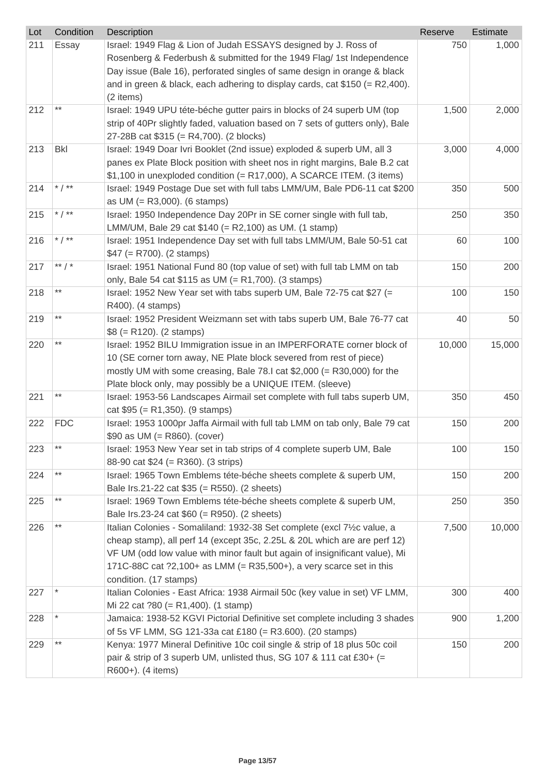| Lot | Condition  | Description                                                                                                                                                                                                                                                                                                                         | Reserve | Estimate |
|-----|------------|-------------------------------------------------------------------------------------------------------------------------------------------------------------------------------------------------------------------------------------------------------------------------------------------------------------------------------------|---------|----------|
| 211 | Essay      | Israel: 1949 Flag & Lion of Judah ESSAYS designed by J. Ross of<br>Rosenberg & Federbush & submitted for the 1949 Flag/ 1st Independence<br>Day issue (Bale 16), perforated singles of same design in orange & black<br>and in green & black, each adhering to display cards, cat $$150 (= R2,400)$ .<br>(2 items)                  | 750     | 1,000    |
| 212 | $***$      | Israel: 1949 UPU téte-béche gutter pairs in blocks of 24 superb UM (top<br>strip of 40Pr slightly faded, valuation based on 7 sets of gutters only), Bale<br>27-28B cat \$315 (= R4,700). (2 blocks)                                                                                                                                | 1,500   | 2,000    |
| 213 | <b>Bkl</b> | Israel: 1949 Doar Ivri Booklet (2nd issue) exploded & superb UM, all 3<br>panes ex Plate Block position with sheet nos in right margins, Bale B.2 cat<br>\$1,100 in unexploded condition (= R17,000), A SCARCE ITEM. (3 items)                                                                                                      | 3,000   | 4,000    |
| 214 | * $/$ **   | Israel: 1949 Postage Due set with full tabs LMM/UM, Bale PD6-11 cat \$200<br>as $UM (= R3,000)$ . (6 stamps)                                                                                                                                                                                                                        | 350     | 500      |
| 215 | * $/$ **   | Israel: 1950 Independence Day 20Pr in SE corner single with full tab,<br>LMM/UM, Bale 29 cat \$140 (= R2,100) as UM. (1 stamp)                                                                                                                                                                                                      | 250     | 350      |
| 216 | * $/$ **   | Israel: 1951 Independence Day set with full tabs LMM/UM, Bale 50-51 cat<br>$$47 (= R700)$ . (2 stamps)                                                                                                                                                                                                                              | 60      | 100      |
| 217 | ** $/$ *   | Israel: 1951 National Fund 80 (top value of set) with full tab LMM on tab<br>only, Bale 54 cat \$115 as UM (= R1,700). (3 stamps)                                                                                                                                                                                                   | 150     | 200      |
| 218 | $***$      | Israel: 1952 New Year set with tabs superb UM, Bale 72-75 cat \$27 (=<br>R400). (4 stamps)                                                                                                                                                                                                                                          | 100     | 150      |
| 219 | $***$      | Israel: 1952 President Weizmann set with tabs superb UM, Bale 76-77 cat<br>$$8 (= R120)$ . (2 stamps)                                                                                                                                                                                                                               | 40      | 50       |
| 220 | $***$      | Israel: 1952 BILU Immigration issue in an IMPERFORATE corner block of<br>10 (SE corner torn away, NE Plate block severed from rest of piece)<br>mostly UM with some creasing, Bale 78.I cat $$2,000$ (= R30,000) for the<br>Plate block only, may possibly be a UNIQUE ITEM. (sleeve)                                               | 10,000  | 15,000   |
| 221 | $***$      | Israel: 1953-56 Landscapes Airmail set complete with full tabs superb UM,<br>cat $$95 (= R1,350)$ . (9 stamps)                                                                                                                                                                                                                      | 350     | 450      |
| 222 | <b>FDC</b> | Israel: 1953 1000pr Jaffa Airmail with full tab LMM on tab only, Bale 79 cat<br>\$90 as UM (= $R860$ ). (cover)                                                                                                                                                                                                                     | 150     | 200      |
| 223 | $***$      | Israel: 1953 New Year set in tab strips of 4 complete superb UM, Bale<br>88-90 cat \$24 (= R360). (3 strips)                                                                                                                                                                                                                        | 100     | 150      |
| 224 | $***$      | Israel: 1965 Town Emblems téte-béche sheets complete & superb UM,<br>Bale Irs.21-22 cat \$35 (= R550). (2 sheets)                                                                                                                                                                                                                   | 150     | 200      |
| 225 | $***$      | Israel: 1969 Town Emblems téte-béche sheets complete & superb UM,<br>Bale Irs.23-24 cat \$60 (= R950). (2 sheets)                                                                                                                                                                                                                   | 250     | 350      |
| 226 | $***$      | Italian Colonies - Somaliland: 1932-38 Set complete (excl 7½c value, a<br>cheap stamp), all perf 14 (except 35c, 2.25L & 20L which are are perf 12)<br>VF UM (odd low value with minor fault but again of insignificant value), Mi<br>171C-88C cat ?2,100+ as LMM (= R35,500+), a very scarce set in this<br>condition. (17 stamps) | 7,500   | 10,000   |
| 227 |            | Italian Colonies - East Africa: 1938 Airmail 50c (key value in set) VF LMM,<br>Mi 22 cat $?80 (= R1,400)$ . (1 stamp)                                                                                                                                                                                                               | 300     | 400      |
| 228 |            | Jamaica: 1938-52 KGVI Pictorial Definitive set complete including 3 shades<br>of 5s VF LMM, SG 121-33a cat £180 (= R3.600). (20 stamps)                                                                                                                                                                                             | 900     | 1,200    |
| 229 | $***$      | Kenya: 1977 Mineral Definitive 10c coil single & strip of 18 plus 50c coil<br>pair & strip of 3 superb UM, unlisted thus, SG 107 & 111 cat £30+ (=<br>R600+). (4 items)                                                                                                                                                             | 150     | 200      |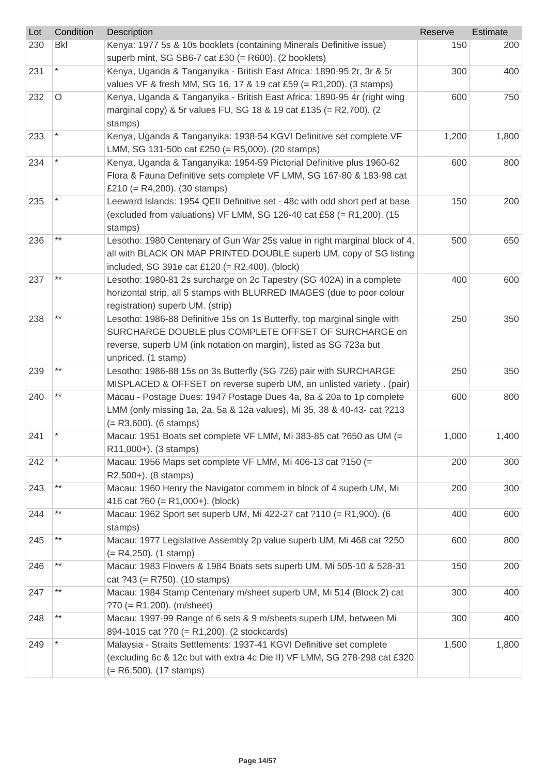| Lot | Condition       | <b>Description</b>                                                                                        | Reserve | Estimate |
|-----|-----------------|-----------------------------------------------------------------------------------------------------------|---------|----------|
| 230 | <b>Bkl</b>      | Kenya: 1977 5s & 10s booklets (containing Minerals Definitive issue)                                      | 150     | 200      |
|     |                 | superb mint, SG SB6-7 cat £30 (= $R600$ ). (2 booklets)                                                   |         |          |
| 231 |                 | Kenya, Uganda & Tanganyika - British East Africa: 1890-95 2r, 3r & 5r                                     | 300     | 400      |
|     |                 | values VF & fresh MM, SG 16, 17 & 19 cat £59 (= R1,200). (3 stamps)                                       |         |          |
| 232 | O               | Kenya, Uganda & Tanganyika - British East Africa: 1890-95 4r (right wing                                  | 600     | 750      |
|     |                 | marginal copy) & 5r values FU, SG 18 & 19 cat £135 (= R2,700). (2                                         |         |          |
|     |                 | stamps)                                                                                                   |         |          |
| 233 |                 | Kenya, Uganda & Tanganyika: 1938-54 KGVI Definitive set complete VF                                       | 1,200   | 1,800    |
|     |                 | LMM, SG 131-50b cat £250 (= R5,000). (20 stamps)                                                          |         |          |
| 234 |                 | Kenya, Uganda & Tanganyika: 1954-59 Pictorial Definitive plus 1960-62                                     | 600     | 800      |
|     |                 | Flora & Fauna Definitive sets complete VF LMM, SG 167-80 & 183-98 cat                                     |         |          |
|     |                 | £210 (= $R4,200$ ). (30 stamps)                                                                           |         |          |
| 235 |                 | Leeward Islands: 1954 QEII Definitive set - 48c with odd short perf at base                               | 150     | 200      |
|     |                 | (excluded from valuations) VF LMM, SG 126-40 cat £58 (= R1,200). (15                                      |         |          |
|     |                 | stamps)                                                                                                   |         |          |
| 236 | $***$           | Lesotho: 1980 Centenary of Gun War 25s value in right marginal block of 4,                                | 500     | 650      |
|     |                 | all with BLACK ON MAP PRINTED DOUBLE superb UM, copy of SG listing                                        |         |          |
|     |                 | included, SG 391e cat £120 (= $R2,400$ ). (block)                                                         |         |          |
| 237 |                 | Lesotho: 1980-81 2s surcharge on 2c Tapestry (SG 402A) in a complete                                      | 400     | 600      |
|     |                 | horizontal strip, all 5 stamps with BLURRED IMAGES (due to poor colour                                    |         |          |
|     |                 | registration) superb UM. (strip)                                                                          |         |          |
| 238 |                 | Lesotho: 1986-88 Definitive 15s on 1s Butterfly, top marginal single with                                 | 250     | 350      |
|     |                 | SURCHARGE DOUBLE plus COMPLETE OFFSET OF SURCHARGE on                                                     |         |          |
|     |                 | reverse, superb UM (ink notation on margin), listed as SG 723a but                                        |         |          |
|     |                 | unpriced. (1 stamp)                                                                                       |         |          |
| 239 | $***$           | Lesotho: 1986-88 15s on 3s Butterfly (SG 726) pair with SURCHARGE                                         | 250     | 350      |
|     | $***$           | MISPLACED & OFFSET on reverse superb UM, an unlisted variety . (pair)                                     |         |          |
| 240 |                 | Macau - Postage Dues: 1947 Postage Dues 4a, 8a & 20a to 1p complete                                       | 600     | 800      |
|     |                 | LMM (only missing 1a, 2a, 5a & 12a values), Mi 35, 38 & 40-43- cat ?213                                   |         |          |
|     |                 | $(= R3,600)$ . (6 stamps)                                                                                 |         |          |
| 241 |                 | Macau: 1951 Boats set complete VF LMM, Mi 383-85 cat ?650 as UM (=                                        | 1,000   | 1,400    |
|     |                 | R11,000+). (3 stamps)                                                                                     |         |          |
| 242 |                 | Macau: 1956 Maps set complete VF LMM, Mi 406-13 cat ?150 (=                                               | 200     | 300      |
|     | $^{\star\star}$ | R2,500+). (8 stamps)                                                                                      |         |          |
| 243 |                 | Macau: 1960 Henry the Navigator commem in block of 4 superb UM, Mi                                        | 200     | 300      |
|     | $***$           | 416 cat $?60 (= R1,000+)$ . (block)<br>Macau: 1962 Sport set superb UM, Mi 422-27 cat ?110 (= R1,900). (6 |         |          |
| 244 |                 | stamps)                                                                                                   | 400     | 600      |
| 245 | $***$           | Macau: 1977 Legislative Assembly 2p value superb UM, Mi 468 cat ?250                                      | 600     | 800      |
|     |                 | $(= R4, 250)$ . (1 stamp)                                                                                 |         |          |
| 246 | $***$           | Macau: 1983 Flowers & 1984 Boats sets superb UM, Mi 505-10 & 528-31                                       | 150     | 200      |
|     |                 | cat $?43 (= R750)$ . (10 stamps)                                                                          |         |          |
| 247 | $***$           | Macau: 1984 Stamp Centenary m/sheet superb UM, Mi 514 (Block 2) cat                                       | 300     | 400      |
|     |                 | $?70 (= R1,200)$ . (m/sheet)                                                                              |         |          |
| 248 | $***$           | Macau: 1997-99 Range of 6 sets & 9 m/sheets superb UM, between Mi                                         | 300     | 400      |
|     |                 | 894-1015 cat ?70 (= R1,200). (2 stockcards)                                                               |         |          |
| 249 |                 | Malaysia - Straits Settlements: 1937-41 KGVI Definitive set complete                                      | 1,500   | 1,800    |
|     |                 | (excluding 6c & 12c but with extra 4c Die II) VF LMM, SG 278-298 cat £320                                 |         |          |
|     |                 | $(= R6, 500)$ . (17 stamps)                                                                               |         |          |
|     |                 |                                                                                                           |         |          |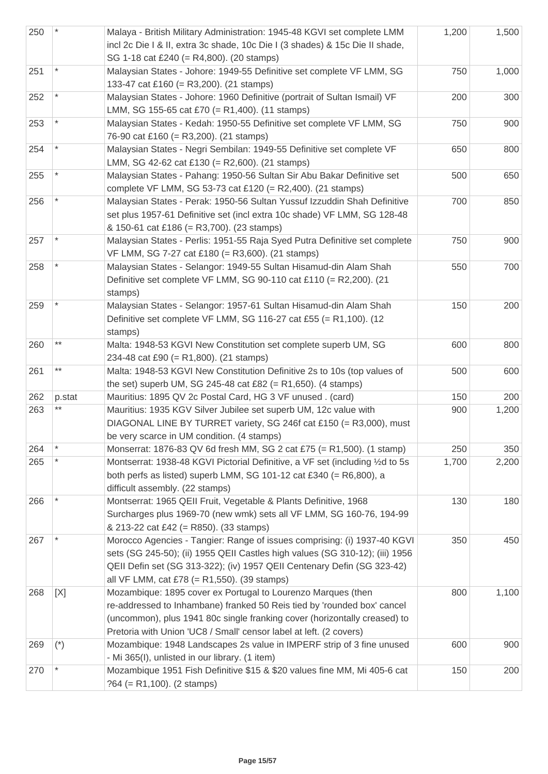| 250 |         | Malaya - British Military Administration: 1945-48 KGVI set complete LMM<br>incl 2c Die I & II, extra 3c shade, 10c Die I (3 shades) & 15c Die II shade,<br>SG 1-18 cat £240 (= R4,800). (20 stamps)                                                                                        | 1,200 | 1,500 |
|-----|---------|--------------------------------------------------------------------------------------------------------------------------------------------------------------------------------------------------------------------------------------------------------------------------------------------|-------|-------|
| 251 |         | Malaysian States - Johore: 1949-55 Definitive set complete VF LMM, SG<br>133-47 cat £160 (= R3,200). (21 stamps)                                                                                                                                                                           | 750   | 1,000 |
| 252 |         | Malaysian States - Johore: 1960 Definitive (portrait of Sultan Ismail) VF<br>LMM, SG 155-65 cat £70 (= R1,400). (11 stamps)                                                                                                                                                                | 200   | 300   |
| 253 |         | Malaysian States - Kedah: 1950-55 Definitive set complete VF LMM, SG<br>76-90 cat £160 (= R3,200). (21 stamps)                                                                                                                                                                             | 750   | 900   |
| 254 |         | Malaysian States - Negri Sembilan: 1949-55 Definitive set complete VF<br>LMM, SG 42-62 cat £130 (= R2,600). (21 stamps)                                                                                                                                                                    | 650   | 800   |
| 255 |         | Malaysian States - Pahang: 1950-56 Sultan Sir Abu Bakar Definitive set<br>complete VF LMM, SG 53-73 cat £120 (= R2,400). (21 stamps)                                                                                                                                                       | 500   | 650   |
| 256 |         | Malaysian States - Perak: 1950-56 Sultan Yussuf Izzuddin Shah Definitive<br>set plus 1957-61 Definitive set (incl extra 10c shade) VF LMM, SG 128-48<br>& 150-61 cat £186 (= R3,700). (23 stamps)                                                                                          | 700   | 850   |
| 257 |         | Malaysian States - Perlis: 1951-55 Raja Syed Putra Definitive set complete<br>VF LMM, SG 7-27 cat £180 (= R3,600). (21 stamps)                                                                                                                                                             | 750   | 900   |
| 258 |         | Malaysian States - Selangor: 1949-55 Sultan Hisamud-din Alam Shah<br>Definitive set complete VF LMM, SG 90-110 cat £110 (= R2,200). (21<br>stamps)                                                                                                                                         | 550   | 700   |
| 259 |         | Malaysian States - Selangor: 1957-61 Sultan Hisamud-din Alam Shah<br>Definitive set complete VF LMM, SG 116-27 cat £55 (= R1,100). (12<br>stamps)                                                                                                                                          | 150   | 200   |
| 260 | $***$   | Malta: 1948-53 KGVI New Constitution set complete superb UM, SG<br>234-48 cat £90 (= R1,800). (21 stamps)                                                                                                                                                                                  | 600   | 800   |
| 261 | $***$   | Malta: 1948-53 KGVI New Constitution Definitive 2s to 10s (top values of<br>the set) superb UM, SG 245-48 cat £82 (= R1,650). (4 stamps)                                                                                                                                                   | 500   | 600   |
| 262 | p.stat  | Mauritius: 1895 QV 2c Postal Card, HG 3 VF unused. (card)                                                                                                                                                                                                                                  | 150   | 200   |
| 263 |         | Mauritius: 1935 KGV Silver Jubilee set superb UM, 12c value with<br>DIAGONAL LINE BY TURRET variety, SG 246f cat £150 (= R3,000), must<br>be very scarce in UM condition. (4 stamps)                                                                                                       | 900   | 1,200 |
| 264 | $\star$ | Monserrat: 1876-83 QV 6d fresh MM, SG 2 cat £75 (= R1,500). (1 stamp)                                                                                                                                                                                                                      | 250   | 350   |
| 265 |         | Montserrat: 1938-48 KGVI Pictorial Definitive, a VF set (including 1/2d to 5s<br>both perfs as listed) superb LMM, SG 101-12 cat £340 (= $R6,800$ ), a<br>difficult assembly. (22 stamps)                                                                                                  | 1,700 | 2,200 |
| 266 |         | Montserrat: 1965 QEII Fruit, Vegetable & Plants Definitive, 1968<br>Surcharges plus 1969-70 (new wmk) sets all VF LMM, SG 160-76, 194-99<br>& 213-22 cat £42 (= R850). (33 stamps)                                                                                                         | 130   | 180   |
| 267 |         | Morocco Agencies - Tangier: Range of issues comprising: (i) 1937-40 KGVI<br>sets (SG 245-50); (ii) 1955 QEII Castles high values (SG 310-12); (iii) 1956<br>QEII Defin set (SG 313-322); (iv) 1957 QEII Centenary Defin (SG 323-42)<br>all VF LMM, cat £78 (= R1,550). (39 stamps)         | 350   | 450   |
| 268 | [X]     | Mozambique: 1895 cover ex Portugal to Lourenzo Marques (then<br>re-addressed to Inhambane) franked 50 Reis tied by 'rounded box' cancel<br>(uncommon), plus 1941 80c single franking cover (horizontally creased) to<br>Pretoria with Union 'UC8 / Small' censor label at left. (2 covers) | 800   | 1,100 |
| 269 | $(*)$   | Mozambique: 1948 Landscapes 2s value in IMPERF strip of 3 fine unused<br>- Mi 365(I), unlisted in our library. (1 item)                                                                                                                                                                    | 600   | 900   |
| 270 |         | Mozambique 1951 Fish Definitive \$15 & \$20 values fine MM, Mi 405-6 cat<br>$?64 (= R1,100)$ . (2 stamps)                                                                                                                                                                                  | 150   | 200   |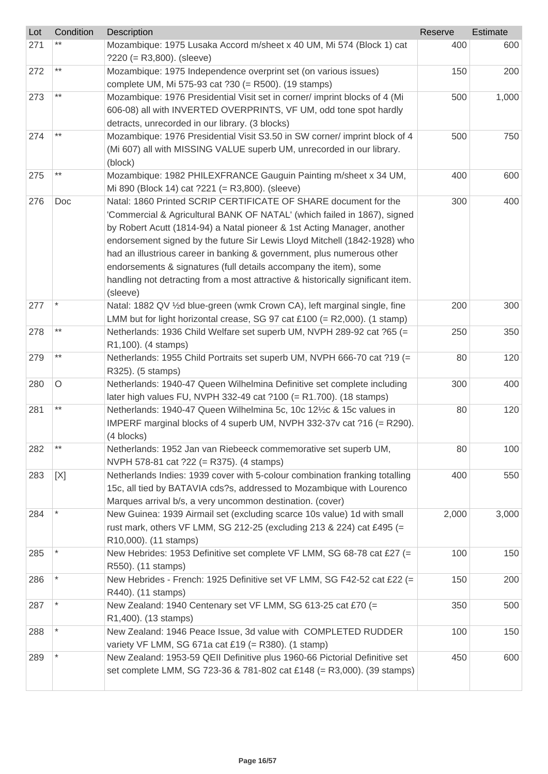| Lot | Condition       | Description                                                                                                                                                                                                                                                                                                                                                                                                                                                                                                                                       | Reserve | Estimate |
|-----|-----------------|---------------------------------------------------------------------------------------------------------------------------------------------------------------------------------------------------------------------------------------------------------------------------------------------------------------------------------------------------------------------------------------------------------------------------------------------------------------------------------------------------------------------------------------------------|---------|----------|
| 271 |                 | Mozambique: 1975 Lusaka Accord m/sheet x 40 UM, Mi 574 (Block 1) cat<br>$?220 (= R3,800).$ (sleeve)                                                                                                                                                                                                                                                                                                                                                                                                                                               | 400     | 600      |
| 272 | $***$           | Mozambique: 1975 Independence overprint set (on various issues)<br>complete UM, Mi 575-93 cat ?30 (= R500). (19 stamps)                                                                                                                                                                                                                                                                                                                                                                                                                           | 150     | 200      |
| 273 | $^{\star\star}$ | Mozambique: 1976 Presidential Visit set in corner/ imprint blocks of 4 (Mi<br>606-08) all with INVERTED OVERPRINTS, VF UM, odd tone spot hardly<br>detracts, unrecorded in our library. (3 blocks)                                                                                                                                                                                                                                                                                                                                                | 500     | 1,000    |
| 274 | $^{\star\star}$ | Mozambique: 1976 Presidential Visit S3.50 in SW corner/ imprint block of 4<br>(Mi 607) all with MISSING VALUE superb UM, unrecorded in our library.<br>(block)                                                                                                                                                                                                                                                                                                                                                                                    | 500     | 750      |
| 275 | $^{\star\star}$ | Mozambique: 1982 PHILEXFRANCE Gauguin Painting m/sheet x 34 UM,<br>Mi 890 (Block 14) cat ?221 (= R3,800). (sleeve)                                                                                                                                                                                                                                                                                                                                                                                                                                | 400     | 600      |
| 276 | Doc             | Natal: 1860 Printed SCRIP CERTIFICATE OF SHARE document for the<br>'Commercial & Agricultural BANK OF NATAL' (which failed in 1867), signed<br>by Robert Acutt (1814-94) a Natal pioneer & 1st Acting Manager, another<br>endorsement signed by the future Sir Lewis Lloyd Mitchell (1842-1928) who<br>had an illustrious career in banking & government, plus numerous other<br>endorsements & signatures (full details accompany the item), some<br>handling not detracting from a most attractive & historically significant item.<br>(sleeve) | 300     | 400      |
| 277 | $\star$         | Natal: 1882 QV 1/2d blue-green (wmk Crown CA), left marginal single, fine<br>LMM but for light horizontal crease, SG 97 cat £100 (= $R2,000$ ). (1 stamp)                                                                                                                                                                                                                                                                                                                                                                                         | 200     | 300      |
| 278 | $***$           | Netherlands: 1936 Child Welfare set superb UM, NVPH 289-92 cat ?65 (=<br>R1,100). (4 stamps)                                                                                                                                                                                                                                                                                                                                                                                                                                                      | 250     | 350      |
| 279 | $***$           | Netherlands: 1955 Child Portraits set superb UM, NVPH 666-70 cat ?19 (=<br>R325). (5 stamps)                                                                                                                                                                                                                                                                                                                                                                                                                                                      | 80      | 120      |
| 280 | $\circ$         | Netherlands: 1940-47 Queen Wilhelmina Definitive set complete including<br>later high values FU, NVPH 332-49 cat ?100 (= R1.700). (18 stamps)                                                                                                                                                                                                                                                                                                                                                                                                     | 300     | 400      |
| 281 | $***$           | Netherlands: 1940-47 Queen Wilhelmina 5c, 10c 121/2c & 15c values in<br>IMPERF marginal blocks of 4 superb UM, NVPH 332-37v cat ?16 (= R290).<br>(4 blocks)                                                                                                                                                                                                                                                                                                                                                                                       | 80      | 120      |
| 282 | $***$           | Netherlands: 1952 Jan van Riebeeck commemorative set superb UM,<br>NVPH 578-81 cat ?22 (= R375). (4 stamps)                                                                                                                                                                                                                                                                                                                                                                                                                                       | 80      | 100      |
| 283 | [X]             | Netherlands Indies: 1939 cover with 5-colour combination franking totalling<br>15c, all tied by BATAVIA cds?s, addressed to Mozambique with Lourenco<br>Marques arrival b/s, a very uncommon destination. (cover)                                                                                                                                                                                                                                                                                                                                 | 400     | 550      |
| 284 |                 | New Guinea: 1939 Airmail set (excluding scarce 10s value) 1d with small<br>rust mark, others VF LMM, SG 212-25 (excluding 213 & 224) cat £495 (=<br>R10,000). (11 stamps)                                                                                                                                                                                                                                                                                                                                                                         | 2,000   | 3,000    |
| 285 |                 | New Hebrides: 1953 Definitive set complete VF LMM, SG 68-78 cat £27 (=<br>R550). (11 stamps)                                                                                                                                                                                                                                                                                                                                                                                                                                                      | 100     | 150      |
| 286 |                 | New Hebrides - French: 1925 Definitive set VF LMM, SG F42-52 cat £22 (=<br>R440). (11 stamps)                                                                                                                                                                                                                                                                                                                                                                                                                                                     | 150     | 200      |
| 287 |                 | New Zealand: 1940 Centenary set VF LMM, SG 613-25 cat £70 (=<br>R1,400). (13 stamps)                                                                                                                                                                                                                                                                                                                                                                                                                                                              | 350     | 500      |
| 288 |                 | New Zealand: 1946 Peace Issue, 3d value with COMPLETED RUDDER<br>variety VF LMM, SG 671a cat £19 (= R380). (1 stamp)                                                                                                                                                                                                                                                                                                                                                                                                                              | 100     | 150      |
| 289 |                 | New Zealand: 1953-59 QEII Definitive plus 1960-66 Pictorial Definitive set<br>set complete LMM, SG 723-36 & 781-802 cat £148 (= R3,000). (39 stamps)                                                                                                                                                                                                                                                                                                                                                                                              | 450     | 600      |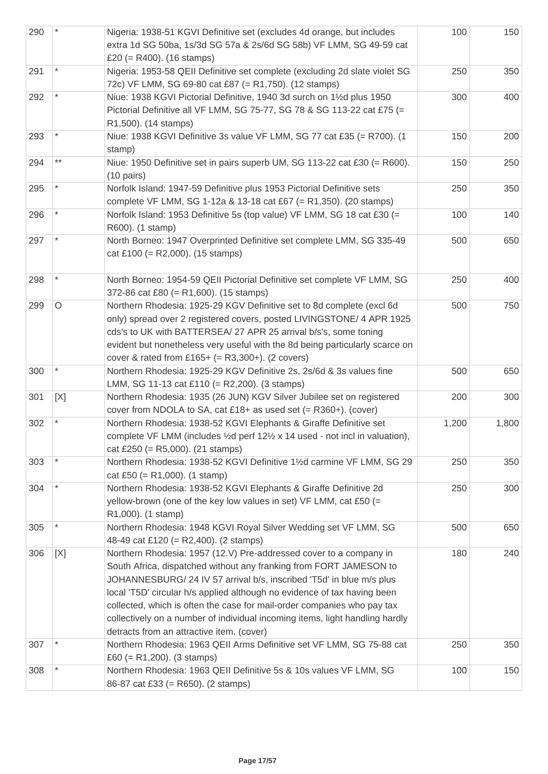| 290 |                 | Nigeria: 1938-51 KGVI Definitive set (excludes 4d orange, but includes<br>extra 1d SG 50ba, 1s/3d SG 57a & 2s/6d SG 58b) VF LMM, SG 49-59 cat<br>£20 $(= R400)$ . (16 stamps)                                                                                                                                                                                                                                                                                                                        | 100   | 150   |
|-----|-----------------|------------------------------------------------------------------------------------------------------------------------------------------------------------------------------------------------------------------------------------------------------------------------------------------------------------------------------------------------------------------------------------------------------------------------------------------------------------------------------------------------------|-------|-------|
| 291 |                 | Nigeria: 1953-58 QEII Definitive set complete (excluding 2d slate violet SG<br>72c) VF LMM, SG 69-80 cat £87 (= R1,750). (12 stamps)                                                                                                                                                                                                                                                                                                                                                                 | 250   | 350   |
| 292 |                 | Niue: 1938 KGVI Pictorial Definitive, 1940 3d surch on 11/2d plus 1950<br>Pictorial Definitive all VF LMM, SG 75-77, SG 78 & SG 113-22 cat £75 (=<br>R1,500). (14 stamps)                                                                                                                                                                                                                                                                                                                            | 300   | 400   |
| 293 |                 | Niue: 1938 KGVI Definitive 3s value VF LMM, SG 77 cat £35 (= R700). (1<br>stamp)                                                                                                                                                                                                                                                                                                                                                                                                                     | 150   | 200   |
| 294 | $^{\star\star}$ | Niue: 1950 Definitive set in pairs superb UM, SG 113-22 cat £30 (= R600).<br>$(10 \text{ pairs})$                                                                                                                                                                                                                                                                                                                                                                                                    | 150   | 250   |
| 295 |                 | Norfolk Island: 1947-59 Definitive plus 1953 Pictorial Definitive sets<br>complete VF LMM, SG 1-12a & 13-18 cat £67 (= R1,350). (20 stamps)                                                                                                                                                                                                                                                                                                                                                          | 250   | 350   |
| 296 |                 | Norfolk Island: 1953 Definitive 5s (top value) VF LMM, SG 18 cat £30 (=<br>R600). (1 stamp)                                                                                                                                                                                                                                                                                                                                                                                                          | 100   | 140   |
| 297 |                 | North Borneo: 1947 Overprinted Definitive set complete LMM, SG 335-49<br>cat £100 (= R2,000). (15 stamps)                                                                                                                                                                                                                                                                                                                                                                                            | 500   | 650   |
| 298 |                 | North Borneo: 1954-59 QEII Pictorial Definitive set complete VF LMM, SG<br>372-86 cat £80 (= R1,600). (15 stamps)                                                                                                                                                                                                                                                                                                                                                                                    | 250   | 400   |
| 299 | $\circ$         | Northern Rhodesia: 1925-29 KGV Definitive set to 8d complete (excl 6d<br>only) spread over 2 registered covers, posted LIVINGSTONE/ 4 APR 1925<br>cds's to UK with BATTERSEA/ 27 APR 25 arrival b/s's, some toning<br>evident but nonetheless very useful with the 8d being particularly scarce on<br>cover & rated from £165+ (= $R3,300+$ ). (2 covers)                                                                                                                                            | 500   | 750   |
| 300 |                 | Northern Rhodesia: 1925-29 KGV Definitive 2s, 2s/6d & 3s values fine<br>LMM, SG 11-13 cat £110 (= R2,200). (3 stamps)                                                                                                                                                                                                                                                                                                                                                                                | 500   | 650   |
| 301 | [X]             | Northern Rhodesia: 1935 (26 JUN) KGV Silver Jubilee set on registered<br>cover from NDOLA to SA, cat £18+ as used set $(= R360+)$ . (cover)                                                                                                                                                                                                                                                                                                                                                          | 200   | 300   |
| 302 |                 | Northern Rhodesia: 1938-52 KGVI Elephants & Giraffe Definitive set<br>complete VF LMM (includes 1/2d perf 121/2 x 14 used - not incl in valuation),<br>cat £250 (= $R5,000$ ). (21 stamps)                                                                                                                                                                                                                                                                                                           | 1,200 | 1,800 |
| 303 |                 | Northern Rhodesia: 1938-52 KGVI Definitive 11/2d carmine VF LMM, SG 29<br>cat £50 (= R1,000). (1 stamp)                                                                                                                                                                                                                                                                                                                                                                                              | 250   | 350   |
| 304 |                 | Northern Rhodesia: 1938-52 KGVI Elephants & Giraffe Definitive 2d<br>yellow-brown (one of the key low values in set) VF LMM, cat £50 (=<br>R1,000). (1 stamp)                                                                                                                                                                                                                                                                                                                                        | 250   | 300   |
| 305 |                 | Northern Rhodesia: 1948 KGVI Royal Silver Wedding set VF LMM, SG<br>48-49 cat £120 (= R2,400). (2 stamps)                                                                                                                                                                                                                                                                                                                                                                                            | 500   | 650   |
| 306 | [X]             | Northern Rhodesia: 1957 (12.V) Pre-addressed cover to a company in<br>South Africa, dispatched without any franking from FORT JAMESON to<br>JOHANNESBURG/ 24 IV 57 arrival b/s, inscribed 'T5d' in blue m/s plus<br>local 'T5D' circular h/s applied although no evidence of tax having been<br>collected, which is often the case for mail-order companies who pay tax<br>collectively on a number of individual incoming items, light handling hardly<br>detracts from an attractive item. (cover) | 180   | 240   |
| 307 |                 | Northern Rhodesia: 1963 QEII Arms Definitive set VF LMM, SG 75-88 cat<br>£60 (= R1,200). (3 stamps)                                                                                                                                                                                                                                                                                                                                                                                                  | 250   | 350   |
| 308 |                 | Northern Rhodesia: 1963 QEII Definitive 5s & 10s values VF LMM, SG<br>86-87 cat £33 (= R650). (2 stamps)                                                                                                                                                                                                                                                                                                                                                                                             | 100   | 150   |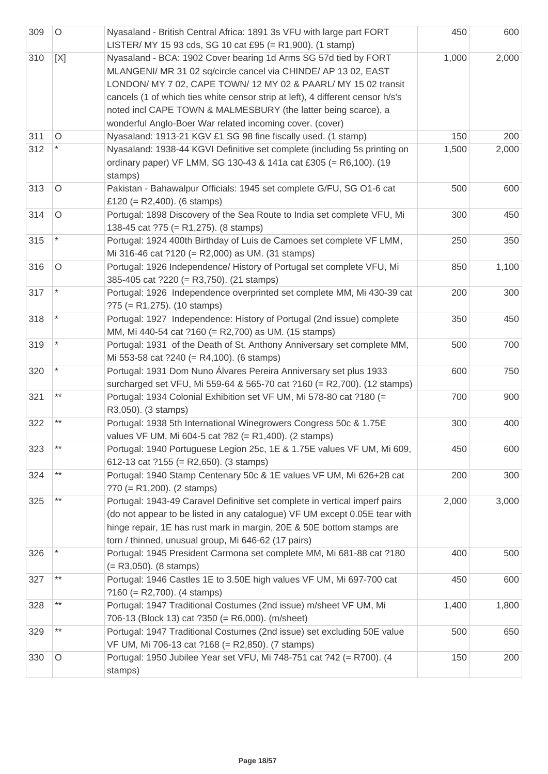| 309 | $\circ$ | Nyasaland - British Central Africa: 1891 3s VFU with large part FORT<br>LISTER/ MY 15 93 cds, SG 10 cat £95 (= R1,900). (1 stamp)                                                                                                                                                                                                                                                                                   | 450   | 600   |
|-----|---------|---------------------------------------------------------------------------------------------------------------------------------------------------------------------------------------------------------------------------------------------------------------------------------------------------------------------------------------------------------------------------------------------------------------------|-------|-------|
| 310 | [X]     | Nyasaland - BCA: 1902 Cover bearing 1d Arms SG 57d tied by FORT<br>MLANGENI/ MR 31 02 sq/circle cancel via CHINDE/ AP 13 02, EAST<br>LONDON/ MY 7 02, CAPE TOWN/ 12 MY 02 & PAARL/ MY 15 02 transit<br>cancels (1 of which ties white censor strip at left), 4 different censor h/s's<br>noted incl CAPE TOWN & MALMESBURY (the latter being scarce), a<br>wonderful Anglo-Boer War related incoming cover. (cover) | 1,000 | 2,000 |
| 311 | $\circ$ | Nyasaland: 1913-21 KGV £1 SG 98 fine fiscally used. (1 stamp)                                                                                                                                                                                                                                                                                                                                                       | 150   | 200   |
| 312 |         | Nyasaland: 1938-44 KGVI Definitive set complete (including 5s printing on<br>ordinary paper) VF LMM, SG 130-43 & 141a cat £305 (= R6,100). (19<br>stamps)                                                                                                                                                                                                                                                           | 1,500 | 2,000 |
| 313 | $\circ$ | Pakistan - Bahawalpur Officials: 1945 set complete G/FU, SG O1-6 cat<br>£120 (= R2,400). (6 stamps)                                                                                                                                                                                                                                                                                                                 | 500   | 600   |
| 314 | O       | Portugal: 1898 Discovery of the Sea Route to India set complete VFU, Mi<br>138-45 cat ?75 (= R1,275). (8 stamps)                                                                                                                                                                                                                                                                                                    | 300   | 450   |
| 315 |         | Portugal: 1924 400th Birthday of Luis de Camoes set complete VF LMM,<br>Mi 316-46 cat ?120 (= R2,000) as UM. (31 stamps)                                                                                                                                                                                                                                                                                            | 250   | 350   |
| 316 | $\circ$ | Portugal: 1926 Independence/ History of Portugal set complete VFU, Mi<br>385-405 cat ?220 (= R3,750). (21 stamps)                                                                                                                                                                                                                                                                                                   | 850   | 1,100 |
| 317 |         | Portugal: 1926 Independence overprinted set complete MM, Mi 430-39 cat<br>$?75 (= R1,275)$ . (10 stamps)                                                                                                                                                                                                                                                                                                            | 200   | 300   |
| 318 |         | Portugal: 1927 Independence: History of Portugal (2nd issue) complete<br>MM, Mi 440-54 cat ?160 (= R2,700) as UM. (15 stamps)                                                                                                                                                                                                                                                                                       | 350   | 450   |
| 319 |         | Portugal: 1931 of the Death of St. Anthony Anniversary set complete MM,<br>Mi 553-58 cat ?240 (= R4,100). (6 stamps)                                                                                                                                                                                                                                                                                                | 500   | 700   |
| 320 |         | Portugal: 1931 Dom Nuno Álvares Pereira Anniversary set plus 1933<br>surcharged set VFU, Mi 559-64 & 565-70 cat ?160 (= R2,700). (12 stamps)                                                                                                                                                                                                                                                                        | 600   | 750   |
| 321 | $***$   | Portugal: 1934 Colonial Exhibition set VF UM, Mi 578-80 cat ?180 (=<br>R3,050). (3 stamps)                                                                                                                                                                                                                                                                                                                          | 700   | 900   |
| 322 | **      | Portugal: 1938 5th International Winegrowers Congress 50c & 1.75E<br>values VF UM, Mi 604-5 cat ?82 (= R1,400). (2 stamps)                                                                                                                                                                                                                                                                                          | 300   | 400   |
| 323 | $***$   | Portugal: 1940 Portuguese Legion 25c, 1E & 1.75E values VF UM, Mi 609,<br>612-13 cat ?155 (= R2,650). (3 stamps)                                                                                                                                                                                                                                                                                                    | 450   | 600   |
| 324 | $***$   | Portugal: 1940 Stamp Centenary 50c & 1E values VF UM, Mi 626+28 cat<br>$?70 (= R1,200)$ . (2 stamps)                                                                                                                                                                                                                                                                                                                | 200   | 300   |
| 325 | $***$   | Portugal: 1943-49 Caravel Definitive set complete in vertical imperf pairs<br>(do not appear to be listed in any catalogue) VF UM except 0.05E tear with<br>hinge repair, 1E has rust mark in margin, 20E & 50E bottom stamps are<br>torn / thinned, unusual group, Mi 646-62 (17 pairs)                                                                                                                            | 2,000 | 3,000 |
| 326 |         | Portugal: 1945 President Carmona set complete MM, Mi 681-88 cat ?180<br>$(= R3,050)$ . (8 stamps)                                                                                                                                                                                                                                                                                                                   | 400   | 500   |
| 327 | $***$   | Portugal: 1946 Castles 1E to 3.50E high values VF UM, Mi 697-700 cat<br>$?160 (= R2,700)$ . (4 stamps)                                                                                                                                                                                                                                                                                                              | 450   | 600   |
| 328 | $***$   | Portugal: 1947 Traditional Costumes (2nd issue) m/sheet VF UM, Mi<br>706-13 (Block 13) cat ?350 (= R6,000). (m/sheet)                                                                                                                                                                                                                                                                                               | 1,400 | 1,800 |
| 329 | $***$   | Portugal: 1947 Traditional Costumes (2nd issue) set excluding 50E value<br>VF UM, Mi 706-13 cat ?168 (= R2,850). (7 stamps)                                                                                                                                                                                                                                                                                         | 500   | 650   |
| 330 | $\circ$ | Portugal: 1950 Jubilee Year set VFU, Mi 748-751 cat ?42 (= R700). (4<br>stamps)                                                                                                                                                                                                                                                                                                                                     | 150   | 200   |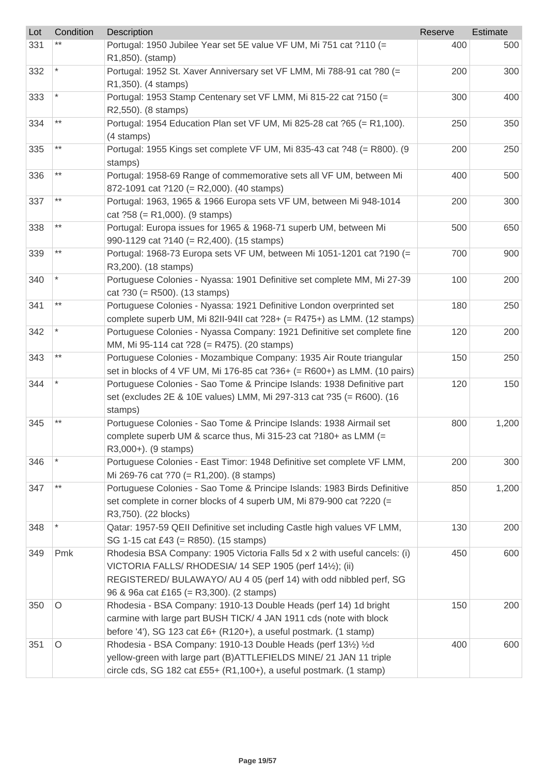| Lot | Condition       | <b>Description</b>                                                                                                                    | Reserve | Estimate |
|-----|-----------------|---------------------------------------------------------------------------------------------------------------------------------------|---------|----------|
| 331 |                 | Portugal: 1950 Jubilee Year set 5E value VF UM, Mi 751 cat ?110 (=                                                                    | 400     | 500      |
|     |                 | R1,850). (stamp)                                                                                                                      |         |          |
| 332 |                 | Portugal: 1952 St. Xaver Anniversary set VF LMM, Mi 788-91 cat ?80 (=                                                                 | 200     | 300      |
|     |                 | R1,350). (4 stamps)                                                                                                                   |         |          |
| 333 |                 | Portugal: 1953 Stamp Centenary set VF LMM, Mi 815-22 cat ?150 (=                                                                      | 300     | 400      |
|     | $^{\star\star}$ | R2,550). (8 stamps)                                                                                                                   |         |          |
| 334 |                 | Portugal: 1954 Education Plan set VF UM, Mi 825-28 cat ?65 (= R1,100).                                                                | 250     | 350      |
|     | $^{\star\star}$ | (4 stamps)                                                                                                                            |         |          |
| 335 |                 | Portugal: 1955 Kings set complete VF UM, Mi 835-43 cat ?48 (= R800). (9                                                               | 200     | 250      |
| 336 | $***$           | stamps)<br>Portugal: 1958-69 Range of commemorative sets all VF UM, between Mi                                                        | 400     | 500      |
|     |                 | 872-1091 cat ?120 (= R2,000). (40 stamps)                                                                                             |         |          |
| 337 | $\star\star$    | Portugal: 1963, 1965 & 1966 Europa sets VF UM, between Mi 948-1014                                                                    | 200     | 300      |
|     |                 | cat $?58 (= R1,000)$ . (9 stamps)                                                                                                     |         |          |
| 338 | $***$           | Portugal: Europa issues for 1965 & 1968-71 superb UM, between Mi                                                                      | 500     | 650      |
|     |                 | 990-1129 cat ?140 (= R2,400). (15 stamps)                                                                                             |         |          |
| 339 | $***$           | Portugal: 1968-73 Europa sets VF UM, between Mi 1051-1201 cat ?190 (=                                                                 | 700     | 900      |
|     |                 | R3,200). (18 stamps)                                                                                                                  |         |          |
| 340 |                 | Portuguese Colonies - Nyassa: 1901 Definitive set complete MM, Mi 27-39                                                               | 100     | 200      |
|     |                 | cat $?30 (= R500)$ . (13 stamps)                                                                                                      |         |          |
| 341 | $^{\star\star}$ | Portuguese Colonies - Nyassa: 1921 Definitive London overprinted set                                                                  | 180     | 250      |
|     |                 | complete superb UM, Mi 82II-94II cat $?28 + (= R475+)$ as LMM. (12 stamps)                                                            |         |          |
| 342 |                 | Portuguese Colonies - Nyassa Company: 1921 Definitive set complete fine                                                               | 120     | 200      |
|     |                 | MM, Mi 95-114 cat ?28 (= R475). (20 stamps)                                                                                           |         |          |
| 343 | $***$           | Portuguese Colonies - Mozambique Company: 1935 Air Route triangular                                                                   | 150     | 250      |
|     |                 | set in blocks of 4 VF UM, Mi 176-85 cat ?36+ (= R600+) as LMM. (10 pairs)                                                             |         |          |
| 344 |                 | Portuguese Colonies - Sao Tome & Principe Islands: 1938 Definitive part                                                               | 120     | 150      |
|     |                 | set (excludes 2E & 10E values) LMM, Mi 297-313 cat ?35 (= R600). (16                                                                  |         |          |
| 345 |                 | stamps)<br>Portuguese Colonies - Sao Tome & Principe Islands: 1938 Airmail set                                                        | 800     | 1,200    |
|     |                 | complete superb UM & scarce thus, Mi 315-23 cat ?180+ as LMM (=                                                                       |         |          |
|     |                 | R3,000+). (9 stamps)                                                                                                                  |         |          |
| 346 |                 | Portuguese Colonies - East Timor: 1948 Definitive set complete VF LMM,                                                                | 200     | 300      |
|     |                 | Mi 269-76 cat ?70 (= R1,200). (8 stamps)                                                                                              |         |          |
| 347 | $^{\star\star}$ | Portuguese Colonies - Sao Tome & Principe Islands: 1983 Birds Definitive                                                              | 850     | 1,200    |
|     |                 | set complete in corner blocks of 4 superb UM, Mi 879-900 cat ?220 (=                                                                  |         |          |
|     |                 | R3,750). (22 blocks)                                                                                                                  |         |          |
| 348 |                 | Qatar: 1957-59 QEII Definitive set including Castle high values VF LMM,                                                               | 130     | 200      |
|     |                 | SG 1-15 cat £43 (= R850). (15 stamps)                                                                                                 |         |          |
| 349 | Pmk             | Rhodesia BSA Company: 1905 Victoria Falls 5d x 2 with useful cancels: (i)                                                             | 450     | 600      |
|     |                 | VICTORIA FALLS/ RHODESIA/ 14 SEP 1905 (perf 141/2); (ii)                                                                              |         |          |
|     |                 | REGISTERED/ BULAWAYO/ AU 4 05 (perf 14) with odd nibbled perf, SG                                                                     |         |          |
|     |                 | 96 & 96a cat £165 (= R3,300). (2 stamps)                                                                                              |         |          |
| 350 | $\circ$         | Rhodesia - BSA Company: 1910-13 Double Heads (perf 14) 1d bright                                                                      | 150     | 200      |
|     |                 | carmine with large part BUSH TICK/ 4 JAN 1911 cds (note with block                                                                    |         |          |
|     |                 | before '4'), SG 123 cat £6+ (R120+), a useful postmark. (1 stamp)                                                                     |         |          |
| 351 | O               | Rhodesia - BSA Company: 1910-13 Double Heads (perf 131/2) 1/2d<br>yellow-green with large part (B) ATTLEFIELDS MINE/ 21 JAN 11 triple | 400     | 600      |
|     |                 | circle cds, SG 182 cat £55+ (R1,100+), a useful postmark. (1 stamp)                                                                   |         |          |
|     |                 |                                                                                                                                       |         |          |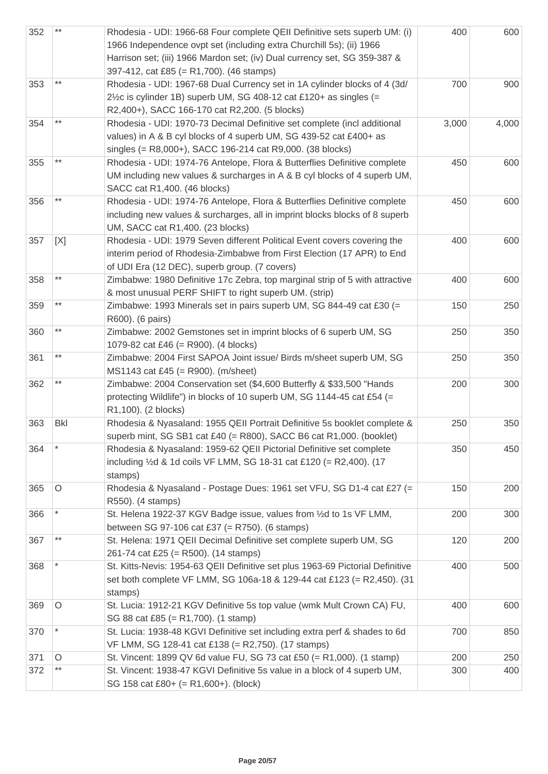| 352 | $***$      | Rhodesia - UDI: 1966-68 Four complete QEII Definitive sets superb UM: (i)<br>1966 Independence ovpt set (including extra Churchill 5s); (ii) 1966<br>Harrison set; (iii) 1966 Mardon set; (iv) Dual currency set, SG 359-387 &<br>397-412, cat £85 (= R1,700). (46 stamps) | 400   | 600   |
|-----|------------|----------------------------------------------------------------------------------------------------------------------------------------------------------------------------------------------------------------------------------------------------------------------------|-------|-------|
| 353 | $***$      | Rhodesia - UDI: 1967-68 Dual Currency set in 1A cylinder blocks of 4 (3d/<br>2½c is cylinder 1B) superb UM, SG 408-12 cat £120+ as singles (=<br>R2,400+), SACC 166-170 cat R2,200. (5 blocks)                                                                             | 700   | 900   |
| 354 | $***$      | Rhodesia - UDI: 1970-73 Decimal Definitive set complete (incl additional<br>values) in A & B cyl blocks of 4 superb UM, SG 439-52 cat £400+ as<br>singles (= R8,000+), SACC 196-214 cat R9,000. (38 blocks)                                                                | 3,000 | 4,000 |
| 355 | $***$      | Rhodesia - UDI: 1974-76 Antelope, Flora & Butterflies Definitive complete<br>UM including new values & surcharges in A & B cyl blocks of 4 superb UM,<br>SACC cat R1,400. (46 blocks)                                                                                      | 450   | 600   |
| 356 | $***$      | Rhodesia - UDI: 1974-76 Antelope, Flora & Butterflies Definitive complete<br>including new values & surcharges, all in imprint blocks blocks of 8 superb<br>UM, SACC cat R1,400. (23 blocks)                                                                               | 450   | 600   |
| 357 | [X]        | Rhodesia - UDI: 1979 Seven different Political Event covers covering the<br>interim period of Rhodesia-Zimbabwe from First Election (17 APR) to End<br>of UDI Era (12 DEC), superb group. (7 covers)                                                                       | 400   | 600   |
| 358 | $***$      | Zimbabwe: 1980 Definitive 17c Zebra, top marginal strip of 5 with attractive<br>& most unusual PERF SHIFT to right superb UM. (strip)                                                                                                                                      | 400   | 600   |
| 359 | $***$      | Zimbabwe: 1993 Minerals set in pairs superb UM, SG 844-49 cat £30 (=<br>R600). (6 pairs)                                                                                                                                                                                   | 150   | 250   |
| 360 | $***$      | Zimbabwe: 2002 Gemstones set in imprint blocks of 6 superb UM, SG<br>1079-82 cat £46 (= R900). (4 blocks)                                                                                                                                                                  | 250   | 350   |
| 361 | $***$      | Zimbabwe: 2004 First SAPOA Joint issue/ Birds m/sheet superb UM, SG<br>MS1143 cat £45 (= R900). (m/sheet)                                                                                                                                                                  | 250   | 350   |
| 362 | $***$      | Zimbabwe: 2004 Conservation set (\$4,600 Butterfly & \$33,500 "Hands<br>protecting Wildlife") in blocks of 10 superb UM, SG 1144-45 cat £54 (=<br>R1,100). (2 blocks)                                                                                                      | 200   | 300   |
| 363 | <b>Bkl</b> | Rhodesia & Nyasaland: 1955 QEII Portrait Definitive 5s booklet complete &<br>superb mint, SG SB1 cat £40 (= R800), SACC B6 cat R1,000. (booklet)                                                                                                                           | 250   | 350   |
| 364 | $\star$    | Rhodesia & Nyasaland: 1959-62 QEII Pictorial Definitive set complete<br>including $\frac{1}{2}$ d & 1d coils VF LMM, SG 18-31 cat £120 (= R2,400). (17<br>stamps)                                                                                                          | 350   | 450   |
| 365 | $\circ$    | Rhodesia & Nyasaland - Postage Dues: 1961 set VFU, SG D1-4 cat £27 (=<br>R550). (4 stamps)                                                                                                                                                                                 | 150   | 200   |
| 366 | *          | St. Helena 1922-37 KGV Badge issue, values from 1/2d to 1s VF LMM,<br>between SG 97-106 cat £37 (= R750). (6 stamps)                                                                                                                                                       | 200   | 300   |
| 367 | $***$      | St. Helena: 1971 QEII Decimal Definitive set complete superb UM, SG<br>261-74 cat £25 (= R500). (14 stamps)                                                                                                                                                                | 120   | 200   |
| 368 |            | St. Kitts-Nevis: 1954-63 QEII Definitive set plus 1963-69 Pictorial Definitive<br>set both complete VF LMM, SG 106a-18 & 129-44 cat £123 (= R2,450). (31<br>stamps)                                                                                                        | 400   | 500   |
| 369 | O          | St. Lucia: 1912-21 KGV Definitive 5s top value (wmk Mult Crown CA) FU,<br>SG 88 cat £85 (= R1,700). (1 stamp)                                                                                                                                                              | 400   | 600   |
| 370 | $\star$    | St. Lucia: 1938-48 KGVI Definitive set including extra perf & shades to 6d<br>VF LMM, SG 128-41 cat £138 (= R2,750). (17 stamps)                                                                                                                                           | 700   | 850   |
| 371 | O          | St. Vincent: 1899 QV 6d value FU, SG 73 cat £50 (= R1,000). (1 stamp)                                                                                                                                                                                                      | 200   | 250   |
| 372 | $***$      | St. Vincent: 1938-47 KGVI Definitive 5s value in a block of 4 superb UM,<br>SG 158 cat £80+ (= R1,600+). (block)                                                                                                                                                           | 300   | 400   |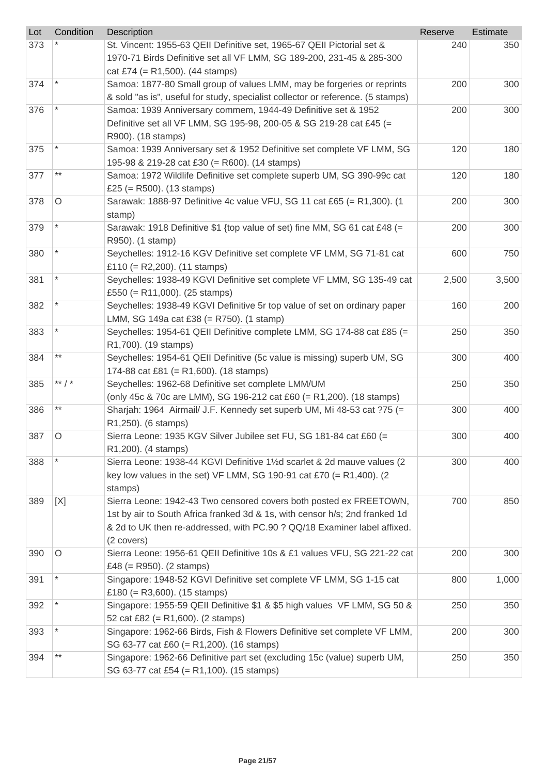| Lot | Condition | Description                                                                                                                                                                                                                                 | Reserve | Estimate |
|-----|-----------|---------------------------------------------------------------------------------------------------------------------------------------------------------------------------------------------------------------------------------------------|---------|----------|
| 373 |           | St. Vincent: 1955-63 QEII Definitive set, 1965-67 QEII Pictorial set &<br>1970-71 Birds Definitive set all VF LMM, SG 189-200, 231-45 & 285-300<br>cat £74 (= $R1,500$ ). (44 stamps)                                                       | 240     | 350      |
| 374 |           | Samoa: 1877-80 Small group of values LMM, may be forgeries or reprints<br>& sold "as is", useful for study, specialist collector or reference. (5 stamps)                                                                                   | 200     | 300      |
| 376 |           | Samoa: 1939 Anniversary commem, 1944-49 Definitive set & 1952<br>Definitive set all VF LMM, SG 195-98, 200-05 & SG 219-28 cat £45 (=<br>R900). (18 stamps)                                                                                  | 200     | 300      |
| 375 |           | Samoa: 1939 Anniversary set & 1952 Definitive set complete VF LMM, SG<br>195-98 & 219-28 cat £30 (= R600). (14 stamps)                                                                                                                      | 120     | 180      |
| 377 | $***$     | Samoa: 1972 Wildlife Definitive set complete superb UM, SG 390-99c cat<br>£25 (= R500). $(13 \text{ stamps})$                                                                                                                               | 120     | 180      |
| 378 | $\circ$   | Sarawak: 1888-97 Definitive 4c value VFU, SG 11 cat £65 (= R1,300). (1<br>stamp)                                                                                                                                                            | 200     | 300      |
| 379 |           | Sarawak: 1918 Definitive \$1 {top value of set) fine MM, SG 61 cat £48 (=<br>R950). (1 stamp)                                                                                                                                               | 200     | 300      |
| 380 |           | Seychelles: 1912-16 KGV Definitive set complete VF LMM, SG 71-81 cat<br>£110 (= R2,200). $(11 \text{ stamps})$                                                                                                                              | 600     | 750      |
| 381 |           | Seychelles: 1938-49 KGVI Definitive set complete VF LMM, SG 135-49 cat<br>£550 (= R11,000). (25 stamps)                                                                                                                                     | 2,500   | 3,500    |
| 382 |           | Seychelles: 1938-49 KGVI Definitive 5r top value of set on ordinary paper<br>LMM, SG 149a cat £38 (= R750). (1 stamp)                                                                                                                       | 160     | 200      |
| 383 |           | Seychelles: 1954-61 QEII Definitive complete LMM, SG 174-88 cat £85 (=<br>R1,700). (19 stamps)                                                                                                                                              | 250     | 350      |
| 384 | $***$     | Seychelles: 1954-61 QEII Definitive (5c value is missing) superb UM, SG<br>174-88 cat £81 (= R1,600). (18 stamps)                                                                                                                           | 300     | 400      |
| 385 | ** $/$ *  | Seychelles: 1962-68 Definitive set complete LMM/UM<br>(only 45c & 70c are LMM), SG 196-212 cat £60 (= R1,200). (18 stamps)                                                                                                                  | 250     | 350      |
| 386 | $***$     | Sharjah: 1964 Airmail/ J.F. Kennedy set superb UM, Mi 48-53 cat ?75 (=<br>R1,250). (6 stamps)                                                                                                                                               | 300     | 400      |
| 387 | ∩         | Sierra Leone: 1935 KGV Silver Jubilee set FU, SG 181-84 cat £60 (=<br>R1,200). (4 stamps)                                                                                                                                                   | 300     | 400      |
| 388 |           | Sierra Leone: 1938-44 KGVI Definitive 11/2d scarlet & 2d mauve values (2<br>key low values in the set) VF LMM, SG 190-91 cat £70 (= R1,400). (2<br>stamps)                                                                                  | 300     | 400      |
| 389 | [X]       | Sierra Leone: 1942-43 Two censored covers both posted ex FREETOWN,<br>1st by air to South Africa franked 3d & 1s, with censor h/s; 2nd franked 1d<br>& 2d to UK then re-addressed, with PC.90 ? QQ/18 Examiner label affixed.<br>(2 covers) | 700     | 850      |
| 390 | $\circ$   | Sierra Leone: 1956-61 QEII Definitive 10s & £1 values VFU, SG 221-22 cat<br>£48 (= R950). $(2 \text{ stamps})$                                                                                                                              | 200     | 300      |
| 391 | $\star$   | Singapore: 1948-52 KGVI Definitive set complete VF LMM, SG 1-15 cat<br>£180 (= $R3,600$ ). (15 stamps)                                                                                                                                      | 800     | 1,000    |
| 392 |           | Singapore: 1955-59 QEII Definitive \$1 & \$5 high values VF LMM, SG 50 &<br>52 cat £82 (= $R1,600$ ). (2 stamps)                                                                                                                            | 250     | 350      |
| 393 |           | Singapore: 1962-66 Birds, Fish & Flowers Definitive set complete VF LMM,<br>SG 63-77 cat £60 (= R1,200). (16 stamps)                                                                                                                        | 200     | 300      |
| 394 | $***$     | Singapore: 1962-66 Definitive part set (excluding 15c (value) superb UM,<br>SG 63-77 cat £54 (= R1,100). (15 stamps)                                                                                                                        | 250     | 350      |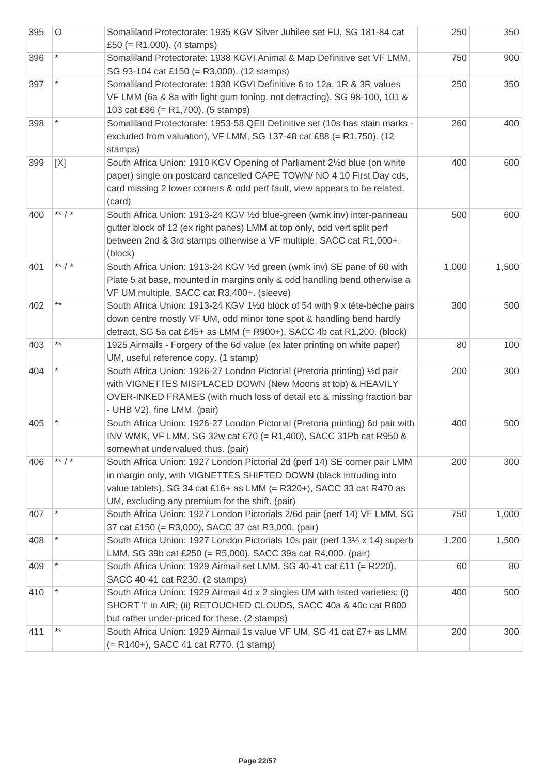| 395 | $\circ$  | Somaliland Protectorate: 1935 KGV Silver Jubilee set FU, SG 181-84 cat<br>£50 (= R1,000). (4 stamps)                                                                                                                                                                      | 250   | 350   |
|-----|----------|---------------------------------------------------------------------------------------------------------------------------------------------------------------------------------------------------------------------------------------------------------------------------|-------|-------|
| 396 |          | Somaliland Protectorate: 1938 KGVI Animal & Map Definitive set VF LMM,<br>SG 93-104 cat £150 (= R3,000). (12 stamps)                                                                                                                                                      | 750   | 900   |
| 397 | $\star$  | Somaliland Protectorate: 1938 KGVI Definitive 6 to 12a, 1R & 3R values<br>VF LMM (6a & 8a with light gum toning, not detracting), SG 98-100, 101 &<br>103 cat £86 (= $R1,700$ ). (5 stamps)                                                                               | 250   | 350   |
| 398 |          | Somaliland Protectorate: 1953-58 QEII Definitive set (10s has stain marks -<br>excluded from valuation), VF LMM, SG 137-48 cat £88 (= R1,750). (12<br>stamps)                                                                                                             | 260   | 400   |
| 399 | [X]      | South Africa Union: 1910 KGV Opening of Parliament 21/2d blue (on white<br>paper) single on postcard cancelled CAPE TOWN/ NO 4 10 First Day cds,<br>card missing 2 lower corners & odd perf fault, view appears to be related.<br>(card)                                  | 400   | 600   |
| 400 | ** $/$ * | South Africa Union: 1913-24 KGV 1/2d blue-green (wmk inv) inter-panneau<br>gutter block of 12 (ex right panes) LMM at top only, odd vert split perf<br>between 2nd & 3rd stamps otherwise a VF multiple, SACC cat R1,000+.<br>(block)                                     | 500   | 600   |
| 401 | ** $/$ * | South Africa Union: 1913-24 KGV 1/2d green (wmk inv) SE pane of 60 with<br>Plate 5 at base, mounted in margins only & odd handling bend otherwise a<br>VF UM multiple, SACC cat R3,400+. (sleeve)                                                                         | 1,000 | 1,500 |
| 402 | $***$    | South Africa Union: 1913-24 KGV 11/2d block of 54 with 9 x téte-béche pairs<br>down centre mostly VF UM, odd minor tone spot & handling bend hardly<br>detract, SG 5a cat £45+ as LMM (= $R900+$ ), SACC 4b cat $R1,200$ . (block)                                        | 300   | 500   |
| 403 | $***$    | 1925 Airmails - Forgery of the 6d value (ex later printing on white paper)<br>UM, useful reference copy. (1 stamp)                                                                                                                                                        | 80    | 100   |
| 404 |          | South Africa Union: 1926-27 London Pictorial (Pretoria printing) 1/2d pair<br>with VIGNETTES MISPLACED DOWN (New Moons at top) & HEAVILY<br>OVER-INKED FRAMES (with much loss of detail etc & missing fraction bar<br>- UHB V2), fine LMM. (pair)                         | 200   | 300   |
| 405 |          | South Africa Union: 1926-27 London Pictorial (Pretoria printing) 6d pair with<br>INV WMK, VF LMM, SG 32w cat £70 (= R1,400), SACC 31Pb cat R950 &<br>somewhat undervalued thus. (pair)                                                                                    | 400   | 500   |
| 406 | ** $/$ * | South Africa Union: 1927 London Pictorial 2d (perf 14) SE corner pair LMM<br>in margin only, with VIGNETTES SHIFTED DOWN (black intruding into<br>value tablets), SG 34 cat £16+ as LMM (= R320+), SACC 33 cat R470 as<br>UM, excluding any premium for the shift. (pair) | 200   | 300   |
| 407 |          | South Africa Union: 1927 London Pictorials 2/6d pair (perf 14) VF LMM, SG<br>37 cat £150 (= R3,000), SACC 37 cat R3,000. (pair)                                                                                                                                           | 750   | 1,000 |
| 408 |          | South Africa Union: 1927 London Pictorials 10s pair (perf 131/2 x 14) superb<br>LMM, SG 39b cat £250 (= R5,000), SACC 39a cat R4,000. (pair)                                                                                                                              | 1,200 | 1,500 |
| 409 |          | South Africa Union: 1929 Airmail set LMM, SG 40-41 cat £11 (= R220),<br>SACC 40-41 cat R230. (2 stamps)                                                                                                                                                                   | 60    | 80    |
| 410 |          | South Africa Union: 1929 Airmail 4d x 2 singles UM with listed varieties: (i)<br>SHORT 'I' in AIR; (ii) RETOUCHED CLOUDS, SACC 40a & 40c cat R800<br>but rather under-priced for these. (2 stamps)                                                                        | 400   | 500   |
| 411 | $***$    | South Africa Union: 1929 Airmail 1s value VF UM, SG 41 cat £7+ as LMM<br>(= R140+), SACC 41 cat R770. (1 stamp)                                                                                                                                                           | 200   | 300   |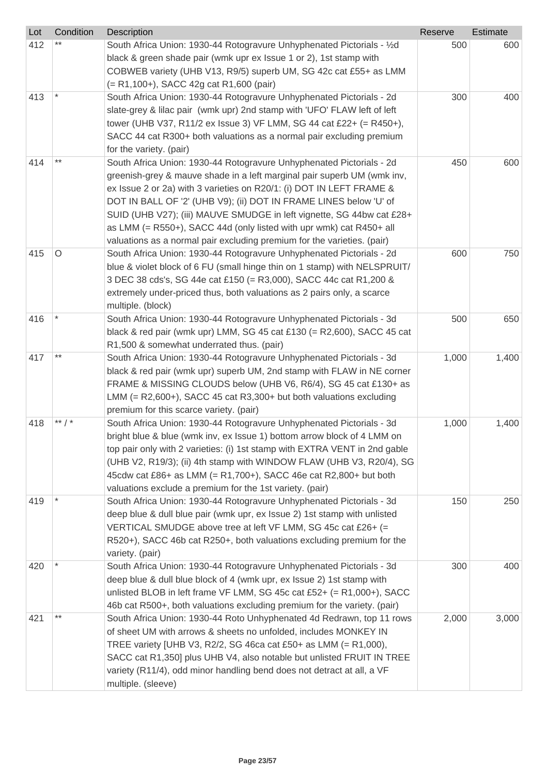| Lot | Condition | Description                                                                | Reserve | Estimate |
|-----|-----------|----------------------------------------------------------------------------|---------|----------|
| 412 |           | South Africa Union: 1930-44 Rotogravure Unhyphenated Pictorials - 1/2d     | 500     | 600      |
|     |           | black & green shade pair (wmk upr ex Issue 1 or 2), 1st stamp with         |         |          |
|     |           | COBWEB variety (UHB V13, R9/5) superb UM, SG 42c cat £55+ as LMM           |         |          |
|     |           | (= R1,100+), SACC 42g cat R1,600 (pair)                                    |         |          |
| 413 |           | South Africa Union: 1930-44 Rotogravure Unhyphenated Pictorials - 2d       | 300     | 400      |
|     |           | slate-grey & lilac pair (wmk upr) 2nd stamp with 'UFO' FLAW left of left   |         |          |
|     |           | tower (UHB V37, R11/2 ex Issue 3) VF LMM, SG 44 cat £22+ (= R450+),        |         |          |
|     |           | SACC 44 cat R300+ both valuations as a normal pair excluding premium       |         |          |
|     |           | for the variety. (pair)                                                    |         |          |
| 414 | $***$     | South Africa Union: 1930-44 Rotogravure Unhyphenated Pictorials - 2d       | 450     | 600      |
|     |           | greenish-grey & mauve shade in a left marginal pair superb UM (wmk inv,    |         |          |
|     |           | ex Issue 2 or 2a) with 3 varieties on R20/1: (i) DOT IN LEFT FRAME &       |         |          |
|     |           | DOT IN BALL OF '2' (UHB V9); (ii) DOT IN FRAME LINES below 'U' of          |         |          |
|     |           | SUID (UHB V27); (iii) MAUVE SMUDGE in left vignette, SG 44bw cat £28+      |         |          |
|     |           | as LMM (= $R550+$ ), SACC 44d (only listed with upr wmk) cat $R450+$ all   |         |          |
|     |           | valuations as a normal pair excluding premium for the varieties. (pair)    |         |          |
| 415 | O         | South Africa Union: 1930-44 Rotogravure Unhyphenated Pictorials - 2d       | 600     | 750      |
|     |           | blue & violet block of 6 FU (small hinge thin on 1 stamp) with NELSPRUIT/  |         |          |
|     |           | 3 DEC 38 cds's, SG 44e cat £150 (= R3,000), SACC 44c cat R1,200 &          |         |          |
|     |           | extremely under-priced thus, both valuations as 2 pairs only, a scarce     |         |          |
|     |           | multiple. (block)                                                          |         |          |
| 416 |           | South Africa Union: 1930-44 Rotogravure Unhyphenated Pictorials - 3d       | 500     | 650      |
|     |           | black & red pair (wmk upr) LMM, SG 45 cat £130 (= R2,600), SACC 45 cat     |         |          |
|     |           | R1,500 & somewhat underrated thus. (pair)                                  |         |          |
| 417 | $***$     | South Africa Union: 1930-44 Rotogravure Unhyphenated Pictorials - 3d       | 1,000   | 1,400    |
|     |           | black & red pair (wmk upr) superb UM, 2nd stamp with FLAW in NE corner     |         |          |
|     |           | FRAME & MISSING CLOUDS below (UHB V6, R6/4), SG 45 cat £130+ as            |         |          |
|     |           | LMM $(= R2,600+)$ , SACC 45 cat R3,300+ but both valuations excluding      |         |          |
|     |           | premium for this scarce variety. (pair)                                    |         |          |
| 418 | ** $/$ *  | South Africa Union: 1930-44 Rotogravure Unhyphenated Pictorials - 3d       | 1,000   | 1,400    |
|     |           | bright blue & blue (wmk inv, ex Issue 1) bottom arrow block of 4 LMM on    |         |          |
|     |           | top pair only with 2 varieties: (i) 1st stamp with EXTRA VENT in 2nd gable |         |          |
|     |           | (UHB V2, R19/3); (ii) 4th stamp with WINDOW FLAW (UHB V3, R20/4), SG       |         |          |
|     |           | 45cdw cat £86+ as LMM (= R1,700+), SACC 46e cat R2,800+ but both           |         |          |
|     |           | valuations exclude a premium for the 1st variety. (pair)                   |         |          |
| 419 |           | South Africa Union: 1930-44 Rotogravure Unhyphenated Pictorials - 3d       | 150     | 250      |
|     |           | deep blue & dull blue pair (wmk upr, ex Issue 2) 1st stamp with unlisted   |         |          |
|     |           | VERTICAL SMUDGE above tree at left VF LMM, SG 45c cat £26+ (=              |         |          |
|     |           | R520+), SACC 46b cat R250+, both valuations excluding premium for the      |         |          |
|     |           | variety. (pair)                                                            |         |          |
| 420 |           | South Africa Union: 1930-44 Rotogravure Unhyphenated Pictorials - 3d       | 300     | 400      |
|     |           | deep blue & dull blue block of 4 (wmk upr, ex Issue 2) 1st stamp with      |         |          |
|     |           | unlisted BLOB in left frame VF LMM, SG 45c cat £52+ $(= R1,000+)$ , SACC   |         |          |
|     |           | 46b cat R500+, both valuations excluding premium for the variety. (pair)   |         |          |
| 421 | $***$     | South Africa Union: 1930-44 Roto Unhyphenated 4d Redrawn, top 11 rows      | 2,000   | 3,000    |
|     |           |                                                                            |         |          |
|     |           | of sheet UM with arrows & sheets no unfolded, includes MONKEY IN           |         |          |
|     |           | TREE variety [UHB V3, R2/2, SG 46ca cat £50+ as LMM (= R1,000),            |         |          |
|     |           | SACC cat R1,350] plus UHB V4, also notable but unlisted FRUIT IN TREE      |         |          |
|     |           | variety (R11/4), odd minor handling bend does not detract at all, a VF     |         |          |
|     |           | multiple. (sleeve)                                                         |         |          |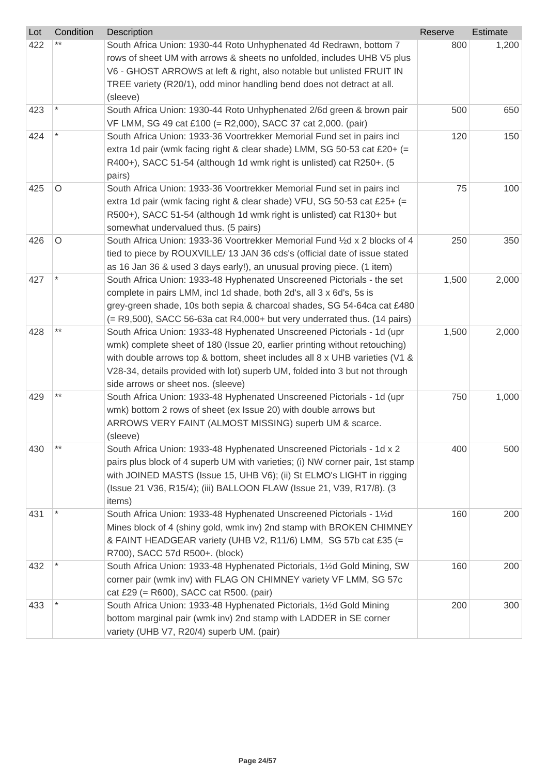| Lot | Condition | Description                                                                                                                                   | Reserve | Estimate |
|-----|-----------|-----------------------------------------------------------------------------------------------------------------------------------------------|---------|----------|
| 422 |           | South Africa Union: 1930-44 Roto Unhyphenated 4d Redrawn, bottom 7<br>rows of sheet UM with arrows & sheets no unfolded, includes UHB V5 plus | 800     | 1,200    |
|     |           | V6 - GHOST ARROWS at left & right, also notable but unlisted FRUIT IN                                                                         |         |          |
|     |           | TREE variety (R20/1), odd minor handling bend does not detract at all.                                                                        |         |          |
|     |           | (sleeve)                                                                                                                                      |         |          |
| 423 |           | South Africa Union: 1930-44 Roto Unhyphenated 2/6d green & brown pair                                                                         | 500     | 650      |
|     |           | VF LMM, SG 49 cat £100 (= R2,000), SACC 37 cat 2,000. (pair)                                                                                  |         |          |
| 424 |           | South Africa Union: 1933-36 Voortrekker Memorial Fund set in pairs incl                                                                       | 120     | 150      |
|     |           | extra 1d pair (wmk facing right & clear shade) LMM, SG 50-53 cat £20+ (=                                                                      |         |          |
|     |           | R400+), SACC 51-54 (although 1d wmk right is unlisted) cat R250+. (5                                                                          |         |          |
|     |           | pairs)                                                                                                                                        |         |          |
| 425 | O         | South Africa Union: 1933-36 Voortrekker Memorial Fund set in pairs incl                                                                       | 75      | 100      |
|     |           | extra 1d pair (wmk facing right & clear shade) VFU, SG 50-53 cat £25+ (=                                                                      |         |          |
|     |           | R500+), SACC 51-54 (although 1d wmk right is unlisted) cat R130+ but                                                                          |         |          |
| 426 | $\circ$   | somewhat undervalued thus. (5 pairs)<br>South Africa Union: 1933-36 Voortrekker Memorial Fund 1/2d x 2 blocks of 4                            | 250     | 350      |
|     |           | tied to piece by ROUXVILLE/ 13 JAN 36 cds's (official date of issue stated                                                                    |         |          |
|     |           | as 16 Jan 36 & used 3 days early!), an unusual proving piece. (1 item)                                                                        |         |          |
| 427 |           | South Africa Union: 1933-48 Hyphenated Unscreened Pictorials - the set                                                                        | 1,500   | 2,000    |
|     |           | complete in pairs LMM, incl 1d shade, both 2d's, all 3 x 6d's, 5s is                                                                          |         |          |
|     |           | grey-green shade, 10s both sepia & charcoal shades, SG 54-64ca cat £480                                                                       |         |          |
|     |           | (= R9,500), SACC 56-63a cat R4,000+ but very underrated thus. (14 pairs)                                                                      |         |          |
| 428 | $***$     | South Africa Union: 1933-48 Hyphenated Unscreened Pictorials - 1d (upr                                                                        | 1,500   | 2,000    |
|     |           | wmk) complete sheet of 180 (Issue 20, earlier printing without retouching)                                                                    |         |          |
|     |           | with double arrows top & bottom, sheet includes all 8 x UHB varieties (V1 &                                                                   |         |          |
|     |           | V28-34, details provided with lot) superb UM, folded into 3 but not through                                                                   |         |          |
|     |           | side arrows or sheet nos. (sleeve)                                                                                                            |         |          |
| 429 |           | South Africa Union: 1933-48 Hyphenated Unscreened Pictorials - 1d (upr                                                                        | 750     | 1,000    |
|     |           | wmk) bottom 2 rows of sheet (ex Issue 20) with double arrows but                                                                              |         |          |
|     |           | ARROWS VERY FAINT (ALMOST MISSING) superb UM & scarce.                                                                                        |         |          |
| 430 | $***$     | (sleeve)<br>South Africa Union: 1933-48 Hyphenated Unscreened Pictorials - 1d x 2                                                             | 400     | 500      |
|     |           | pairs plus block of 4 superb UM with varieties; (i) NW corner pair, 1st stamp                                                                 |         |          |
|     |           | with JOINED MASTS (Issue 15, UHB V6); (ii) St ELMO's LIGHT in rigging                                                                         |         |          |
|     |           | (Issue 21 V36, R15/4); (iii) BALLOON FLAW (Issue 21, V39, R17/8). (3                                                                          |         |          |
|     |           | items)                                                                                                                                        |         |          |
| 431 |           | South Africa Union: 1933-48 Hyphenated Unscreened Pictorials - 11/2d                                                                          | 160     | 200      |
|     |           | Mines block of 4 (shiny gold, wmk inv) 2nd stamp with BROKEN CHIMNEY                                                                          |         |          |
|     |           | & FAINT HEADGEAR variety (UHB V2, R11/6) LMM, SG 57b cat £35 (=                                                                               |         |          |
|     |           | R700), SACC 57d R500+. (block)                                                                                                                |         |          |
| 432 |           | South Africa Union: 1933-48 Hyphenated Pictorials, 11/2d Gold Mining, SW                                                                      | 160     | 200      |
|     |           | corner pair (wmk inv) with FLAG ON CHIMNEY variety VF LMM, SG 57c                                                                             |         |          |
|     |           | cat £29 (= R600), SACC cat R500. (pair)                                                                                                       |         |          |
| 433 |           | South Africa Union: 1933-48 Hyphenated Pictorials, 11/2d Gold Mining                                                                          | 200     | 300      |
|     |           | bottom marginal pair (wmk inv) 2nd stamp with LADDER in SE corner                                                                             |         |          |
|     |           | variety (UHB V7, R20/4) superb UM. (pair)                                                                                                     |         |          |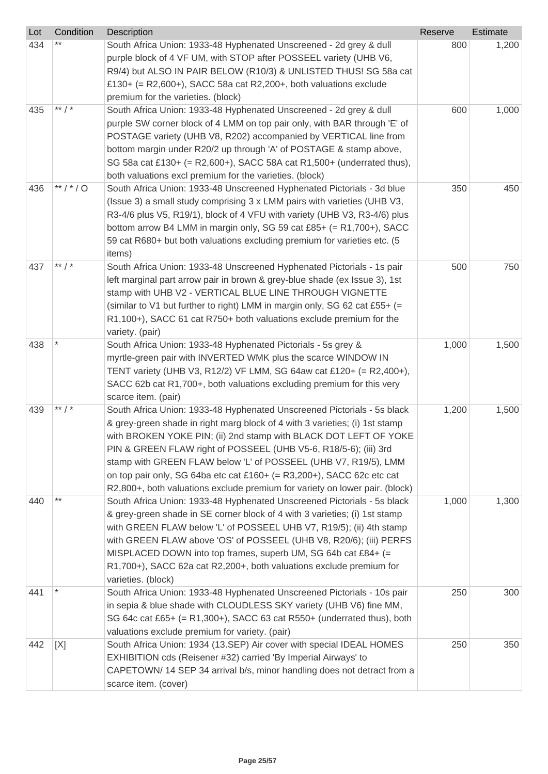| Lot | Condition | Description                                                                                                                                                                                                                                                                                                                                                                                                                                                                                                                  | Reserve | Estimate |
|-----|-----------|------------------------------------------------------------------------------------------------------------------------------------------------------------------------------------------------------------------------------------------------------------------------------------------------------------------------------------------------------------------------------------------------------------------------------------------------------------------------------------------------------------------------------|---------|----------|
| 434 |           | South Africa Union: 1933-48 Hyphenated Unscreened - 2d grey & dull<br>purple block of 4 VF UM, with STOP after POSSEEL variety (UHB V6,<br>R9/4) but ALSO IN PAIR BELOW (R10/3) & UNLISTED THUS! SG 58a cat<br>£130+ (= R2,600+), SACC 58a cat R2,200+, both valuations exclude<br>premium for the varieties. (block)                                                                                                                                                                                                        | 800     | 1,200    |
| 435 | ** $/$ *  | South Africa Union: 1933-48 Hyphenated Unscreened - 2d grey & dull<br>purple SW corner block of 4 LMM on top pair only, with BAR through 'E' of<br>POSTAGE variety (UHB V8, R202) accompanied by VERTICAL line from<br>bottom margin under R20/2 up through 'A' of POSTAGE & stamp above,<br>SG 58a cat £130+ (= R2,600+), SACC 58A cat R1,500+ (underrated thus),<br>both valuations excl premium for the varieties. (block)                                                                                                | 600     | 1,000    |
| 436 | **/*/0    | South Africa Union: 1933-48 Unscreened Hyphenated Pictorials - 3d blue<br>(Issue 3) a small study comprising 3 x LMM pairs with varieties (UHB V3,<br>R3-4/6 plus V5, R19/1), block of 4 VFU with variety (UHB V3, R3-4/6) plus<br>bottom arrow B4 LMM in margin only, SG 59 cat £85+ (= $R1,700+$ ), SACC<br>59 cat R680+ but both valuations excluding premium for varieties etc. (5<br>items)                                                                                                                             | 350     | 450      |
| 437 | ** $/$ *  | South Africa Union: 1933-48 Unscreened Hyphenated Pictorials - 1s pair<br>left marginal part arrow pair in brown & grey-blue shade (ex Issue 3), 1st<br>stamp with UHB V2 - VERTICAL BLUE LINE THROUGH VIGNETTE<br>(similar to V1 but further to right) LMM in margin only, SG 62 cat £55+ (=<br>R1,100+), SACC 61 cat R750+ both valuations exclude premium for the<br>variety. (pair)                                                                                                                                      | 500     | 750      |
| 438 |           | South Africa Union: 1933-48 Hyphenated Pictorials - 5s grey &<br>myrtle-green pair with INVERTED WMK plus the scarce WINDOW IN<br>TENT variety (UHB V3, R12/2) VF LMM, SG 64aw cat £120+ (= R2,400+),<br>SACC 62b cat R1,700+, both valuations excluding premium for this very<br>scarce item. (pair)                                                                                                                                                                                                                        | 1,000   | 1,500    |
| 439 | ** $/$ *  | South Africa Union: 1933-48 Hyphenated Unscreened Pictorials - 5s black<br>& grey-green shade in right marg block of 4 with 3 varieties; (i) 1st stamp<br>with BROKEN YOKE PIN; (ii) 2nd stamp with BLACK DOT LEFT OF YOKE<br>PIN & GREEN FLAW right of POSSEEL (UHB V5-6, R18/5-6); (iii) 3rd<br>stamp with GREEN FLAW below 'L' of POSSEEL (UHB V7, R19/5), LMM<br>on top pair only, SG 64ba etc cat £160+ (= $R3,200+$ ), SACC 62c etc cat<br>R2,800+, both valuations exclude premium for variety on lower pair. (block) | 1,200   | 1,500    |
| 440 |           | South Africa Union: 1933-48 Hyphenated Unscreened Pictorials - 5s black<br>& grey-green shade in SE corner block of 4 with 3 varieties; (i) 1st stamp<br>with GREEN FLAW below 'L' of POSSEEL UHB V7, R19/5); (ii) 4th stamp<br>with GREEN FLAW above 'OS' of POSSEEL (UHB V8, R20/6); (iii) PERFS<br>MISPLACED DOWN into top frames, superb UM, SG 64b cat £84+ (=<br>R1,700+), SACC 62a cat R2,200+, both valuations exclude premium for<br>varieties. (block)                                                             | 1,000   | 1,300    |
| 441 |           | South Africa Union: 1933-48 Hyphenated Unscreened Pictorials - 10s pair<br>in sepia & blue shade with CLOUDLESS SKY variety (UHB V6) fine MM,<br>SG 64c cat £65+ (= R1,300+), SACC 63 cat R550+ (underrated thus), both<br>valuations exclude premium for variety. (pair)                                                                                                                                                                                                                                                    | 250     | 300      |
| 442 | [X]       | South Africa Union: 1934 (13.SEP) Air cover with special IDEAL HOMES<br>EXHIBITION cds (Reisener #32) carried 'By Imperial Airways' to<br>CAPETOWN/14 SEP 34 arrival b/s, minor handling does not detract from a<br>scarce item. (cover)                                                                                                                                                                                                                                                                                     | 250     | 350      |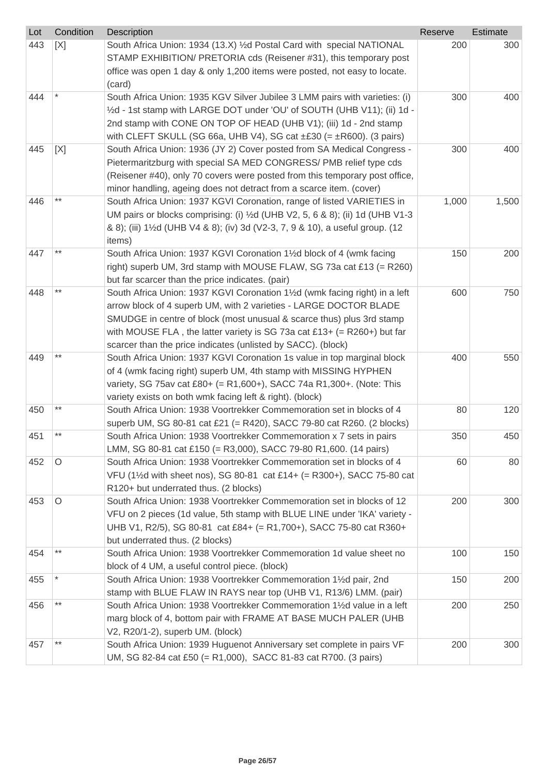| Lot | Condition | <b>Description</b>                                                                                                                            | Reserve | Estimate |
|-----|-----------|-----------------------------------------------------------------------------------------------------------------------------------------------|---------|----------|
| 443 | [X]       | South Africa Union: 1934 (13.X) 1/2d Postal Card with special NATIONAL<br>STAMP EXHIBITION/ PRETORIA cds (Reisener #31), this temporary post  | 200     | 300      |
|     |           | office was open 1 day & only 1,200 items were posted, not easy to locate.                                                                     |         |          |
|     |           | (card)                                                                                                                                        |         |          |
| 444 |           | South Africa Union: 1935 KGV Silver Jubilee 3 LMM pairs with varieties: (i)                                                                   | 300     | 400      |
|     |           | 1/2d - 1st stamp with LARGE DOT under 'OU' of SOUTH (UHB V11); (ii) 1d -                                                                      |         |          |
|     |           | 2nd stamp with CONE ON TOP OF HEAD (UHB V1); (iii) 1d - 2nd stamp                                                                             |         |          |
|     |           | with CLEFT SKULL (SG 66a, UHB V4), SG cat $\pm$ £30 (= $\pm$ R600). (3 pairs)                                                                 |         |          |
| 445 | [X]       | South Africa Union: 1936 (JY 2) Cover posted from SA Medical Congress -                                                                       | 300     | 400      |
|     |           | Pietermaritzburg with special SA MED CONGRESS/ PMB relief type cds                                                                            |         |          |
|     |           | (Reisener #40), only 70 covers were posted from this temporary post office,                                                                   |         |          |
| 446 | $***$     | minor handling, ageing does not detract from a scarce item. (cover)<br>South Africa Union: 1937 KGVI Coronation, range of listed VARIETIES in | 1,000   | 1,500    |
|     |           | UM pairs or blocks comprising: (i) $\frac{1}{2}$ d (UHB V2, 5, 6 & 8); (ii) 1d (UHB V1-3                                                      |         |          |
|     |           | & 8); (iii) 1½d (UHB V4 & 8); (iv) 3d (V2-3, 7, 9 & 10), a useful group. (12                                                                  |         |          |
|     |           | items)                                                                                                                                        |         |          |
| 447 | $***$     | South Africa Union: 1937 KGVI Coronation 11/2d block of 4 (wmk facing                                                                         | 150     | 200      |
|     |           | right) superb UM, 3rd stamp with MOUSE FLAW, SG 73a cat £13 (= R260)                                                                          |         |          |
|     |           | but far scarcer than the price indicates. (pair)                                                                                              |         |          |
| 448 | $***$     | South Africa Union: 1937 KGVI Coronation 1½d (wmk facing right) in a left                                                                     | 600     | 750      |
|     |           | arrow block of 4 superb UM, with 2 varieties - LARGE DOCTOR BLADE                                                                             |         |          |
|     |           | SMUDGE in centre of block (most unusual & scarce thus) plus 3rd stamp                                                                         |         |          |
|     |           | with MOUSE FLA, the latter variety is SG 73a cat £13+ (= R260+) but far                                                                       |         |          |
|     |           | scarcer than the price indicates (unlisted by SACC). (block)                                                                                  |         |          |
| 449 | **        | South Africa Union: 1937 KGVI Coronation 1s value in top marginal block                                                                       | 400     | 550      |
|     |           | of 4 (wmk facing right) superb UM, 4th stamp with MISSING HYPHEN                                                                              |         |          |
|     |           | variety, SG 75av cat £80+ (= R1,600+), SACC 74a R1,300+. (Note: This                                                                          |         |          |
|     |           | variety exists on both wmk facing left & right). (block)                                                                                      |         |          |
| 450 | $***$     | South Africa Union: 1938 Voortrekker Commemoration set in blocks of 4                                                                         | 80      | 120      |
|     | $***$     | superb UM, SG 80-81 cat £21 (= R420), SACC 79-80 cat R260. (2 blocks)                                                                         |         |          |
| 451 |           | South Africa Union: 1938 Voortrekker Commemoration x 7 sets in pairs                                                                          | 350     | 450      |
| 452 | O         | LMM, SG 80-81 cat £150 (= R3,000), SACC 79-80 R1,600. (14 pairs)<br>South Africa Union: 1938 Voortrekker Commemoration set in blocks of 4     | 60      | 80       |
|     |           | VFU (1½d with sheet nos), SG 80-81 cat £14+ (= R300+), SACC 75-80 cat                                                                         |         |          |
|     |           | R120+ but underrated thus. (2 blocks)                                                                                                         |         |          |
| 453 | O         | South Africa Union: 1938 Voortrekker Commemoration set in blocks of 12                                                                        | 200     | 300      |
|     |           | VFU on 2 pieces (1d value, 5th stamp with BLUE LINE under 'IKA' variety -                                                                     |         |          |
|     |           | UHB V1, R2/5), SG 80-81 cat £84+ (= R1,700+), SACC 75-80 cat R360+                                                                            |         |          |
|     |           | but underrated thus. (2 blocks)                                                                                                               |         |          |
| 454 | $***$     | South Africa Union: 1938 Voortrekker Commemoration 1d value sheet no                                                                          | 100     | 150      |
|     |           | block of 4 UM, a useful control piece. (block)                                                                                                |         |          |
| 455 |           | South Africa Union: 1938 Voortrekker Commemoration 1½d pair, 2nd                                                                              | 150     | 200      |
|     |           | stamp with BLUE FLAW IN RAYS near top (UHB V1, R13/6) LMM. (pair)                                                                             |         |          |
| 456 | **        | South Africa Union: 1938 Voortrekker Commemoration 1½d value in a left                                                                        | 200     | 250      |
|     |           | marg block of 4, bottom pair with FRAME AT BASE MUCH PALER (UHB                                                                               |         |          |
|     |           | V2, R20/1-2), superb UM. (block)                                                                                                              |         |          |
| 457 | $***$     | South Africa Union: 1939 Huguenot Anniversary set complete in pairs VF                                                                        | 200     | 300      |
|     |           | UM, SG 82-84 cat £50 (= R1,000), SACC 81-83 cat R700. (3 pairs)                                                                               |         |          |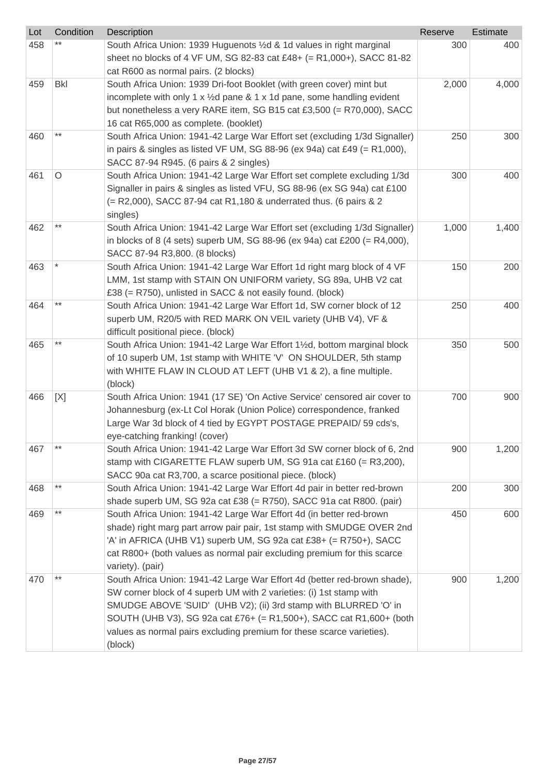| Lot | Condition    | Description                                                                        | Reserve | Estimate |
|-----|--------------|------------------------------------------------------------------------------------|---------|----------|
| 458 |              | South Africa Union: 1939 Huguenots 1/2d & 1d values in right marginal              | 300     | 400      |
|     |              | sheet no blocks of 4 VF UM, SG 82-83 cat £48+ (= R1,000+), SACC 81-82              |         |          |
|     |              | cat R600 as normal pairs. (2 blocks)                                               |         |          |
| 459 | <b>Bkl</b>   | South Africa Union: 1939 Dri-foot Booklet (with green cover) mint but              | 2,000   | 4,000    |
|     |              | incomplete with only 1 x $\frac{1}{2}$ d pane & 1 x 1d pane, some handling evident |         |          |
|     |              | but nonetheless a very RARE item, SG B15 cat £3,500 (= R70,000), SACC              |         |          |
|     |              | 16 cat R65,000 as complete. (booklet)                                              |         |          |
| 460 |              | South Africa Union: 1941-42 Large War Effort set (excluding 1/3d Signaller)        | 250     | 300      |
|     |              | in pairs & singles as listed VF UM, SG 88-96 (ex 94a) cat £49 (= $R1,000$ ),       |         |          |
|     |              | SACC 87-94 R945. (6 pairs & 2 singles)                                             |         |          |
| 461 | O            | South Africa Union: 1941-42 Large War Effort set complete excluding 1/3d           | 300     | 400      |
|     |              | Signaller in pairs & singles as listed VFU, SG 88-96 (ex SG 94a) cat £100          |         |          |
|     |              | (= R2,000), SACC 87-94 cat R1,180 & underrated thus. (6 pairs & 2                  |         |          |
|     |              | singles)                                                                           |         |          |
| 462 | $***$        | South Africa Union: 1941-42 Large War Effort set (excluding 1/3d Signaller)        | 1,000   | 1,400    |
|     |              | in blocks of 8 (4 sets) superb UM, SG 88-96 (ex 94a) cat £200 (= R4,000),          |         |          |
|     |              | SACC 87-94 R3,800. (8 blocks)                                                      |         |          |
| 463 |              | South Africa Union: 1941-42 Large War Effort 1d right marg block of 4 VF           | 150     | 200      |
|     |              | LMM, 1st stamp with STAIN ON UNIFORM variety, SG 89a, UHB V2 cat                   |         |          |
|     |              | £38 (= R750), unlisted in SACC & not easily found. (block)                         |         |          |
| 464 | $***$        | South Africa Union: 1941-42 Large War Effort 1d, SW corner block of 12             | 250     | 400      |
|     |              | superb UM, R20/5 with RED MARK ON VEIL variety (UHB V4), VF &                      |         |          |
|     |              | difficult positional piece. (block)                                                |         |          |
| 465 | $***$        | South Africa Union: 1941-42 Large War Effort 11/2d, bottom marginal block          | 350     | 500      |
|     |              | of 10 superb UM, 1st stamp with WHITE 'V' ON SHOULDER, 5th stamp                   |         |          |
|     |              | with WHITE FLAW IN CLOUD AT LEFT (UHB V1 & 2), a fine multiple.                    |         |          |
|     |              | (block)                                                                            |         |          |
| 466 | [X]          | South Africa Union: 1941 (17 SE) 'On Active Service' censored air cover to         | 700     | 900      |
|     |              | Johannesburg (ex-Lt Col Horak (Union Police) correspondence, franked               |         |          |
|     |              | Large War 3d block of 4 tied by EGYPT POSTAGE PREPAID/ 59 cds's,                   |         |          |
|     |              | eye-catching franking! (cover)                                                     |         |          |
| 467 | $***$        | South Africa Union: 1941-42 Large War Effort 3d SW corner block of 6, 2nd          | 900     | 1,200    |
|     |              | stamp with CIGARETTE FLAW superb UM, SG 91a cat £160 (= R3,200),                   |         |          |
|     |              | SACC 90a cat R3,700, a scarce positional piece. (block)                            |         |          |
| 468 | $***$        | South Africa Union: 1941-42 Large War Effort 4d pair in better red-brown           | 200     | 300      |
|     |              | shade superb UM, SG 92a cat £38 (= R750), SACC 91a cat R800. (pair)                |         |          |
| 469 | $\star\star$ | South Africa Union: 1941-42 Large War Effort 4d (in better red-brown               | 450     | 600      |
|     |              | shade) right marg part arrow pair pair, 1st stamp with SMUDGE OVER 2nd             |         |          |
|     |              | 'A' in AFRICA (UHB V1) superb UM, SG 92a cat £38+ (= R750+), SACC                  |         |          |
|     |              | cat R800+ (both values as normal pair excluding premium for this scarce            |         |          |
|     |              | variety). (pair)                                                                   |         |          |
| 470 | $***$        | South Africa Union: 1941-42 Large War Effort 4d (better red-brown shade),          | 900     | 1,200    |
|     |              | SW corner block of 4 superb UM with 2 varieties: (i) 1st stamp with                |         |          |
|     |              | SMUDGE ABOVE 'SUID' (UHB V2); (ii) 3rd stamp with BLURRED 'O' in                   |         |          |
|     |              | SOUTH (UHB V3), SG 92a cat £76+ (= R1,500+), SACC cat R1,600+ (both                |         |          |
|     |              | values as normal pairs excluding premium for these scarce varieties).              |         |          |
|     |              | (block)                                                                            |         |          |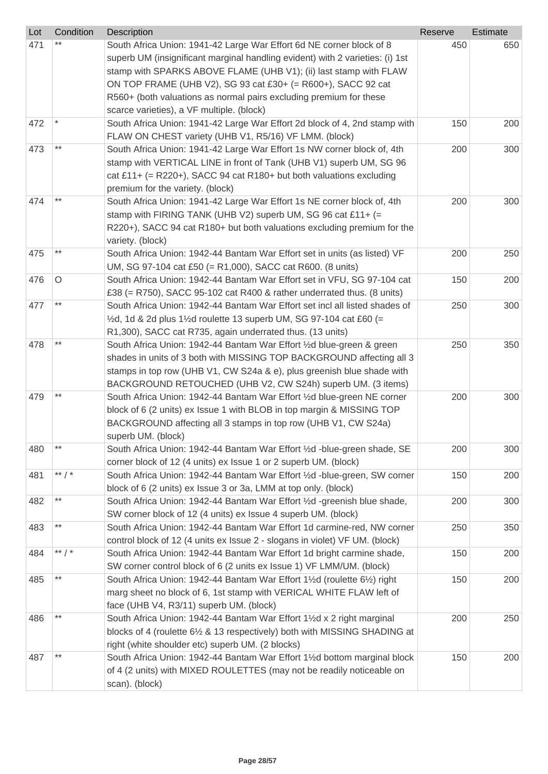| Lot | Condition       | Description                                                                                 | Reserve | Estimate |
|-----|-----------------|---------------------------------------------------------------------------------------------|---------|----------|
| 471 |                 | South Africa Union: 1941-42 Large War Effort 6d NE corner block of 8                        | 450     | 650      |
|     |                 | superb UM (insignificant marginal handling evident) with 2 varieties: (i) 1st               |         |          |
|     |                 | stamp with SPARKS ABOVE FLAME (UHB V1); (ii) last stamp with FLAW                           |         |          |
|     |                 | ON TOP FRAME (UHB V2), SG 93 cat £30+ (= R600+), SACC 92 cat                                |         |          |
|     |                 | R560+ (both valuations as normal pairs excluding premium for these                          |         |          |
|     |                 | scarce varieties), a VF multiple. (block)                                                   |         |          |
| 472 |                 | South Africa Union: 1941-42 Large War Effort 2d block of 4, 2nd stamp with                  | 150     | 200      |
|     |                 | FLAW ON CHEST variety (UHB V1, R5/16) VF LMM. (block)                                       |         |          |
| 473 | $***$           | South Africa Union: 1941-42 Large War Effort 1s NW corner block of, 4th                     | 200     | 300      |
|     |                 | stamp with VERTICAL LINE in front of Tank (UHB V1) superb UM, SG 96                         |         |          |
|     |                 | cat £11+ (= R220+), SACC 94 cat R180+ but both valuations excluding                         |         |          |
|     |                 | premium for the variety. (block)                                                            |         |          |
| 474 | $***$           | South Africa Union: 1941-42 Large War Effort 1s NE corner block of, 4th                     | 200     | 300      |
|     |                 | stamp with FIRING TANK (UHB V2) superb UM, SG 96 cat £11+ (=                                |         |          |
|     |                 | R220+), SACC 94 cat R180+ but both valuations excluding premium for the                     |         |          |
|     |                 | variety. (block)                                                                            |         |          |
| 475 | $***$           | South Africa Union: 1942-44 Bantam War Effort set in units (as listed) VF                   | 200     | 250      |
|     |                 | UM, SG 97-104 cat £50 (= R1,000), SACC cat R600. (8 units)                                  |         |          |
| 476 | $\circ$         | South Africa Union: 1942-44 Bantam War Effort set in VFU, SG 97-104 cat                     | 150     | 200      |
|     |                 | £38 (= R750), SACC 95-102 cat R400 & rather underrated thus. (8 units)                      |         |          |
| 477 | $^{\star\star}$ | South Africa Union: 1942-44 Bantam War Effort set incl all listed shades of                 | 250     | 300      |
|     |                 | $\frac{1}{2}$ d, 1d & 2d plus 1 $\frac{1}{2}$ d roulette 13 superb UM, SG 97-104 cat £60 (= |         |          |
|     |                 | R1,300), SACC cat R735, again underrated thus. (13 units)                                   |         |          |
| 478 | $***$           | South Africa Union: 1942-44 Bantam War Effort 1/2d blue-green & green                       | 250     | 350      |
|     |                 | shades in units of 3 both with MISSING TOP BACKGROUND affecting all 3                       |         |          |
|     |                 | stamps in top row (UHB V1, CW S24a & e), plus greenish blue shade with                      |         |          |
|     |                 | BACKGROUND RETOUCHED (UHB V2, CW S24h) superb UM. (3 items)                                 |         |          |
| 479 | $***$           | South Africa Union: 1942-44 Bantam War Effort 1/2d blue-green NE corner                     | 200     | 300      |
|     |                 | block of 6 (2 units) ex Issue 1 with BLOB in top margin & MISSING TOP                       |         |          |
|     |                 | BACKGROUND affecting all 3 stamps in top row (UHB V1, CW S24a)                              |         |          |
|     |                 | superb UM. (block)                                                                          |         |          |
| 480 | $***$           | South Africa Union: 1942-44 Bantam War Effort 1/2d -blue-green shade, SE                    | 200     | 300      |
|     |                 | corner block of 12 (4 units) ex Issue 1 or 2 superb UM. (block)                             |         |          |
| 481 | ** $/$ *        | South Africa Union: 1942-44 Bantam War Effort 1/2d -blue-green, SW corner                   | 150     | 200      |
|     |                 | block of 6 (2 units) ex Issue 3 or 3a, LMM at top only. (block)                             |         |          |
| 482 | $***$           | South Africa Union: 1942-44 Bantam War Effort 1/2d -greenish blue shade,                    | 200     | 300      |
|     |                 | SW corner block of 12 (4 units) ex Issue 4 superb UM. (block)                               |         |          |
| 483 | $^{\star\star}$ | South Africa Union: 1942-44 Bantam War Effort 1d carmine-red, NW corner                     | 250     | 350      |
|     |                 | control block of 12 (4 units ex Issue 2 - slogans in violet) VF UM. (block)                 |         |          |
| 484 | ** $/$ *        | South Africa Union: 1942-44 Bantam War Effort 1d bright carmine shade,                      | 150     | 200      |
|     |                 | SW corner control block of 6 (2 units ex Issue 1) VF LMM/UM. (block)                        |         |          |
| 485 | $***$           | South Africa Union: 1942-44 Bantam War Effort 11/2d (roulette 61/2) right                   | 150     | 200      |
|     |                 | marg sheet no block of 6, 1st stamp with VERICAL WHITE FLAW left of                         |         |          |
|     |                 | face (UHB V4, R3/11) superb UM. (block)                                                     |         |          |
| 486 | $***$           | South Africa Union: 1942-44 Bantam War Effort 1½d x 2 right marginal                        | 200     | 250      |
|     |                 | blocks of 4 (roulette 61/2 & 13 respectively) both with MISSING SHADING at                  |         |          |
|     |                 | right (white shoulder etc) superb UM. (2 blocks)                                            |         |          |
| 487 | $***$           | South Africa Union: 1942-44 Bantam War Effort 1½d bottom marginal block                     | 150     | 200      |
|     |                 | of 4 (2 units) with MIXED ROULETTES (may not be readily noticeable on                       |         |          |
|     |                 | scan). (block)                                                                              |         |          |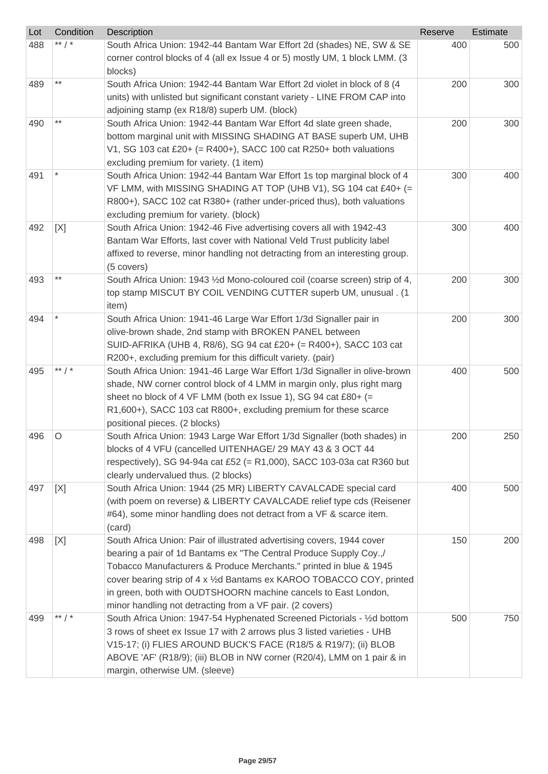| Lot | Condition | <b>Description</b>                                                                                                                  | Reserve | <b>Estimate</b> |
|-----|-----------|-------------------------------------------------------------------------------------------------------------------------------------|---------|-----------------|
| 488 | ** / *    | South Africa Union: 1942-44 Bantam War Effort 2d (shades) NE, SW & SE                                                               | 400     | 500             |
|     |           | corner control blocks of 4 (all ex Issue 4 or 5) mostly UM, 1 block LMM. (3                                                         |         |                 |
|     |           | blocks)                                                                                                                             |         |                 |
| 489 | $***$     | South Africa Union: 1942-44 Bantam War Effort 2d violet in block of 8 (4                                                            | 200     | 300             |
|     |           | units) with unlisted but significant constant variety - LINE FROM CAP into                                                          |         |                 |
|     |           | adjoining stamp (ex R18/8) superb UM. (block)                                                                                       |         |                 |
| 490 | $***$     | South Africa Union: 1942-44 Bantam War Effort 4d slate green shade,                                                                 | 200     | 300             |
|     |           | bottom marginal unit with MISSING SHADING AT BASE superb UM, UHB                                                                    |         |                 |
|     |           | V1, SG 103 cat £20+ (= R400+), SACC 100 cat R250+ both valuations                                                                   |         |                 |
|     |           | excluding premium for variety. (1 item)                                                                                             |         |                 |
| 491 |           | South Africa Union: 1942-44 Bantam War Effort 1s top marginal block of 4                                                            | 300     | 400             |
|     |           | VF LMM, with MISSING SHADING AT TOP (UHB V1), SG 104 cat £40+ (=                                                                    |         |                 |
|     |           | R800+), SACC 102 cat R380+ (rather under-priced thus), both valuations                                                              |         |                 |
|     |           | excluding premium for variety. (block)                                                                                              |         |                 |
| 492 | [X]       | South Africa Union: 1942-46 Five advertising covers all with 1942-43                                                                | 300     | 400             |
|     |           | Bantam War Efforts, last cover with National Veld Trust publicity label                                                             |         |                 |
|     |           | affixed to reverse, minor handling not detracting from an interesting group.                                                        |         |                 |
|     |           | (5 covers)                                                                                                                          |         |                 |
| 493 | $***$     | South Africa Union: 1943 1⁄2d Mono-coloured coil (coarse screen) strip of 4,                                                        | 200     | 300             |
|     |           | top stamp MISCUT BY COIL VENDING CUTTER superb UM, unusual . (1                                                                     |         |                 |
|     |           | item)                                                                                                                               |         |                 |
| 494 |           | South Africa Union: 1941-46 Large War Effort 1/3d Signaller pair in                                                                 | 200     | 300             |
|     |           | olive-brown shade, 2nd stamp with BROKEN PANEL between                                                                              |         |                 |
|     |           | SUID-AFRIKA (UHB 4, R8/6), SG 94 cat £20+ (= R400+), SACC 103 cat                                                                   |         |                 |
|     |           | R200+, excluding premium for this difficult variety. (pair)                                                                         |         |                 |
| 495 | ** $/$ *  | South Africa Union: 1941-46 Large War Effort 1/3d Signaller in olive-brown                                                          | 400     | 500             |
|     |           | shade, NW corner control block of 4 LMM in margin only, plus right marg                                                             |         |                 |
|     |           | sheet no block of 4 VF LMM (both ex Issue 1), SG 94 cat £80+ (=<br>R1,600+), SACC 103 cat R800+, excluding premium for these scarce |         |                 |
|     |           | positional pieces. (2 blocks)                                                                                                       |         |                 |
| 496 | O         | South Africa Union: 1943 Large War Effort 1/3d Signaller (both shades) in                                                           | 200     | 250             |
|     |           | blocks of 4 VFU (cancelled UITENHAGE/ 29 MAY 43 & 3 OCT 44                                                                          |         |                 |
|     |           | respectively), SG 94-94a cat £52 (= $R1,000$ ), SACC 103-03a cat R360 but                                                           |         |                 |
|     |           | clearly undervalued thus. (2 blocks)                                                                                                |         |                 |
| 497 | [X]       | South Africa Union: 1944 (25 MR) LIBERTY CAVALCADE special card                                                                     | 400     | 500             |
|     |           | (with poem on reverse) & LIBERTY CAVALCADE relief type cds (Reisener                                                                |         |                 |
|     |           | #64), some minor handling does not detract from a VF & scarce item.                                                                 |         |                 |
|     |           | (card)                                                                                                                              |         |                 |
| 498 | [X]       | South Africa Union: Pair of illustrated advertising covers, 1944 cover                                                              | 150     | 200             |
|     |           | bearing a pair of 1d Bantams ex "The Central Produce Supply Coy.,/                                                                  |         |                 |
|     |           | Tobacco Manufacturers & Produce Merchants." printed in blue & 1945                                                                  |         |                 |
|     |           | cover bearing strip of 4 x 1/2d Bantams ex KAROO TOBACCO COY, printed                                                               |         |                 |
|     |           | in green, both with OUDTSHOORN machine cancels to East London,                                                                      |         |                 |
|     |           | minor handling not detracting from a VF pair. (2 covers)                                                                            |         |                 |
| 499 | ** $/$ *  | South Africa Union: 1947-54 Hyphenated Screened Pictorials - 1/2d bottom                                                            | 500     | 750             |
|     |           | 3 rows of sheet ex Issue 17 with 2 arrows plus 3 listed varieties - UHB                                                             |         |                 |
|     |           | V15-17; (i) FLIES AROUND BUCK'S FACE (R18/5 & R19/7); (ii) BLOB                                                                     |         |                 |
|     |           | ABOVE 'AF' (R18/9); (iii) BLOB in NW corner (R20/4), LMM on 1 pair & in                                                             |         |                 |
|     |           | margin, otherwise UM. (sleeve)                                                                                                      |         |                 |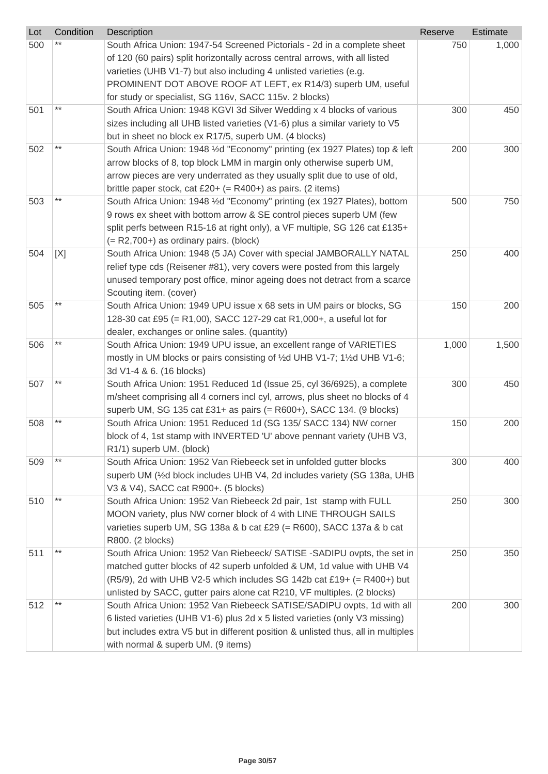| Lot | Condition | Description                                                                                                                                     | Reserve | Estimate |
|-----|-----------|-------------------------------------------------------------------------------------------------------------------------------------------------|---------|----------|
| 500 |           | South Africa Union: 1947-54 Screened Pictorials - 2d in a complete sheet                                                                        | 750     | 1,000    |
|     |           | of 120 (60 pairs) split horizontally across central arrows, with all listed                                                                     |         |          |
|     |           | varieties (UHB V1-7) but also including 4 unlisted varieties (e.g.                                                                              |         |          |
|     |           | PROMINENT DOT ABOVE ROOF AT LEFT, ex R14/3) superb UM, useful                                                                                   |         |          |
|     |           | for study or specialist, SG 116v, SACC 115v. 2 blocks)                                                                                          |         |          |
| 501 | $***$     | South Africa Union: 1948 KGVI 3d Silver Wedding x 4 blocks of various                                                                           | 300     | 450      |
|     |           | sizes including all UHB listed varieties (V1-6) plus a similar variety to V5                                                                    |         |          |
|     |           | but in sheet no block ex R17/5, superb UM. (4 blocks)                                                                                           |         |          |
| 502 | $***$     | South Africa Union: 1948 1/2d "Economy" printing (ex 1927 Plates) top & left                                                                    | 200     | 300      |
|     |           | arrow blocks of 8, top block LMM in margin only otherwise superb UM,                                                                            |         |          |
|     |           | arrow pieces are very underrated as they usually split due to use of old,                                                                       |         |          |
|     |           | brittle paper stock, cat £20+ (= $R400+$ ) as pairs. (2 items)                                                                                  |         |          |
| 503 | $***$     | South Africa Union: 1948 1/2d "Economy" printing (ex 1927 Plates), bottom                                                                       | 500     | 750      |
|     |           | 9 rows ex sheet with bottom arrow & SE control pieces superb UM (few                                                                            |         |          |
|     |           | split perfs between R15-16 at right only), a VF multiple, SG 126 cat £135+                                                                      |         |          |
|     |           | $(= R2,700+)$ as ordinary pairs. (block)                                                                                                        |         |          |
| 504 | [X]       | South Africa Union: 1948 (5 JA) Cover with special JAMBORALLY NATAL                                                                             | 250     | 400      |
|     |           | relief type cds (Reisener #81), very covers were posted from this largely                                                                       |         |          |
|     |           | unused temporary post office, minor ageing does not detract from a scarce                                                                       |         |          |
|     |           | Scouting item. (cover)                                                                                                                          |         |          |
| 505 | $***$     | South Africa Union: 1949 UPU issue x 68 sets in UM pairs or blocks, SG                                                                          | 150     | 200      |
|     |           | 128-30 cat £95 (= R1,00), SACC 127-29 cat R1,000+, a useful lot for                                                                             |         |          |
|     | $***$     | dealer, exchanges or online sales. (quantity)                                                                                                   |         |          |
| 506 |           | South Africa Union: 1949 UPU issue, an excellent range of VARIETIES                                                                             | 1,000   | 1,500    |
|     |           | mostly in UM blocks or pairs consisting of 1/2d UHB V1-7; 11/2d UHB V1-6;                                                                       |         |          |
|     | $***$     | 3d V1-4 & 6. (16 blocks)                                                                                                                        |         |          |
| 507 |           | South Africa Union: 1951 Reduced 1d (Issue 25, cyl 36/6925), a complete                                                                         | 300     | 450      |
|     |           | m/sheet comprising all 4 corners incl cyl, arrows, plus sheet no blocks of 4                                                                    |         |          |
|     | $***$     | superb UM, SG 135 cat £31+ as pairs (= R600+), SACC 134. (9 blocks)                                                                             |         |          |
| 508 |           | South Africa Union: 1951 Reduced 1d (SG 135/ SACC 134) NW corner                                                                                | 150     | 200      |
|     |           | block of 4, 1st stamp with INVERTED 'U' above pennant variety (UHB V3,                                                                          |         |          |
| 509 | $***$     | R1/1) superb UM. (block)                                                                                                                        | 300     | 400      |
|     |           | South Africa Union: 1952 Van Riebeeck set in unfolded gutter blocks<br>superb UM (1/2d block includes UHB V4, 2d includes variety (SG 138a, UHB |         |          |
|     |           | V3 & V4), SACC cat R900+. (5 blocks)                                                                                                            |         |          |
| 510 | $***$     | South Africa Union: 1952 Van Riebeeck 2d pair, 1st stamp with FULL                                                                              | 250     | 300      |
|     |           | MOON variety, plus NW corner block of 4 with LINE THROUGH SAILS                                                                                 |         |          |
|     |           | varieties superb UM, SG 138a & b cat £29 (= R600), SACC 137a & b cat                                                                            |         |          |
|     |           | R800. (2 blocks)                                                                                                                                |         |          |
| 511 | $***$     | South Africa Union: 1952 Van Riebeeck/ SATISE - SADIPU ovpts, the set in                                                                        | 250     | 350      |
|     |           | matched gutter blocks of 42 superb unfolded & UM, 1d value with UHB V4                                                                          |         |          |
|     |           | $(R5/9)$ , 2d with UHB V2-5 which includes SG 142b cat £19+ (= R400+) but                                                                       |         |          |
|     |           | unlisted by SACC, gutter pairs alone cat R210, VF multiples. (2 blocks)                                                                         |         |          |
| 512 |           | South Africa Union: 1952 Van Riebeeck SATISE/SADIPU ovpts, 1d with all                                                                          | 200     | 300      |
|     |           | 6 listed varieties (UHB V1-6) plus 2d x 5 listed varieties (only V3 missing)                                                                    |         |          |
|     |           | but includes extra V5 but in different position & unlisted thus, all in multiples                                                               |         |          |
|     |           | with normal & superb UM. (9 items)                                                                                                              |         |          |
|     |           |                                                                                                                                                 |         |          |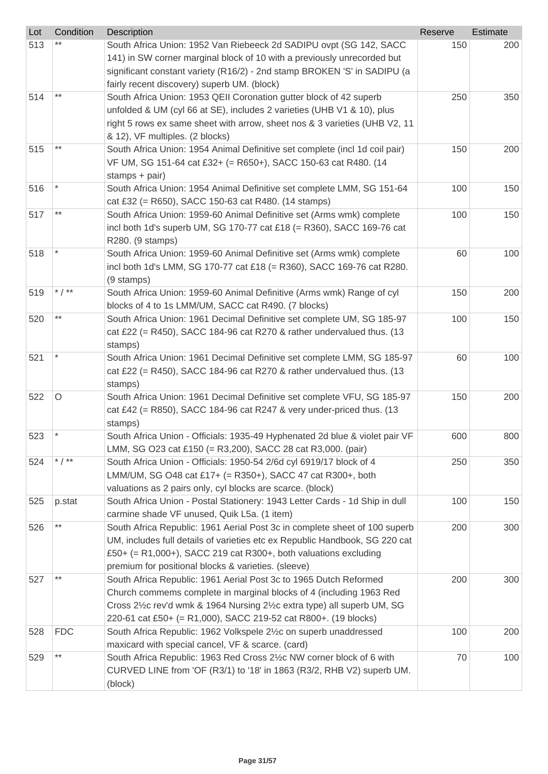| Lot | Condition  | Description                                                                                                                                                                                                                                                                         | Reserve | Estimate |
|-----|------------|-------------------------------------------------------------------------------------------------------------------------------------------------------------------------------------------------------------------------------------------------------------------------------------|---------|----------|
| 513 |            | South Africa Union: 1952 Van Riebeeck 2d SADIPU ovpt (SG 142, SACC<br>141) in SW corner marginal block of 10 with a previously unrecorded but<br>significant constant variety (R16/2) - 2nd stamp BROKEN 'S' in SADIPU (a                                                           | 150     | 200      |
|     |            | fairly recent discovery) superb UM. (block)                                                                                                                                                                                                                                         |         |          |
| 514 | $***$      | South Africa Union: 1953 QEII Coronation gutter block of 42 superb<br>unfolded & UM (cyl 66 at SE), includes 2 varieties (UHB V1 & 10), plus<br>right 5 rows ex same sheet with arrow, sheet nos & 3 varieties (UHB V2, 11                                                          | 250     | 350      |
|     | $***$      | & 12), VF multiples. (2 blocks)                                                                                                                                                                                                                                                     |         |          |
| 515 |            | South Africa Union: 1954 Animal Definitive set complete (incl 1d coil pair)<br>VF UM, SG 151-64 cat £32+ (= R650+), SACC 150-63 cat R480. (14<br>stamps $+$ pair)                                                                                                                   | 150     | 200      |
| 516 |            | South Africa Union: 1954 Animal Definitive set complete LMM, SG 151-64<br>cat £32 (= R650), SACC 150-63 cat R480. (14 stamps)                                                                                                                                                       | 100     | 150      |
| 517 | **         | South Africa Union: 1959-60 Animal Definitive set (Arms wmk) complete<br>incl both 1d's superb UM, SG 170-77 cat £18 (= R360), SACC 169-76 cat<br>R280. (9 stamps)                                                                                                                  | 100     | 150      |
| 518 |            | South Africa Union: 1959-60 Animal Definitive set (Arms wmk) complete<br>incl both 1d's LMM, SG 170-77 cat £18 (= R360), SACC 169-76 cat R280.<br>(9 stamps)                                                                                                                        | 60      | 100      |
| 519 | * $/$ **   | South Africa Union: 1959-60 Animal Definitive (Arms wmk) Range of cyl<br>blocks of 4 to 1s LMM/UM, SACC cat R490. (7 blocks)                                                                                                                                                        | 150     | 200      |
| 520 | $***$      | South Africa Union: 1961 Decimal Definitive set complete UM, SG 185-97<br>cat £22 (= R450), SACC 184-96 cat R270 & rather undervalued thus. $(13$<br>stamps)                                                                                                                        | 100     | 150      |
| 521 |            | South Africa Union: 1961 Decimal Definitive set complete LMM, SG 185-97<br>cat £22 (= R450), SACC 184-96 cat R270 & rather undervalued thus. (13<br>stamps)                                                                                                                         | 60      | 100      |
| 522 | $\circ$    | South Africa Union: 1961 Decimal Definitive set complete VFU, SG 185-97<br>cat £42 (= R850), SACC 184-96 cat R247 & very under-priced thus. (13<br>stamps)                                                                                                                          | 150     | 200      |
| 523 |            | South Africa Union - Officials: 1935-49 Hyphenated 2d blue & violet pair VF<br>LMM, SG O23 cat £150 (= R3,200), SACC 28 cat R3,000. (pair)                                                                                                                                          | 600     | 800      |
| 524 | * $/$ **   | South Africa Union - Officials: 1950-54 2/6d cyl 6919/17 block of 4<br>LMM/UM, SG O48 cat £17+ (= R350+), SACC 47 cat R300+, both<br>valuations as 2 pairs only, cyl blocks are scarce. (block)                                                                                     | 250     | 350      |
| 525 | p.stat     | South Africa Union - Postal Stationery: 1943 Letter Cards - 1d Ship in dull<br>carmine shade VF unused, Quik L5a. (1 item)                                                                                                                                                          | 100     | 150      |
| 526 | $***$      | South Africa Republic: 1961 Aerial Post 3c in complete sheet of 100 superb<br>UM, includes full details of varieties etc ex Republic Handbook, SG 220 cat<br>£50+ (= R1,000+), SACC 219 cat R300+, both valuations excluding<br>premium for positional blocks & varieties. (sleeve) | 200     | 300      |
| 527 | $***$      | South Africa Republic: 1961 Aerial Post 3c to 1965 Dutch Reformed<br>Church commems complete in marginal blocks of 4 (including 1963 Red<br>Cross 2½c rev'd wmk & 1964 Nursing 2½c extra type) all superb UM, SG<br>220-61 cat £50+ (= R1,000), SACC 219-52 cat R800+. (19 blocks)  | 200     | 300      |
| 528 | <b>FDC</b> | South Africa Republic: 1962 Volkspele 21/2c on superb unaddressed<br>maxicard with special cancel, VF & scarce. (card)                                                                                                                                                              | 100     | 200      |
| 529 | $***$      | South Africa Republic: 1963 Red Cross 21/2c NW corner block of 6 with<br>CURVED LINE from 'OF (R3/1) to '18' in 1863 (R3/2, RHB V2) superb UM.<br>(block)                                                                                                                           | 70      | 100      |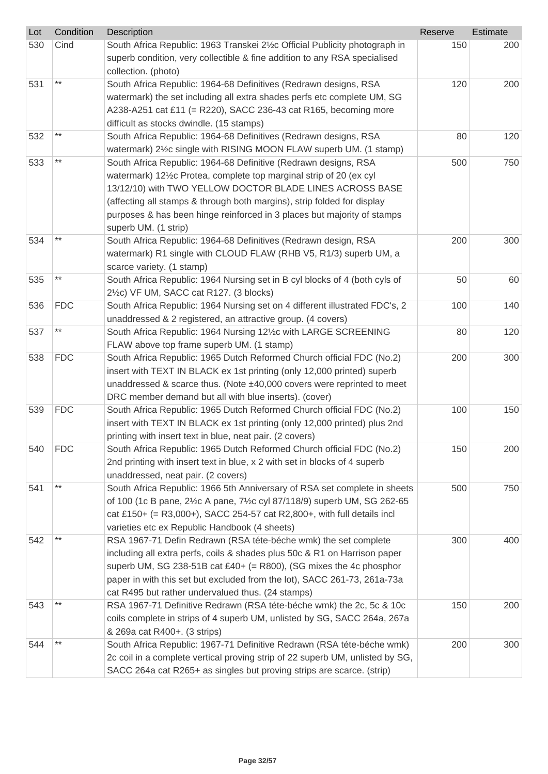| Lot | Condition       | Description                                                                                                                                     | Reserve | Estimate |
|-----|-----------------|-------------------------------------------------------------------------------------------------------------------------------------------------|---------|----------|
| 530 | Cind            | South Africa Republic: 1963 Transkei 21/2c Official Publicity photograph in                                                                     | 150     | 200      |
|     |                 | superb condition, very collectible & fine addition to any RSA specialised                                                                       |         |          |
|     |                 | collection. (photo)                                                                                                                             |         |          |
| 531 | $***$           | South Africa Republic: 1964-68 Definitives (Redrawn designs, RSA                                                                                | 120     | 200      |
|     |                 | watermark) the set including all extra shades perfs etc complete UM, SG                                                                         |         |          |
|     |                 | A238-A251 cat £11 (= R220), SACC 236-43 cat R165, becoming more                                                                                 |         |          |
|     |                 | difficult as stocks dwindle. (15 stamps)                                                                                                        |         |          |
| 532 | $***$           | South Africa Republic: 1964-68 Definitives (Redrawn designs, RSA                                                                                | 80      | 120      |
|     |                 | watermark) 21/2c single with RISING MOON FLAW superb UM. (1 stamp)                                                                              |         |          |
| 533 | $^{\star\star}$ | South Africa Republic: 1964-68 Definitive (Redrawn designs, RSA                                                                                 | 500     | 750      |
|     |                 | watermark) 121/ <sub>2</sub> c Protea, complete top marginal strip of 20 (ex cyl                                                                |         |          |
|     |                 | 13/12/10) with TWO YELLOW DOCTOR BLADE LINES ACROSS BASE                                                                                        |         |          |
|     |                 | (affecting all stamps & through both margins), strip folded for display                                                                         |         |          |
|     |                 | purposes & has been hinge reinforced in 3 places but majority of stamps                                                                         |         |          |
|     |                 | superb UM. (1 strip)                                                                                                                            |         |          |
| 534 | $***$           | South Africa Republic: 1964-68 Definitives (Redrawn design, RSA                                                                                 | 200     | 300      |
|     |                 | watermark) R1 single with CLOUD FLAW (RHB V5, R1/3) superb UM, a                                                                                |         |          |
|     |                 | scarce variety. (1 stamp)                                                                                                                       |         |          |
| 535 | $***$           | South Africa Republic: 1964 Nursing set in B cyl blocks of 4 (both cyls of                                                                      | 50      | 60       |
|     |                 | 2½c) VF UM, SACC cat R127. (3 blocks)                                                                                                           |         |          |
| 536 | <b>FDC</b>      | South Africa Republic: 1964 Nursing set on 4 different illustrated FDC's, 2                                                                     | 100     | 140      |
|     |                 | unaddressed & 2 registered, an attractive group. (4 covers)                                                                                     |         |          |
| 537 | $^{\star\star}$ | South Africa Republic: 1964 Nursing 121/2c with LARGE SCREENING                                                                                 | 80      | 120      |
|     |                 | FLAW above top frame superb UM. (1 stamp)                                                                                                       |         |          |
| 538 | <b>FDC</b>      | South Africa Republic: 1965 Dutch Reformed Church official FDC (No.2)                                                                           | 200     | 300      |
|     |                 | insert with TEXT IN BLACK ex 1st printing (only 12,000 printed) superb                                                                          |         |          |
|     |                 | unaddressed & scarce thus. (Note ±40,000 covers were reprinted to meet                                                                          |         |          |
|     |                 | DRC member demand but all with blue inserts). (cover)                                                                                           |         |          |
| 539 | <b>FDC</b>      | South Africa Republic: 1965 Dutch Reformed Church official FDC (No.2)                                                                           | 100     | 150      |
|     |                 | insert with TEXT IN BLACK ex 1st printing (only 12,000 printed) plus 2nd                                                                        |         |          |
|     |                 | printing with insert text in blue, neat pair. (2 covers)                                                                                        |         |          |
| 540 | <b>FDC</b>      | South Africa Republic: 1965 Dutch Reformed Church official FDC (No.2)                                                                           | 150     | 200      |
|     |                 | 2nd printing with insert text in blue, x 2 with set in blocks of 4 superb                                                                       |         |          |
|     | $***$           | unaddressed, neat pair. (2 covers)                                                                                                              |         |          |
| 541 |                 | South Africa Republic: 1966 5th Anniversary of RSA set complete in sheets                                                                       | 500     | 750      |
|     |                 | of 100 (1c B pane, 21/2c A pane, 71/2c cyl 87/118/9) superb UM, SG 262-65                                                                       |         |          |
|     |                 | cat £150+ (= R3,000+), SACC 254-57 cat R2,800+, with full details incl                                                                          |         |          |
|     |                 | varieties etc ex Republic Handbook (4 sheets)                                                                                                   |         |          |
| 542 |                 | RSA 1967-71 Defin Redrawn (RSA téte-béche wmk) the set complete                                                                                 | 300     | 400      |
|     |                 | including all extra perfs, coils & shades plus 50c & R1 on Harrison paper<br>superb UM, SG 238-51B cat £40+ (= R800), (SG mixes the 4c phosphor |         |          |
|     |                 | paper in with this set but excluded from the lot), SACC 261-73, 261a-73a                                                                        |         |          |
|     |                 | cat R495 but rather undervalued thus. (24 stamps)                                                                                               |         |          |
| 543 |                 | RSA 1967-71 Definitive Redrawn (RSA téte-béche wmk) the 2c, 5c & 10c                                                                            | 150     | 200      |
|     |                 | coils complete in strips of 4 superb UM, unlisted by SG, SACC 264a, 267a                                                                        |         |          |
|     |                 | & 269a cat R400+. (3 strips)                                                                                                                    |         |          |
| 544 | **              | South Africa Republic: 1967-71 Definitive Redrawn (RSA téte-béche wmk)                                                                          | 200     | 300      |
|     |                 | 2c coil in a complete vertical proving strip of 22 superb UM, unlisted by SG,                                                                   |         |          |
|     |                 | SACC 264a cat R265+ as singles but proving strips are scarce. (strip)                                                                           |         |          |
|     |                 |                                                                                                                                                 |         |          |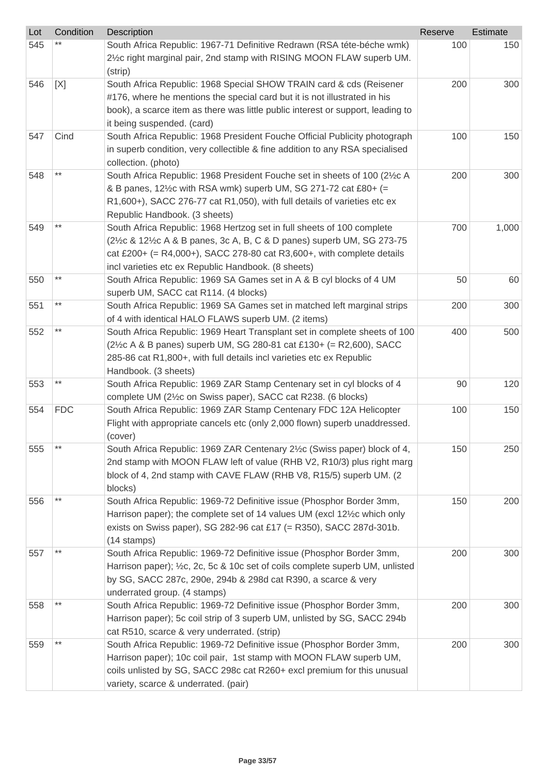| Lot | Condition       | Description                                                                                           | Reserve | Estimate |
|-----|-----------------|-------------------------------------------------------------------------------------------------------|---------|----------|
| 545 |                 | South Africa Republic: 1967-71 Definitive Redrawn (RSA téte-béche wmk)                                | 100     | 150      |
|     |                 | 2½c right marginal pair, 2nd stamp with RISING MOON FLAW superb UM.                                   |         |          |
|     |                 | (strip)                                                                                               |         |          |
| 546 | [X]             | South Africa Republic: 1968 Special SHOW TRAIN card & cds (Reisener                                   | 200     | 300      |
|     |                 | #176, where he mentions the special card but it is not illustrated in his                             |         |          |
|     |                 | book), a scarce item as there was little public interest or support, leading to                       |         |          |
|     |                 | it being suspended. (card)                                                                            |         |          |
| 547 | Cind            | South Africa Republic: 1968 President Fouche Official Publicity photograph                            | 100     | 150      |
|     |                 | in superb condition, very collectible & fine addition to any RSA specialised<br>collection. (photo)   |         |          |
| 548 |                 | South Africa Republic: 1968 President Fouche set in sheets of 100 (21/2C A                            | 200     | 300      |
|     |                 | & B panes, 121/ <sub>2</sub> c with RSA wmk) superb UM, SG 271-72 cat £80+ (=                         |         |          |
|     |                 | R1,600+), SACC 276-77 cat R1,050), with full details of varieties etc ex                              |         |          |
|     |                 | Republic Handbook. (3 sheets)                                                                         |         |          |
| 549 | $***$           | South Africa Republic: 1968 Hertzog set in full sheets of 100 complete                                | 700     | 1,000    |
|     |                 | (2½c & 12½c A & B panes, 3c A, B, C & D panes) superb UM, SG 273-75                                   |         |          |
|     |                 | cat £200+ (= $R4,000+$ ), SACC 278-80 cat $R3,600+$ , with complete details                           |         |          |
|     |                 | incl varieties etc ex Republic Handbook. (8 sheets)                                                   |         |          |
| 550 | $***$           | South Africa Republic: 1969 SA Games set in A & B cyl blocks of 4 UM                                  | 50      | 60       |
|     |                 | superb UM, SACC cat R114. (4 blocks)                                                                  |         |          |
| 551 | $^{\star\star}$ | South Africa Republic: 1969 SA Games set in matched left marginal strips                              | 200     | 300      |
|     |                 | of 4 with identical HALO FLAWS superb UM. (2 items)                                                   |         |          |
| 552 | $***$           | South Africa Republic: 1969 Heart Transplant set in complete sheets of 100                            | 400     | 500      |
|     |                 | (2½c A & B panes) superb UM, SG 280-81 cat £130+ (= R2,600), SACC                                     |         |          |
|     |                 | 285-86 cat R1,800+, with full details incl varieties etc ex Republic                                  |         |          |
|     |                 | Handbook. (3 sheets)                                                                                  |         |          |
| 553 | $***$           | South Africa Republic: 1969 ZAR Stamp Centenary set in cyl blocks of 4                                | 90      | 120      |
|     |                 | complete UM (2½c on Swiss paper), SACC cat R238. (6 blocks)                                           |         |          |
| 554 | <b>FDC</b>      | South Africa Republic: 1969 ZAR Stamp Centenary FDC 12A Helicopter                                    | 100     | 150      |
|     |                 | Flight with appropriate cancels etc (only 2,000 flown) superb unaddressed.                            |         |          |
|     |                 | (cover)                                                                                               |         |          |
| 555 | $***$           | South Africa Republic: 1969 ZAR Centenary 21/2c (Swiss paper) block of 4,                             | 150     | 250      |
|     |                 | 2nd stamp with MOON FLAW left of value (RHB V2, R10/3) plus right marg                                |         |          |
|     |                 | block of 4, 2nd stamp with CAVE FLAW (RHB V8, R15/5) superb UM. (2                                    |         |          |
|     |                 | blocks)                                                                                               |         |          |
| 556 | $***$           | South Africa Republic: 1969-72 Definitive issue (Phosphor Border 3mm,                                 | 150     | 200      |
|     |                 | Harrison paper); the complete set of 14 values UM (excl 121/2 c which only                            |         |          |
|     |                 | exists on Swiss paper), SG 282-96 cat £17 (= R350), SACC 287d-301b.                                   |         |          |
|     | $***$           | (14 stamps)                                                                                           |         |          |
| 557 |                 | South Africa Republic: 1969-72 Definitive issue (Phosphor Border 3mm,                                 | 200     | 300      |
|     |                 | Harrison paper); 1/2c, 2c, 5c & 10c set of coils complete superb UM, unlisted                         |         |          |
|     |                 | by SG, SACC 287c, 290e, 294b & 298d cat R390, a scarce & very                                         |         |          |
| 558 |                 | underrated group. (4 stamps)<br>South Africa Republic: 1969-72 Definitive issue (Phosphor Border 3mm, | 200     | 300      |
|     |                 | Harrison paper); 5c coil strip of 3 superb UM, unlisted by SG, SACC 294b                              |         |          |
|     |                 | cat R510, scarce & very underrated. (strip)                                                           |         |          |
| 559 | $***$           | South Africa Republic: 1969-72 Definitive issue (Phosphor Border 3mm,                                 | 200     | 300      |
|     |                 | Harrison paper); 10c coil pair, 1st stamp with MOON FLAW superb UM,                                   |         |          |
|     |                 | coils unlisted by SG, SACC 298c cat R260+ excl premium for this unusual                               |         |          |
|     |                 | variety, scarce & underrated. (pair)                                                                  |         |          |
|     |                 |                                                                                                       |         |          |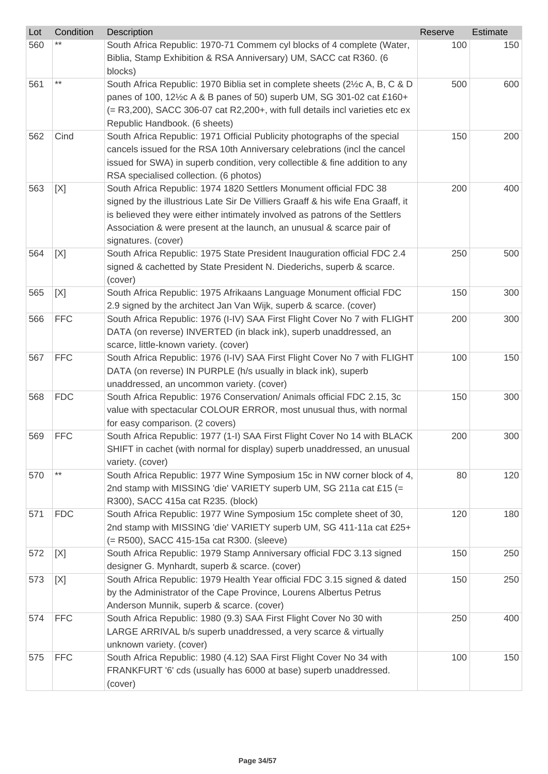| Lot | Condition  | Description                                                                                                                                                                                                                                                                                                                          | Reserve | <b>Estimate</b> |
|-----|------------|--------------------------------------------------------------------------------------------------------------------------------------------------------------------------------------------------------------------------------------------------------------------------------------------------------------------------------------|---------|-----------------|
| 560 |            | South Africa Republic: 1970-71 Commem cyl blocks of 4 complete (Water,<br>Biblia, Stamp Exhibition & RSA Anniversary) UM, SACC cat R360. (6<br>blocks)                                                                                                                                                                               | 100     | 150             |
| 561 | $***$      | South Africa Republic: 1970 Biblia set in complete sheets (2½c A, B, C & D<br>panes of 100, 121/2c A & B panes of 50) superb UM, SG 301-02 cat £160+<br>(= R3,200), SACC 306-07 cat R2,200+, with full details incl varieties etc ex<br>Republic Handbook. (6 sheets)                                                                | 500     | 600             |
| 562 | Cind       | South Africa Republic: 1971 Official Publicity photographs of the special<br>cancels issued for the RSA 10th Anniversary celebrations (incl the cancel<br>issued for SWA) in superb condition, very collectible & fine addition to any<br>RSA specialised collection. (6 photos)                                                     | 150     | 200             |
| 563 | [X]        | South Africa Republic: 1974 1820 Settlers Monument official FDC 38<br>signed by the illustrious Late Sir De Villiers Graaff & his wife Ena Graaff, it<br>is believed they were either intimately involved as patrons of the Settlers<br>Association & were present at the launch, an unusual & scarce pair of<br>signatures. (cover) | 200     | 400             |
| 564 | [X]        | South Africa Republic: 1975 State President Inauguration official FDC 2.4<br>signed & cachetted by State President N. Diederichs, superb & scarce.<br>(cover)                                                                                                                                                                        | 250     | 500             |
| 565 | [X]        | South Africa Republic: 1975 Afrikaans Language Monument official FDC<br>2.9 signed by the architect Jan Van Wijk, superb & scarce. (cover)                                                                                                                                                                                           | 150     | 300             |
| 566 | <b>FFC</b> | South Africa Republic: 1976 (I-IV) SAA First Flight Cover No 7 with FLIGHT<br>DATA (on reverse) INVERTED (in black ink), superb unaddressed, an<br>scarce, little-known variety. (cover)                                                                                                                                             | 200     | 300             |
| 567 | <b>FFC</b> | South Africa Republic: 1976 (I-IV) SAA First Flight Cover No 7 with FLIGHT<br>DATA (on reverse) IN PURPLE (h/s usually in black ink), superb<br>unaddressed, an uncommon variety. (cover)                                                                                                                                            | 100     | 150             |
| 568 | <b>FDC</b> | South Africa Republic: 1976 Conservation/ Animals official FDC 2.15, 3c<br>value with spectacular COLOUR ERROR, most unusual thus, with normal<br>for easy comparison. (2 covers)                                                                                                                                                    | 150     | 300             |
| 569 | <b>FFC</b> | South Africa Republic: 1977 (1-I) SAA First Flight Cover No 14 with BLACK<br>SHIFT in cachet (with normal for display) superb unaddressed, an unusual<br>variety. (cover)                                                                                                                                                            | 200     | 300             |
| 570 | $***$      | South Africa Republic: 1977 Wine Symposium 15c in NW corner block of 4,<br>2nd stamp with MISSING 'die' VARIETY superb UM, SG 211a cat £15 (=<br>R300), SACC 415a cat R235. (block)                                                                                                                                                  | 80      | 120             |
| 571 | <b>FDC</b> | South Africa Republic: 1977 Wine Symposium 15c complete sheet of 30,<br>2nd stamp with MISSING 'die' VARIETY superb UM, SG 411-11a cat £25+<br>(= R500), SACC 415-15a cat R300. (sleeve)                                                                                                                                             | 120     | 180             |
| 572 | [X]        | South Africa Republic: 1979 Stamp Anniversary official FDC 3.13 signed<br>designer G. Mynhardt, superb & scarce. (cover)                                                                                                                                                                                                             | 150     | 250             |
| 573 | [X]        | South Africa Republic: 1979 Health Year official FDC 3.15 signed & dated<br>by the Administrator of the Cape Province, Lourens Albertus Petrus<br>Anderson Munnik, superb & scarce. (cover)                                                                                                                                          | 150     | 250             |
| 574 | <b>FFC</b> | South Africa Republic: 1980 (9.3) SAA First Flight Cover No 30 with<br>LARGE ARRIVAL b/s superb unaddressed, a very scarce & virtually<br>unknown variety. (cover)                                                                                                                                                                   | 250     | 400             |
| 575 | <b>FFC</b> | South Africa Republic: 1980 (4.12) SAA First Flight Cover No 34 with<br>FRANKFURT '6' cds (usually has 6000 at base) superb unaddressed.<br>(cover)                                                                                                                                                                                  | 100     | 150             |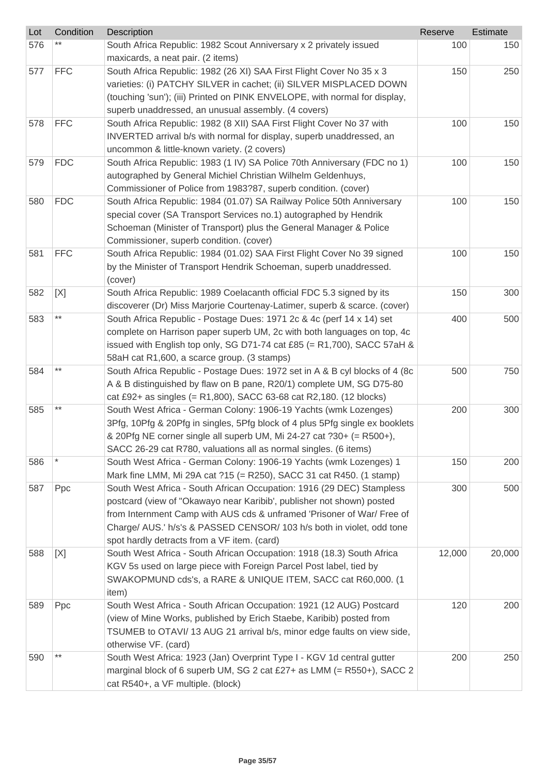| Lot | Condition  | Description                                                                                                                                                                                                                                                                                                                                      | Reserve | Estimate |
|-----|------------|--------------------------------------------------------------------------------------------------------------------------------------------------------------------------------------------------------------------------------------------------------------------------------------------------------------------------------------------------|---------|----------|
| 576 |            | South Africa Republic: 1982 Scout Anniversary x 2 privately issued<br>maxicards, a neat pair. (2 items)                                                                                                                                                                                                                                          | 100     | 150      |
| 577 | <b>FFC</b> | South Africa Republic: 1982 (26 XI) SAA First Flight Cover No 35 x 3<br>varieties: (i) PATCHY SILVER in cachet; (ii) SILVER MISPLACED DOWN<br>(touching 'sun'); (iii) Printed on PINK ENVELOPE, with normal for display,<br>superb unaddressed, an unusual assembly. (4 covers)                                                                  | 150     | 250      |
| 578 | <b>FFC</b> | South Africa Republic: 1982 (8 XII) SAA First Flight Cover No 37 with<br>INVERTED arrival b/s with normal for display, superb unaddressed, an<br>uncommon & little-known variety. (2 covers)                                                                                                                                                     | 100     | 150      |
| 579 | <b>FDC</b> | South Africa Republic: 1983 (1 IV) SA Police 70th Anniversary (FDC no 1)<br>autographed by General Michiel Christian Wilhelm Geldenhuys,<br>Commissioner of Police from 1983?87, superb condition. (cover)                                                                                                                                       | 100     | 150      |
| 580 | <b>FDC</b> | South Africa Republic: 1984 (01.07) SA Railway Police 50th Anniversary<br>special cover (SA Transport Services no.1) autographed by Hendrik<br>Schoeman (Minister of Transport) plus the General Manager & Police<br>Commissioner, superb condition. (cover)                                                                                     | 100     | 150      |
| 581 | <b>FFC</b> | South Africa Republic: 1984 (01.02) SAA First Flight Cover No 39 signed<br>by the Minister of Transport Hendrik Schoeman, superb unaddressed.<br>(cover)                                                                                                                                                                                         | 100     | 150      |
| 582 | [X]        | South Africa Republic: 1989 Coelacanth official FDC 5.3 signed by its<br>discoverer (Dr) Miss Marjorie Courtenay-Latimer, superb & scarce. (cover)                                                                                                                                                                                               | 150     | 300      |
| 583 | $***$      | South Africa Republic - Postage Dues: 1971 2c & 4c (perf 14 x 14) set<br>complete on Harrison paper superb UM, 2c with both languages on top, 4c<br>issued with English top only, SG D71-74 cat £85 (= R1,700), SACC 57aH &<br>58aH cat R1,600, a scarce group. (3 stamps)                                                                       | 400     | 500      |
| 584 | $***$      | South Africa Republic - Postage Dues: 1972 set in A & B cyl blocks of 4 (8c<br>A & B distinguished by flaw on B pane, R20/1) complete UM, SG D75-80<br>cat £92+ as singles (= R1,800), SACC 63-68 cat R2,180. (12 blocks)                                                                                                                        | 500     | 750      |
| 585 | $***$      | South West Africa - German Colony: 1906-19 Yachts (wmk Lozenges)<br>3Pfg, 10Pfg & 20Pfg in singles, 5Pfg block of 4 plus 5Pfg single ex booklets<br>& 20Pfg NE corner single all superb UM, Mi 24-27 cat ?30+ (= R500+),<br>SACC 26-29 cat R780, valuations all as normal singles. (6 items)                                                     | 200     | 300      |
| 586 |            | South West Africa - German Colony: 1906-19 Yachts (wmk Lozenges) 1<br>Mark fine LMM, Mi 29A cat ?15 (= R250), SACC 31 cat R450. (1 stamp)                                                                                                                                                                                                        | 150     | 200      |
| 587 | Ppc        | South West Africa - South African Occupation: 1916 (29 DEC) Stampless<br>postcard (view of "Okawayo near Karibib', publisher not shown) posted<br>from Internment Camp with AUS cds & unframed 'Prisoner of War/ Free of<br>Charge/ AUS.' h/s's & PASSED CENSOR/ 103 h/s both in violet, odd tone<br>spot hardly detracts from a VF item. (card) | 300     | 500      |
| 588 | [X]        | South West Africa - South African Occupation: 1918 (18.3) South Africa<br>KGV 5s used on large piece with Foreign Parcel Post label, tied by<br>SWAKOPMUND cds's, a RARE & UNIQUE ITEM, SACC cat R60,000. (1<br>item)                                                                                                                            | 12,000  | 20,000   |
| 589 | Ppc        | South West Africa - South African Occupation: 1921 (12 AUG) Postcard<br>(view of Mine Works, published by Erich Staebe, Karibib) posted from<br>TSUMEB to OTAVI/ 13 AUG 21 arrival b/s, minor edge faults on view side,<br>otherwise VF. (card)                                                                                                  | 120     | 200      |
| 590 | $***$      | South West Africa: 1923 (Jan) Overprint Type I - KGV 1d central gutter<br>marginal block of 6 superb UM, SG 2 cat £27+ as LMM (= R550+), SACC 2<br>cat R540+, a VF multiple. (block)                                                                                                                                                             | 200     | 250      |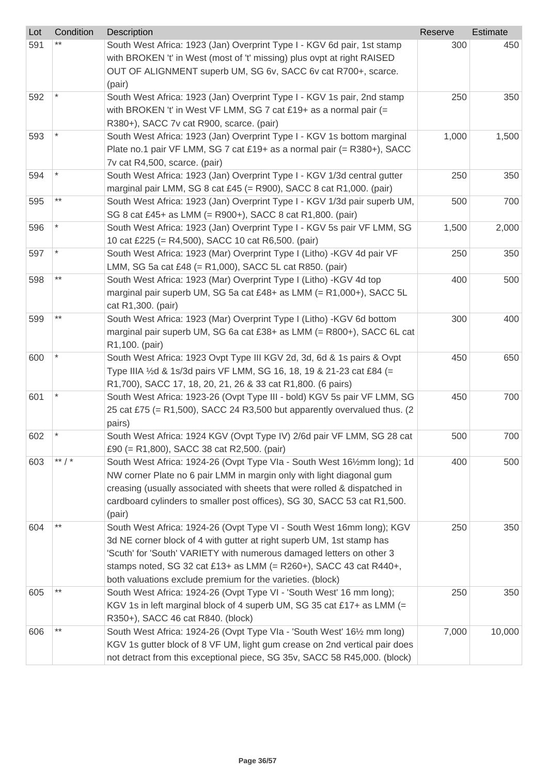| Lot | Condition | Description                                                                                                                                    | Reserve | Estimate |
|-----|-----------|------------------------------------------------------------------------------------------------------------------------------------------------|---------|----------|
| 591 |           | South West Africa: 1923 (Jan) Overprint Type I - KGV 6d pair, 1st stamp                                                                        | 300     | 450      |
|     |           | with BROKEN 't' in West (most of 't' missing) plus ovpt at right RAISED                                                                        |         |          |
|     |           | OUT OF ALIGNMENT superb UM, SG 6v, SACC 6v cat R700+, scarce.                                                                                  |         |          |
|     |           | (pair)                                                                                                                                         |         |          |
| 592 |           | South West Africa: 1923 (Jan) Overprint Type I - KGV 1s pair, 2nd stamp<br>with BROKEN 't' in West VF LMM, SG 7 cat £19+ as a normal pair $(=$ | 250     | 350      |
|     |           | R380+), SACC 7v cat R900, scarce. (pair)                                                                                                       |         |          |
| 593 |           | South West Africa: 1923 (Jan) Overprint Type I - KGV 1s bottom marginal                                                                        | 1,000   | 1,500    |
|     |           | Plate no.1 pair VF LMM, SG 7 cat £19+ as a normal pair (= R380+), SACC                                                                         |         |          |
|     |           | 7v cat R4,500, scarce. (pair)                                                                                                                  |         |          |
| 594 |           | South West Africa: 1923 (Jan) Overprint Type I - KGV 1/3d central gutter                                                                       | 250     | 350      |
|     |           | marginal pair LMM, SG 8 cat £45 (= R900), SACC 8 cat R1,000. (pair)                                                                            |         |          |
| 595 | $***$     | South West Africa: 1923 (Jan) Overprint Type I - KGV 1/3d pair superb UM,                                                                      | 500     | 700      |
|     |           | SG 8 cat £45+ as LMM (= R900+), SACC 8 cat R1,800. (pair)                                                                                      |         |          |
| 596 |           | South West Africa: 1923 (Jan) Overprint Type I - KGV 5s pair VF LMM, SG                                                                        | 1,500   | 2,000    |
|     |           | 10 cat £225 (= R4,500), SACC 10 cat R6,500. (pair)                                                                                             |         |          |
| 597 |           | South West Africa: 1923 (Mar) Overprint Type I (Litho) -KGV 4d pair VF                                                                         | 250     | 350      |
|     |           | LMM, SG 5a cat £48 (= R1,000), SACC 5L cat R850. (pair)                                                                                        |         |          |
| 598 | $***$     | South West Africa: 1923 (Mar) Overprint Type I (Litho) -KGV 4d top                                                                             | 400     | 500      |
|     |           | marginal pair superb UM, SG 5a cat £48+ as LMM $(= R1,000+)$ , SACC 5L                                                                         |         |          |
| 599 |           | cat R1,300. (pair)<br>South West Africa: 1923 (Mar) Overprint Type I (Litho) -KGV 6d bottom                                                    | 300     | 400      |
|     |           | marginal pair superb UM, SG 6a cat £38+ as LMM (= R800+), SACC 6L cat                                                                          |         |          |
|     |           | R1,100. (pair)                                                                                                                                 |         |          |
| 600 |           | South West Africa: 1923 Ovpt Type III KGV 2d, 3d, 6d & 1s pairs & Ovpt                                                                         | 450     | 650      |
|     |           | Type IIIA 1/2d & 1s/3d pairs VF LMM, SG 16, 18, 19 & 21-23 cat £84 (=                                                                          |         |          |
|     |           | R1,700), SACC 17, 18, 20, 21, 26 & 33 cat R1,800. (6 pairs)                                                                                    |         |          |
| 601 |           | South West Africa: 1923-26 (Ovpt Type III - bold) KGV 5s pair VF LMM, SG                                                                       | 450     | 700      |
|     |           | 25 cat £75 (= R1,500), SACC 24 R3,500 but apparently overvalued thus. (2                                                                       |         |          |
|     |           | pairs)                                                                                                                                         |         |          |
| 602 |           | South West Africa: 1924 KGV (Ovpt Type IV) 2/6d pair VF LMM, SG 28 cat                                                                         | 500     | 700      |
|     |           | £90 (= R1,800), SACC 38 cat R2,500. (pair)                                                                                                     |         |          |
| 603 | ** $/$ *  | South West Africa: 1924-26 (Ovpt Type VIa - South West 161/2mm long); 1d                                                                       | 400     | 500      |
|     |           | NW corner Plate no 6 pair LMM in margin only with light diagonal gum                                                                           |         |          |
|     |           | creasing (usually associated with sheets that were rolled & dispatched in                                                                      |         |          |
|     |           | cardboard cylinders to smaller post offices), SG 30, SACC 53 cat R1,500.<br>(pair)                                                             |         |          |
| 604 | $***$     | South West Africa: 1924-26 (Ovpt Type VI - South West 16mm long); KGV                                                                          | 250     | 350      |
|     |           | 3d NE corner block of 4 with gutter at right superb UM, 1st stamp has                                                                          |         |          |
|     |           | 'Scuth' for 'South' VARIETY with numerous damaged letters on other 3                                                                           |         |          |
|     |           | stamps noted, SG 32 cat £13+ as LMM $(= R260+)$ , SACC 43 cat R440+,                                                                           |         |          |
|     |           | both valuations exclude premium for the varieties. (block)                                                                                     |         |          |
| 605 | $***$     | South West Africa: 1924-26 (Ovpt Type VI - 'South West' 16 mm long);                                                                           | 250     | 350      |
|     |           | KGV 1s in left marginal block of 4 superb UM, SG 35 cat £17+ as LMM (=                                                                         |         |          |
|     |           | R350+), SACC 46 cat R840. (block)                                                                                                              |         |          |
| 606 | $***$     | South West Africa: 1924-26 (Ovpt Type VIa - 'South West' 161/2 mm long)                                                                        | 7,000   | 10,000   |
|     |           | KGV 1s gutter block of 8 VF UM, light gum crease on 2nd vertical pair does                                                                     |         |          |
|     |           | not detract from this exceptional piece, SG 35v, SACC 58 R45,000. (block)                                                                      |         |          |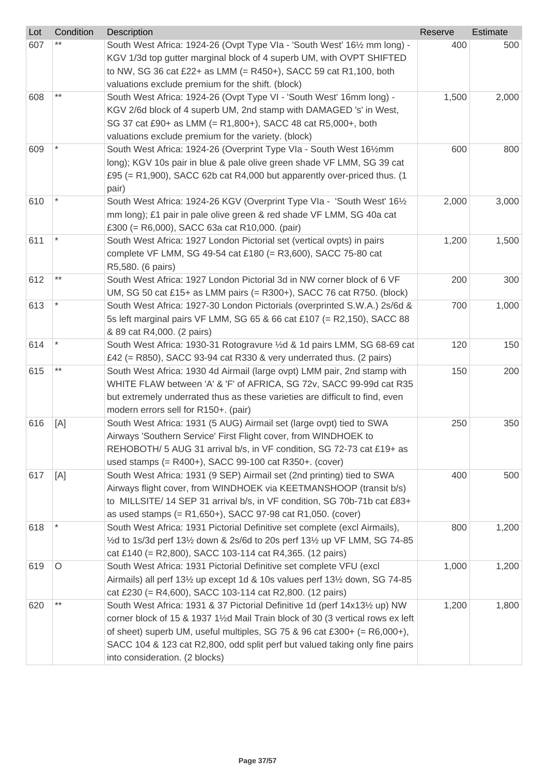| Lot | Condition | Description                                                                                                                                                                                                | Reserve | Estimate |
|-----|-----------|------------------------------------------------------------------------------------------------------------------------------------------------------------------------------------------------------------|---------|----------|
| 607 |           | South West Africa: 1924-26 (Ovpt Type VIa - 'South West' 161/2 mm long) -<br>KGV 1/3d top gutter marginal block of 4 superb UM, with OVPT SHIFTED                                                          | 400     | 500      |
|     |           | to NW, SG 36 cat £22+ as LMM (= R450+), SACC 59 cat R1,100, both                                                                                                                                           |         |          |
|     |           | valuations exclude premium for the shift. (block)                                                                                                                                                          |         |          |
| 608 | $***$     | South West Africa: 1924-26 (Ovpt Type VI - 'South West' 16mm long) -<br>KGV 2/6d block of 4 superb UM, 2nd stamp with DAMAGED 's' in West,<br>SG 37 cat £90+ as LMM (= R1,800+), SACC 48 cat R5,000+, both | 1,500   | 2,000    |
|     |           | valuations exclude premium for the variety. (block)                                                                                                                                                        |         |          |
| 609 |           | South West Africa: 1924-26 (Overprint Type VIa - South West 161/2mm                                                                                                                                        | 600     | 800      |
|     |           | long); KGV 10s pair in blue & pale olive green shade VF LMM, SG 39 cat<br>£95 (= R1,900), SACC 62b cat R4,000 but apparently over-priced thus. (1<br>pair)                                                 |         |          |
| 610 |           | South West Africa: 1924-26 KGV (Overprint Type VIa - 'South West' 161/2                                                                                                                                    | 2,000   | 3,000    |
|     |           | mm long); £1 pair in pale olive green & red shade VF LMM, SG 40a cat<br>£300 (= R6,000), SACC 63a cat R10,000. (pair)                                                                                      |         |          |
| 611 |           | South West Africa: 1927 London Pictorial set (vertical ovpts) in pairs                                                                                                                                     | 1,200   | 1,500    |
|     |           | complete VF LMM, SG 49-54 cat £180 (= R3,600), SACC 75-80 cat<br>R5,580. (6 pairs)                                                                                                                         |         |          |
| 612 | $***$     | South West Africa: 1927 London Pictorial 3d in NW corner block of 6 VF                                                                                                                                     | 200     | 300      |
|     |           | UM, SG 50 cat £15+ as LMM pairs $(= R300+)$ , SACC 76 cat R750. (block)                                                                                                                                    |         |          |
| 613 |           | South West Africa: 1927-30 London Pictorials (overprinted S.W.A.) 2s/6d &                                                                                                                                  | 700     | 1,000    |
|     |           | 5s left marginal pairs VF LMM, SG 65 & 66 cat £107 (= R2,150), SACC 88                                                                                                                                     |         |          |
|     |           | & 89 cat R4,000. (2 pairs)                                                                                                                                                                                 |         |          |
| 614 |           | South West Africa: 1930-31 Rotogravure 1/2d & 1d pairs LMM, SG 68-69 cat                                                                                                                                   | 120     | 150      |
|     |           | £42 (= R850), SACC 93-94 cat R330 & very underrated thus. (2 pairs)                                                                                                                                        |         |          |
| 615 | $***$     | South West Africa: 1930 4d Airmail (large ovpt) LMM pair, 2nd stamp with                                                                                                                                   | 150     | 200      |
|     |           | WHITE FLAW between 'A' & 'F' of AFRICA, SG 72v, SACC 99-99d cat R35                                                                                                                                        |         |          |
|     |           | but extremely underrated thus as these varieties are difficult to find, even<br>modern errors sell for R150+. (pair)                                                                                       |         |          |
| 616 | [A]       | South West Africa: 1931 (5 AUG) Airmail set (large ovpt) tied to SWA                                                                                                                                       | 250     | 350      |
|     |           | Airways 'Southern Service' First Flight cover, from WINDHOEK to                                                                                                                                            |         |          |
|     |           | REHOBOTH/ 5 AUG 31 arrival b/s, in VF condition, SG 72-73 cat £19+ as                                                                                                                                      |         |          |
|     |           | used stamps (= R400+), SACC 99-100 cat R350+. (cover)                                                                                                                                                      |         |          |
| 617 | [A]       | South West Africa: 1931 (9 SEP) Airmail set (2nd printing) tied to SWA                                                                                                                                     | 400     | 500      |
|     |           | Airways flight cover, from WINDHOEK via KEETMANSHOOP (transit b/s)                                                                                                                                         |         |          |
|     |           | to MILLSITE/ 14 SEP 31 arrival b/s, in VF condition, SG 70b-71b cat £83+                                                                                                                                   |         |          |
|     |           | as used stamps $(= R1,650+)$ , SACC 97-98 cat R1,050. (cover)                                                                                                                                              |         |          |
| 618 |           | South West Africa: 1931 Pictorial Definitive set complete (excl Airmails),                                                                                                                                 | 800     | 1,200    |
|     |           | 1/2d to 1s/3d perf 131/2 down & 2s/6d to 20s perf 131/2 up VF LMM, SG 74-85                                                                                                                                |         |          |
|     |           | cat £140 (= R2,800), SACC 103-114 cat R4,365. (12 pairs)                                                                                                                                                   |         |          |
| 619 | O         | South West Africa: 1931 Pictorial Definitive set complete VFU (excl                                                                                                                                        | 1,000   | 1,200    |
|     |           | Airmails) all perf 131/2 up except 1d & 10s values perf 131/2 down, SG 74-85                                                                                                                               |         |          |
|     |           | cat £230 (= R4,600), SACC 103-114 cat R2,800. (12 pairs)                                                                                                                                                   |         |          |
| 620 |           | South West Africa: 1931 & 37 Pictorial Definitive 1d (perf 14x131/2 up) NW<br>corner block of 15 & 1937 1½d Mail Train block of 30 (3 vertical rows ex left                                                | 1,200   | 1,800    |
|     |           | of sheet) superb UM, useful multiples, SG 75 & 96 cat £300+ (= $R6,000+$ ),                                                                                                                                |         |          |
|     |           | SACC 104 & 123 cat R2,800, odd split perf but valued taking only fine pairs                                                                                                                                |         |          |
|     |           | into consideration. (2 blocks)                                                                                                                                                                             |         |          |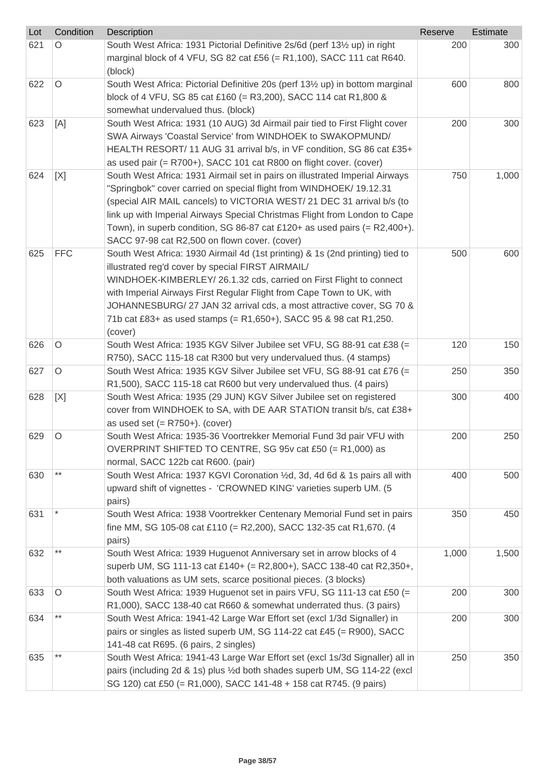| Lot | Condition  | Description                                                                                | Reserve | Estimate |
|-----|------------|--------------------------------------------------------------------------------------------|---------|----------|
| 621 | O          | South West Africa: 1931 Pictorial Definitive 2s/6d (perf 131/2 up) in right                | 200     | 300      |
|     |            | marginal block of 4 VFU, SG 82 cat £56 (= R1,100), SACC 111 cat R640.                      |         |          |
|     |            | (block)                                                                                    |         |          |
| 622 | $\circ$    | South West Africa: Pictorial Definitive 20s (perf 13 <sup>1/2</sup> up) in bottom marginal | 600     | 800      |
|     |            | block of 4 VFU, SG 85 cat £160 (= R3,200), SACC 114 cat R1,800 &                           |         |          |
|     |            | somewhat undervalued thus. (block)                                                         |         |          |
| 623 | [A]        | South West Africa: 1931 (10 AUG) 3d Airmail pair tied to First Flight cover                | 200     | 300      |
|     |            | SWA Airways 'Coastal Service' from WINDHOEK to SWAKOPMUND/                                 |         |          |
|     |            | HEALTH RESORT/ 11 AUG 31 arrival b/s, in VF condition, SG 86 cat £35+                      |         |          |
|     |            | as used pair (= R700+), SACC 101 cat R800 on flight cover. (cover)                         |         |          |
| 624 | [X]        | South West Africa: 1931 Airmail set in pairs on illustrated Imperial Airways               | 750     | 1,000    |
|     |            | "Springbok" cover carried on special flight from WINDHOEK/ 19.12.31                        |         |          |
|     |            | (special AIR MAIL cancels) to VICTORIA WEST/ 21 DEC 31 arrival b/s (to                     |         |          |
|     |            | link up with Imperial Airways Special Christmas Flight from London to Cape                 |         |          |
|     |            | Town), in superb condition, SG 86-87 cat £120+ as used pairs $(= R2,400+)$ .               |         |          |
|     |            | SACC 97-98 cat R2,500 on flown cover. (cover)                                              |         |          |
| 625 | <b>FFC</b> | South West Africa: 1930 Airmail 4d (1st printing) & 1s (2nd printing) tied to              | 500     | 600      |
|     |            | illustrated reg'd cover by special FIRST AIRMAIL/                                          |         |          |
|     |            | WINDHOEK-KIMBERLEY/ 26.1.32 cds, carried on First Flight to connect                        |         |          |
|     |            | with Imperial Airways First Regular Flight from Cape Town to UK, with                      |         |          |
|     |            | JOHANNESBURG/ 27 JAN 32 arrival cds, a most attractive cover, SG 70 &                      |         |          |
|     |            | 71b cat £83+ as used stamps (= R1,650+), SACC 95 & 98 cat R1,250.                          |         |          |
| 626 | $\circ$    | (cover)<br>South West Africa: 1935 KGV Silver Jubilee set VFU, SG 88-91 cat £38 (=         | 120     | 150      |
|     |            | R750), SACC 115-18 cat R300 but very undervalued thus. (4 stamps)                          |         |          |
| 627 | $\circ$    | South West Africa: 1935 KGV Silver Jubilee set VFU, SG 88-91 cat £76 (=                    | 250     | 350      |
|     |            | R1,500), SACC 115-18 cat R600 but very undervalued thus. (4 pairs)                         |         |          |
| 628 | [X]        | South West Africa: 1935 (29 JUN) KGV Silver Jubilee set on registered                      | 300     | 400      |
|     |            | cover from WINDHOEK to SA, with DE AAR STATION transit b/s, cat £38+                       |         |          |
|     |            | as used set $(= R750+)$ . (cover)                                                          |         |          |
| 629 | O          | South West Africa: 1935-36 Voortrekker Memorial Fund 3d pair VFU with                      | 200     | 250      |
|     |            | OVERPRINT SHIFTED TO CENTRE, SG 95v cat £50 (= R1,000) as                                  |         |          |
|     |            | normal, SACC 122b cat R600. (pair)                                                         |         |          |
| 630 | $***$      | South West Africa: 1937 KGVI Coronation 1/2d, 3d, 4d 6d & 1s pairs all with                | 400     | 500      |
|     |            | upward shift of vignettes - 'CROWNED KING' varieties superb UM. (5)                        |         |          |
|     |            | pairs)                                                                                     |         |          |
| 631 |            | South West Africa: 1938 Voortrekker Centenary Memorial Fund set in pairs                   | 350     | 450      |
|     |            | fine MM, SG 105-08 cat £110 (= R2,200), SACC 132-35 cat R1,670. (4                         |         |          |
|     |            | pairs)                                                                                     |         |          |
| 632 | $***$      | South West Africa: 1939 Huguenot Anniversary set in arrow blocks of 4                      | 1,000   | 1,500    |
|     |            | superb UM, SG 111-13 cat £140+ (= R2,800+), SACC 138-40 cat R2,350+,                       |         |          |
|     |            | both valuations as UM sets, scarce positional pieces. (3 blocks)                           |         |          |
| 633 | $\circ$    | South West Africa: 1939 Huguenot set in pairs VFU, SG 111-13 cat £50 (=                    | 200     | 300      |
|     |            | R1,000), SACC 138-40 cat R660 & somewhat underrated thus. (3 pairs)                        |         |          |
| 634 | $***$      | South West Africa: 1941-42 Large War Effort set (excl 1/3d Signaller) in                   | 200     | 300      |
|     |            | pairs or singles as listed superb UM, SG 114-22 cat £45 (= R900), SACC                     |         |          |
|     |            | 141-48 cat R695. (6 pairs, 2 singles)                                                      |         |          |
| 635 | $* *$      | South West Africa: 1941-43 Large War Effort set (excl 1s/3d Signaller) all in              | 250     | 350      |
|     |            | pairs (including 2d & 1s) plus 1/2d both shades superb UM, SG 114-22 (excl                 |         |          |
|     |            | SG 120) cat £50 (= R1,000), SACC 141-48 + 158 cat R745. (9 pairs)                          |         |          |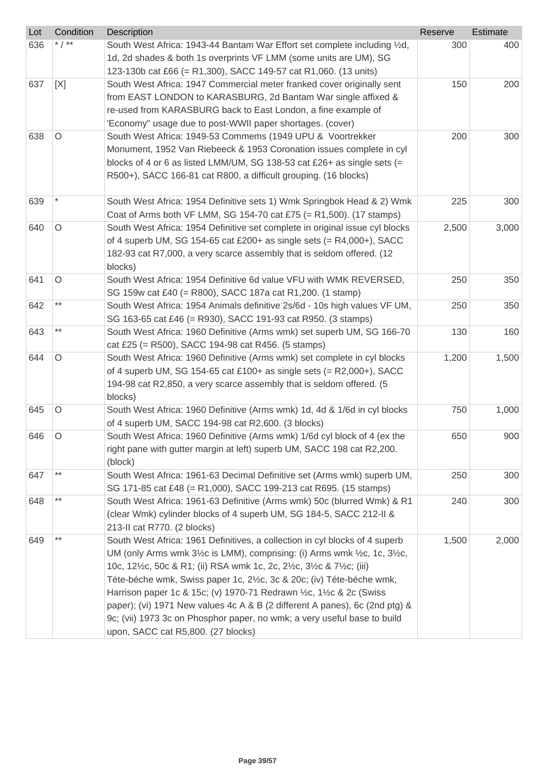| Lot | Condition       | Description                                                                                                                                                                                                                                                                                                                                                                                                                                                                                                                                                            | Reserve | Estimate |
|-----|-----------------|------------------------------------------------------------------------------------------------------------------------------------------------------------------------------------------------------------------------------------------------------------------------------------------------------------------------------------------------------------------------------------------------------------------------------------------------------------------------------------------------------------------------------------------------------------------------|---------|----------|
| 636 | * $/$ **        | South West Africa: 1943-44 Bantam War Effort set complete including 1/2d,<br>1d, 2d shades & both 1s overprints VF LMM (some units are UM), SG<br>123-130b cat £66 (= R1,300), SACC 149-57 cat R1,060. (13 units)                                                                                                                                                                                                                                                                                                                                                      | 300     | 400      |
| 637 | [X]             | South West Africa: 1947 Commercial meter franked cover originally sent<br>from EAST LONDON to KARASBURG, 2d Bantam War single affixed &<br>re-used from KARASBURG back to East London, a fine example of<br>'Economy" usage due to post-WWII paper shortages. (cover)                                                                                                                                                                                                                                                                                                  | 150     | 200      |
| 638 | O               | South West Africa: 1949-53 Commems (1949 UPU & Voortrekker<br>Monument, 1952 Van Riebeeck & 1953 Coronation issues complete in cyl<br>blocks of 4 or 6 as listed LMM/UM, SG 138-53 cat £26+ as single sets $(=$<br>R500+), SACC 166-81 cat R800, a difficult grouping. (16 blocks)                                                                                                                                                                                                                                                                                     | 200     | 300      |
| 639 |                 | South West Africa: 1954 Definitive sets 1) Wmk Springbok Head & 2) Wmk<br>Coat of Arms both VF LMM, SG 154-70 cat £75 (= R1,500). (17 stamps)                                                                                                                                                                                                                                                                                                                                                                                                                          | 225     | 300      |
| 640 | $\circ$         | South West Africa: 1954 Definitive set complete in original issue cyl blocks<br>of 4 superb UM, SG 154-65 cat £200+ as single sets $(= R4,000+)$ , SACC<br>182-93 cat R7,000, a very scarce assembly that is seldom offered. (12<br>blocks)                                                                                                                                                                                                                                                                                                                            | 2,500   | 3,000    |
| 641 | O               | South West Africa: 1954 Definitive 6d value VFU with WMK REVERSED,<br>SG 159w cat £40 (= R800), SACC 187a cat R1,200. (1 stamp)                                                                                                                                                                                                                                                                                                                                                                                                                                        | 250     | 350      |
| 642 | $^{\star\star}$ | South West Africa: 1954 Animals definitive 2s/6d - 10s high values VF UM,<br>SG 163-65 cat £46 (= R930), SACC 191-93 cat R950. (3 stamps)                                                                                                                                                                                                                                                                                                                                                                                                                              | 250     | 350      |
| 643 | $***$           | South West Africa: 1960 Definitive (Arms wmk) set superb UM, SG 166-70<br>cat £25 (= R500), SACC 194-98 cat R456. (5 stamps)                                                                                                                                                                                                                                                                                                                                                                                                                                           | 130     | 160      |
| 644 | $\circ$         | South West Africa: 1960 Definitive (Arms wmk) set complete in cyl blocks<br>of 4 superb UM, SG 154-65 cat £100+ as single sets $(= R2,000+)$ , SACC<br>194-98 cat R2,850, a very scarce assembly that is seldom offered. (5<br>blocks)                                                                                                                                                                                                                                                                                                                                 | 1,200   | 1,500    |
| 645 | $\circ$         | South West Africa: 1960 Definitive (Arms wmk) 1d, 4d & 1/6d in cyl blocks<br>of 4 superb UM, SACC 194-98 cat R2,600. (3 blocks)                                                                                                                                                                                                                                                                                                                                                                                                                                        | 750     | 1,000    |
| 646 | O               | South West Africa: 1960 Definitive (Arms wmk) 1/6d cyl block of 4 (ex the<br>right pane with gutter margin at left) superb UM, SACC 198 cat R2,200.<br>(block)                                                                                                                                                                                                                                                                                                                                                                                                         | 650     | 900      |
| 647 | $***$           | South West Africa: 1961-63 Decimal Definitive set (Arms wmk) superb UM,<br>SG 171-85 cat £48 (= R1,000), SACC 199-213 cat R695. (15 stamps)                                                                                                                                                                                                                                                                                                                                                                                                                            | 250     | 300      |
| 648 | $***$           | South West Africa: 1961-63 Definitive (Arms wmk) 50c (blurred Wmk) & R1<br>(clear Wmk) cylinder blocks of 4 superb UM, SG 184-5, SACC 212-II &<br>213-II cat R770. (2 blocks)                                                                                                                                                                                                                                                                                                                                                                                          | 240     | 300      |
| 649 | $***$           | South West Africa: 1961 Definitives, a collection in cyl blocks of 4 superb<br>UM (only Arms wmk 3½c is LMM), comprising: (i) Arms wmk ½c, 1c, 3½c,<br>10c, 12½c, 50c & R1; (ii) RSA wmk 1c, 2c, 2½c, 3½c & 7½c; (iii)<br>Téte-béche wmk, Swiss paper 1c, 2½c, 3c & 20c; (iv) Téte-béche wmk,<br>Harrison paper 1c & 15c; (v) 1970-71 Redrawn 1/2c, 11/2c & 2c (Swiss<br>paper); (vi) 1971 New values 4c A & B (2 different A panes), 6c (2nd ptg) &<br>9c; (vii) 1973 3c on Phosphor paper, no wmk; a very useful base to build<br>upon, SACC cat R5,800. (27 blocks) | 1,500   | 2,000    |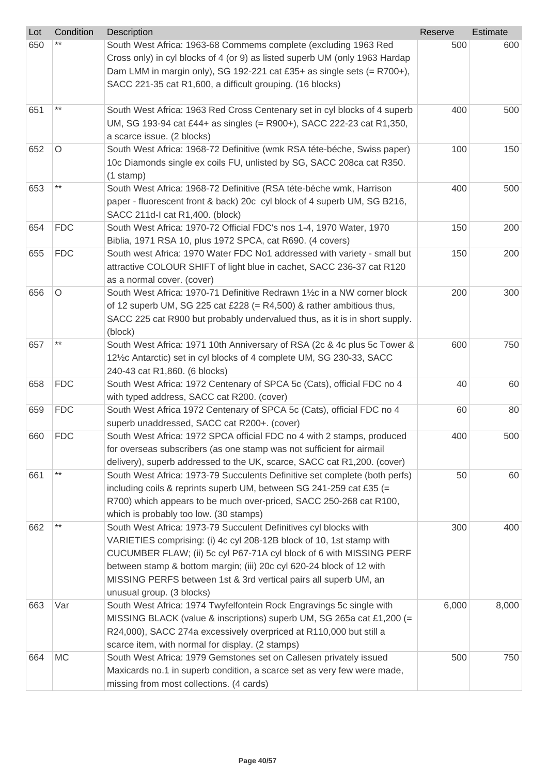| Lot | Condition  | Description                                                                 | Reserve | Estimate |
|-----|------------|-----------------------------------------------------------------------------|---------|----------|
| 650 |            | South West Africa: 1963-68 Commems complete (excluding 1963 Red             | 500     | 600      |
|     |            | Cross only) in cyl blocks of 4 (or 9) as listed superb UM (only 1963 Hardap |         |          |
|     |            | Dam LMM in margin only), SG 192-221 cat £35+ as single sets $(= R700+),$    |         |          |
|     |            | SACC 221-35 cat R1,600, a difficult grouping. (16 blocks)                   |         |          |
|     |            |                                                                             |         |          |
| 651 | $***$      | South West Africa: 1963 Red Cross Centenary set in cyl blocks of 4 superb   | 400     | 500      |
|     |            | UM, SG 193-94 cat £44+ as singles (= R900+), SACC 222-23 cat R1,350,        |         |          |
|     |            | a scarce issue. (2 blocks)                                                  |         |          |
| 652 | O          | South West Africa: 1968-72 Definitive (wmk RSA téte-béche, Swiss paper)     | 100     | 150      |
|     |            | 10c Diamonds single ex coils FU, unlisted by SG, SACC 208ca cat R350.       |         |          |
|     |            | $(1$ stamp)                                                                 |         |          |
| 653 | $***$      | South West Africa: 1968-72 Definitive (RSA téte-béche wmk, Harrison         | 400     | 500      |
|     |            | paper - fluorescent front & back) 20c cyl block of 4 superb UM, SG B216,    |         |          |
|     |            | SACC 211d-I cat R1,400. (block)                                             |         |          |
| 654 | <b>FDC</b> | South West Africa: 1970-72 Official FDC's nos 1-4, 1970 Water, 1970         | 150     | 200      |
|     |            | Biblia, 1971 RSA 10, plus 1972 SPCA, cat R690. (4 covers)                   |         |          |
| 655 | <b>FDC</b> | South west Africa: 1970 Water FDC No1 addressed with variety - small but    | 150     | 200      |
|     |            | attractive COLOUR SHIFT of light blue in cachet, SACC 236-37 cat R120       |         |          |
|     |            | as a normal cover. (cover)                                                  |         |          |
| 656 | $\circ$    | South West Africa: 1970-71 Definitive Redrawn 1½c in a NW corner block      | 200     | 300      |
|     |            | of 12 superb UM, SG 225 cat £228 (= $R4,500$ ) & rather ambitious thus,     |         |          |
|     |            | SACC 225 cat R900 but probably undervalued thus, as it is in short supply.  |         |          |
|     |            | (block)                                                                     |         |          |
| 657 | $***$      | South West Africa: 1971 10th Anniversary of RSA (2c & 4c plus 5c Tower &    | 600     | 750      |
|     |            | 12½c Antarctic) set in cyl blocks of 4 complete UM, SG 230-33, SACC         |         |          |
|     |            | 240-43 cat R1,860. (6 blocks)                                               |         |          |
| 658 | <b>FDC</b> | South West Africa: 1972 Centenary of SPCA 5c (Cats), official FDC no 4      | 40      | 60       |
|     |            | with typed address, SACC cat R200. (cover)                                  |         |          |
| 659 | <b>FDC</b> | South West Africa 1972 Centenary of SPCA 5c (Cats), official FDC no 4       | 60      | 80       |
|     |            | superb unaddressed, SACC cat R200+. (cover)                                 |         |          |
| 660 | FDC.       | South West Africa: 1972 SPCA official FDC no 4 with 2 stamps, produced      | 400     | 500      |
|     |            | for overseas subscribers (as one stamp was not sufficient for airmail       |         |          |
|     | $***$      | delivery), superb addressed to the UK, scarce, SACC cat R1,200. (cover)     |         |          |
| 661 |            | South West Africa: 1973-79 Succulents Definitive set complete (both perfs)  | 50      | 60       |
|     |            | including coils & reprints superb UM, between SG 241-259 cat £35 (=         |         |          |
|     |            | R700) which appears to be much over-priced, SACC 250-268 cat R100,          |         |          |
|     | $***$      | which is probably too low. (30 stamps)                                      |         |          |
| 662 |            | South West Africa: 1973-79 Succulent Definitives cyl blocks with            | 300     | 400      |
|     |            | VARIETIES comprising: (i) 4c cyl 208-12B block of 10, 1st stamp with        |         |          |
|     |            | CUCUMBER FLAW; (ii) 5c cyl P67-71A cyl block of 6 with MISSING PERF         |         |          |
|     |            | between stamp & bottom margin; (iii) 20c cyl 620-24 block of 12 with        |         |          |
|     |            | MISSING PERFS between 1st & 3rd vertical pairs all superb UM, an            |         |          |
|     |            | unusual group. (3 blocks)                                                   |         |          |
| 663 | Var        | South West Africa: 1974 Twyfelfontein Rock Engravings 5c single with        | 6,000   | 8,000    |
|     |            | MISSING BLACK (value & inscriptions) superb UM, SG 265a cat £1,200 (=       |         |          |
|     |            | R24,000), SACC 274a excessively overpriced at R110,000 but still a          |         |          |
|     |            | scarce item, with normal for display. (2 stamps)                            |         |          |
| 664 | <b>MC</b>  | South West Africa: 1979 Gemstones set on Callesen privately issued          | 500     | 750      |
|     |            | Maxicards no.1 in superb condition, a scarce set as very few were made,     |         |          |
|     |            | missing from most collections. (4 cards)                                    |         |          |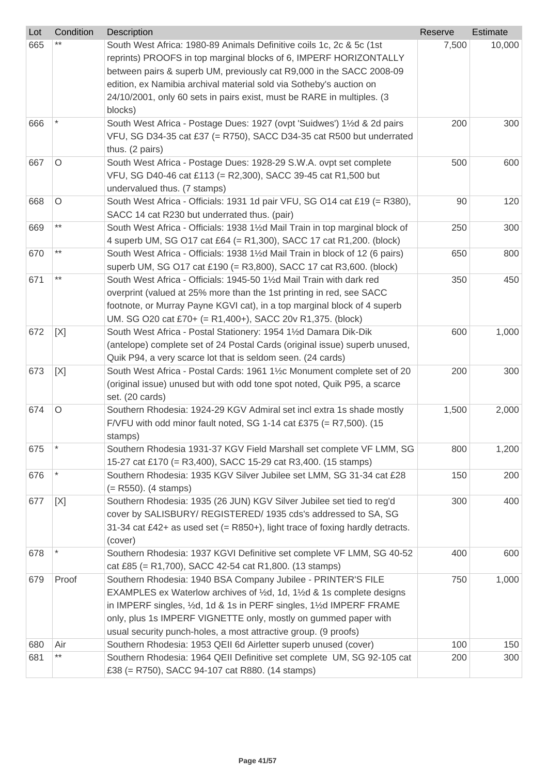| Lot | Condition | <b>Description</b>                                                                                                                      | Reserve | Estimate |
|-----|-----------|-----------------------------------------------------------------------------------------------------------------------------------------|---------|----------|
| 665 |           | South West Africa: 1980-89 Animals Definitive coils 1c, 2c & 5c (1st                                                                    | 7,500   | 10,000   |
|     |           | reprints) PROOFS in top marginal blocks of 6, IMPERF HORIZONTALLY                                                                       |         |          |
|     |           | between pairs & superb UM, previously cat R9,000 in the SACC 2008-09                                                                    |         |          |
|     |           | edition, ex Namibia archival material sold via Sotheby's auction on                                                                     |         |          |
|     |           | 24/10/2001, only 60 sets in pairs exist, must be RARE in multiples. (3                                                                  |         |          |
|     |           | blocks)                                                                                                                                 |         |          |
| 666 |           | South West Africa - Postage Dues: 1927 (ovpt 'Suidwes') 11/2d & 2d pairs                                                                | 200     | 300      |
|     |           | VFU, SG D34-35 cat £37 (= R750), SACC D34-35 cat R500 but underrated                                                                    |         |          |
|     |           | thus. (2 pairs)                                                                                                                         |         |          |
| 667 | $\circ$   | South West Africa - Postage Dues: 1928-29 S.W.A. ovpt set complete                                                                      | 500     | 600      |
|     |           | VFU, SG D40-46 cat £113 (= R2,300), SACC 39-45 cat R1,500 but                                                                           |         |          |
|     |           | undervalued thus. (7 stamps)                                                                                                            |         |          |
| 668 | $\circ$   | South West Africa - Officials: 1931 1d pair VFU, SG 014 cat £19 (= R380),                                                               | 90      | 120      |
|     |           | SACC 14 cat R230 but underrated thus. (pair)                                                                                            |         |          |
| 669 | $***$     | South West Africa - Officials: 1938 11/2d Mail Train in top marginal block of                                                           | 250     | 300      |
|     |           | 4 superb UM, SG 017 cat £64 (= R1,300), SACC 17 cat R1,200. (block)                                                                     |         |          |
| 670 | $***$     | South West Africa - Officials: 1938 11/2d Mail Train in block of 12 (6 pairs)                                                           | 650     | 800      |
|     |           | superb UM, SG O17 cat £190 (= R3,800), SACC 17 cat R3,600. (block)                                                                      |         |          |
| 671 | $***$     | South West Africa - Officials: 1945-50 11/2d Mail Train with dark red                                                                   | 350     | 450      |
|     |           | overprint (valued at 25% more than the 1st printing in red, see SACC                                                                    |         |          |
|     |           | footnote, or Murray Payne KGVI cat), in a top marginal block of 4 superb                                                                |         |          |
|     |           | UM. SG O20 cat £70+ (= R1,400+), SACC 20v R1,375. (block)                                                                               |         |          |
| 672 | [X]       | South West Africa - Postal Stationery: 1954 11/2d Damara Dik-Dik                                                                        | 600     | 1,000    |
|     |           | (antelope) complete set of 24 Postal Cards (original issue) superb unused,                                                              |         |          |
|     |           | Quik P94, a very scarce lot that is seldom seen. (24 cards)                                                                             |         |          |
| 673 | [X]       | South West Africa - Postal Cards: 1961 1½c Monument complete set of 20                                                                  | 200     | 300      |
|     |           | (original issue) unused but with odd tone spot noted, Quik P95, a scarce                                                                |         |          |
|     |           | set. (20 cards)                                                                                                                         |         |          |
| 674 | $\circ$   | Southern Rhodesia: 1924-29 KGV Admiral set incl extra 1s shade mostly                                                                   | 1,500   | 2,000    |
|     |           | F/VFU with odd minor fault noted, SG 1-14 cat £375 (= R7,500). (15                                                                      |         |          |
|     | $\ast$    | stamps)                                                                                                                                 |         |          |
| 675 |           | Southern Rhodesia 1931-37 KGV Field Marshall set complete VF LMM, SG                                                                    | 800     | 1,200    |
|     |           | 15-27 cat £170 (= R3,400), SACC 15-29 cat R3,400. (15 stamps)                                                                           |         |          |
| 676 |           | Southern Rhodesia: 1935 KGV Silver Jubilee set LMM, SG 31-34 cat £28                                                                    | 150     | 200      |
|     |           | $(= R550)$ . (4 stamps)                                                                                                                 |         |          |
| 677 | [X]       | Southern Rhodesia: 1935 (26 JUN) KGV Silver Jubilee set tied to reg'd<br>cover by SALISBURY/ REGISTERED/ 1935 cds's addressed to SA, SG | 300     | 400      |
|     |           | 31-34 cat £42+ as used set $(= R850+)$ , light trace of foxing hardly detracts.                                                         |         |          |
|     |           | (cover)                                                                                                                                 |         |          |
| 678 |           | Southern Rhodesia: 1937 KGVI Definitive set complete VF LMM, SG 40-52                                                                   | 400     | 600      |
|     |           | cat £85 (= R1,700), SACC 42-54 cat R1,800. (13 stamps)                                                                                  |         |          |
| 679 | Proof     | Southern Rhodesia: 1940 BSA Company Jubilee - PRINTER'S FILE                                                                            | 750     | 1,000    |
|     |           | EXAMPLES ex Waterlow archives of 1/2d, 1d, 11/2d & 1s complete designs                                                                  |         |          |
|     |           | in IMPERF singles, 1/2d, 1d & 1s in PERF singles, 11/2d IMPERF FRAME                                                                    |         |          |
|     |           | only, plus 1s IMPERF VIGNETTE only, mostly on gummed paper with                                                                         |         |          |
|     |           | usual security punch-holes, a most attractive group. (9 proofs)                                                                         |         |          |
| 680 | Air       | Southern Rhodesia: 1953 QEII 6d Airletter superb unused (cover)                                                                         | 100     | 150      |
| 681 | $***$     | Southern Rhodesia: 1964 QEII Definitive set complete UM, SG 92-105 cat                                                                  | 200     | 300      |
|     |           | £38 (= R750), SACC 94-107 cat R880. (14 stamps)                                                                                         |         |          |
|     |           |                                                                                                                                         |         |          |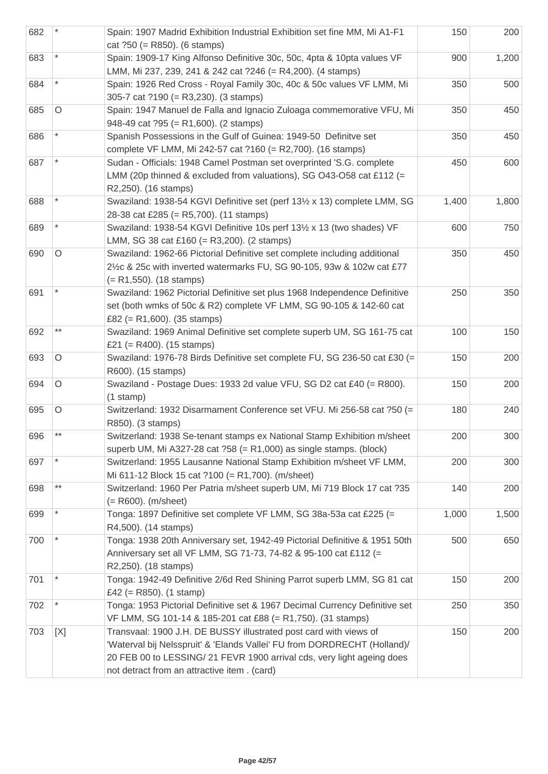| 682 |                 | Spain: 1907 Madrid Exhibition Industrial Exhibition set fine MM, Mi A1-F1<br>cat $?50 (= R850)$ . (6 stamps)                                                                                                                                                           | 150   | 200   |
|-----|-----------------|------------------------------------------------------------------------------------------------------------------------------------------------------------------------------------------------------------------------------------------------------------------------|-------|-------|
| 683 |                 | Spain: 1909-17 King Alfonso Definitive 30c, 50c, 4pta & 10pta values VF<br>LMM, Mi 237, 239, 241 & 242 cat ?246 (= R4,200). (4 stamps)                                                                                                                                 | 900   | 1,200 |
| 684 |                 | Spain: 1926 Red Cross - Royal Family 30c, 40c & 50c values VF LMM, Mi<br>305-7 cat ?190 (= R3,230). (3 stamps)                                                                                                                                                         | 350   | 500   |
| 685 | O               | Spain: 1947 Manuel de Falla and Ignacio Zuloaga commemorative VFU, Mi<br>948-49 cat $?95 (= R1,600)$ . (2 stamps)                                                                                                                                                      | 350   | 450   |
| 686 |                 | Spanish Possessions in the Gulf of Guinea: 1949-50 Definitve set<br>complete VF LMM, Mi 242-57 cat ?160 (= R2,700). (16 stamps)                                                                                                                                        | 350   | 450   |
| 687 |                 | Sudan - Officials: 1948 Camel Postman set overprinted 'S.G. complete<br>LMM (20p thinned & excluded from valuations), SG O43-O58 cat £112 (=<br>R2,250). (16 stamps)                                                                                                   | 450   | 600   |
| 688 |                 | Swaziland: 1938-54 KGVI Definitive set (perf 131/2 x 13) complete LMM, SG<br>28-38 cat £285 (= R5,700). (11 stamps)                                                                                                                                                    | 1,400 | 1,800 |
| 689 |                 | Swaziland: 1938-54 KGVI Definitive 10s perf 131/2 x 13 (two shades) VF<br>LMM, SG 38 cat £160 (= R3,200). (2 stamps)                                                                                                                                                   | 600   | 750   |
| 690 | O               | Swaziland: 1962-66 Pictorial Definitive set complete including additional<br>2½c & 25c with inverted watermarks FU, SG 90-105, 93w & 102w cat £77<br>$(= R1, 550)$ . (18 stamps)                                                                                       | 350   | 450   |
| 691 |                 | Swaziland: 1962 Pictorial Definitive set plus 1968 Independence Definitive<br>set (both wmks of 50c & R2) complete VF LMM, SG 90-105 & 142-60 cat<br>£82 (= R1,600). (35 stamps)                                                                                       | 250   | 350   |
| 692 | $***$           | Swaziland: 1969 Animal Definitive set complete superb UM, SG 161-75 cat<br>£21 (= R400). $(15 \text{ stamps})$                                                                                                                                                         | 100   | 150   |
| 693 | O               | Swaziland: 1976-78 Birds Definitive set complete FU, SG 236-50 cat £30 (=<br>R600). (15 stamps)                                                                                                                                                                        | 150   | 200   |
| 694 | O               | Swaziland - Postage Dues: 1933 2d value VFU, SG D2 cat £40 (= R800).<br>$(1$ stamp)                                                                                                                                                                                    | 150   | 200   |
| 695 | $\circ$         | Switzerland: 1932 Disarmament Conference set VFU. Mi 256-58 cat ?50 (=<br>R850). (3 stamps)                                                                                                                                                                            | 180   | 240   |
| 696 | $***$           | Switzerland: 1938 Se-tenant stamps ex National Stamp Exhibition m/sheet<br>superb UM, Mi A327-28 cat $?58$ (= R1,000) as single stamps. (block)                                                                                                                        | 200   | 300   |
| 697 |                 | Switzerland: 1955 Lausanne National Stamp Exhibition m/sheet VF LMM,<br>Mi 611-12 Block 15 cat ?100 (= R1,700). (m/sheet)                                                                                                                                              | 200   | 300   |
| 698 | $^{\star\star}$ | Switzerland: 1960 Per Patria m/sheet superb UM, Mi 719 Block 17 cat ?35<br>$(= R600)$ . (m/sheet)                                                                                                                                                                      | 140   | 200   |
| 699 |                 | Tonga: 1897 Definitive set complete VF LMM, SG 38a-53a cat £225 (=<br>R4,500). (14 stamps)                                                                                                                                                                             | 1,000 | 1,500 |
| 700 |                 | Tonga: 1938 20th Anniversary set, 1942-49 Pictorial Definitive & 1951 50th<br>Anniversary set all VF LMM, SG 71-73, 74-82 & 95-100 cat £112 (=<br>R2,250). (18 stamps)                                                                                                 | 500   | 650   |
| 701 |                 | Tonga: 1942-49 Definitive 2/6d Red Shining Parrot superb LMM, SG 81 cat<br>£42 (= $R850$ ). (1 stamp)                                                                                                                                                                  | 150   | 200   |
| 702 |                 | Tonga: 1953 Pictorial Definitive set & 1967 Decimal Currency Definitive set<br>VF LMM, SG 101-14 & 185-201 cat £88 (= R1,750). (31 stamps)                                                                                                                             | 250   | 350   |
| 703 | [X]             | Transvaal: 1900 J.H. DE BUSSY illustrated post card with views of<br>'Waterval bij Nelsspruit' & 'Elands Vallei' FU from DORDRECHT (Holland)/<br>20 FEB 00 to LESSING/ 21 FEVR 1900 arrival cds, very light ageing does<br>not detract from an attractive item. (card) | 150   | 200   |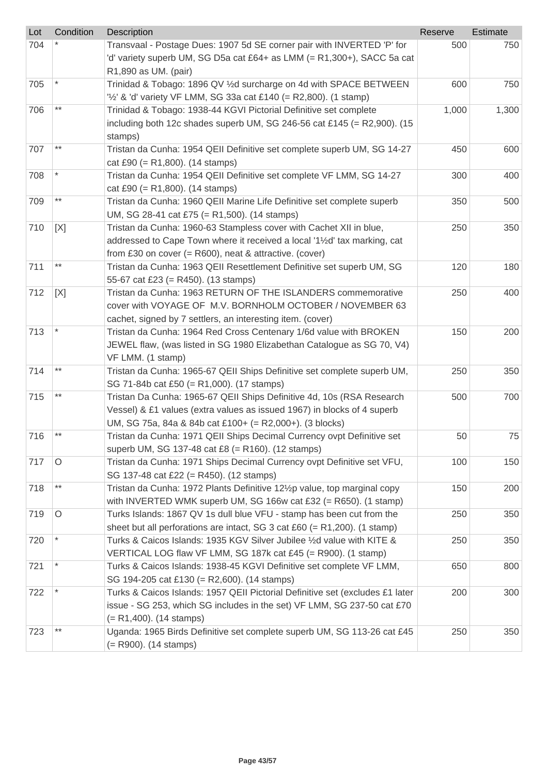| Lot | Condition       | <b>Description</b>                                                            | Reserve | Estimate |
|-----|-----------------|-------------------------------------------------------------------------------|---------|----------|
| 704 |                 | Transvaal - Postage Dues: 1907 5d SE corner pair with INVERTED 'P' for        | 500     | 750      |
|     |                 | 'd' variety superb UM, SG D5a cat £64+ as LMM (= R1,300+), SACC 5a cat        |         |          |
|     |                 | R1,890 as UM. (pair)                                                          |         |          |
| 705 |                 | Trinidad & Tobago: 1896 QV 1/2d surcharge on 4d with SPACE BETWEEN            | 600     | 750      |
|     |                 | " $\frac{1}{2}$ " & 'd' variety VF LMM, SG 33a cat £140 (= R2,800). (1 stamp) |         |          |
| 706 | $^{\star\star}$ | Trinidad & Tobago: 1938-44 KGVI Pictorial Definitive set complete             | 1,000   | 1,300    |
|     |                 | including both 12c shades superb UM, SG 246-56 cat £145 (= R2,900). (15       |         |          |
|     |                 | stamps)                                                                       |         |          |
| 707 | $***$           | Tristan da Cunha: 1954 QEII Definitive set complete superb UM, SG 14-27       | 450     | 600      |
|     |                 | cat £90 (= $R1,800$ ). (14 stamps)                                            |         |          |
| 708 |                 | Tristan da Cunha: 1954 QEII Definitive set complete VF LMM, SG 14-27          | 300     | 400      |
|     |                 | cat £90 (= $R1,800$ ). (14 stamps)                                            |         |          |
| 709 | $^{\star\star}$ | Tristan da Cunha: 1960 QEII Marine Life Definitive set complete superb        | 350     | 500      |
|     |                 | UM, SG 28-41 cat £75 (= R1,500). (14 stamps)                                  |         |          |
| 710 | [X]             | Tristan da Cunha: 1960-63 Stampless cover with Cachet XII in blue,            | 250     | 350      |
|     |                 | addressed to Cape Town where it received a local '1½d' tax marking, cat       |         |          |
|     |                 | from £30 on cover $(=$ R600), neat & attractive. (cover)                      |         |          |
| 711 | $^{\star\star}$ | Tristan da Cunha: 1963 QEII Resettlement Definitive set superb UM, SG         | 120     | 180      |
|     |                 | 55-67 cat £23 (= R450). (13 stamps)                                           |         |          |
| 712 | [X]             | Tristan da Cunha: 1963 RETURN OF THE ISLANDERS commemorative                  | 250     | 400      |
|     |                 | cover with VOYAGE OF M.V. BORNHOLM OCTOBER / NOVEMBER 63                      |         |          |
|     |                 | cachet, signed by 7 settlers, an interesting item. (cover)                    |         |          |
| 713 |                 | Tristan da Cunha: 1964 Red Cross Centenary 1/6d value with BROKEN             | 150     | 200      |
|     |                 | JEWEL flaw, (was listed in SG 1980 Elizabethan Catalogue as SG 70, V4)        |         |          |
|     |                 | VF LMM. (1 stamp)                                                             |         |          |
| 714 | $^{\star\star}$ | Tristan da Cunha: 1965-67 QEII Ships Definitive set complete superb UM,       | 250     | 350      |
|     |                 | SG 71-84b cat £50 (= R1,000). (17 stamps)                                     |         |          |
| 715 | $***$           | Tristan Da Cunha: 1965-67 QEII Ships Definitive 4d, 10s (RSA Research         | 500     | 700      |
|     |                 | Vessel) & £1 values (extra values as issued 1967) in blocks of 4 superb       |         |          |
|     |                 | UM, SG 75a, 84a & 84b cat £100+ (= R2,000+). (3 blocks)                       |         |          |
| 716 | $***$           | Tristan da Cunha: 1971 QEII Ships Decimal Currency ovpt Definitive set        | 50      | 75       |
|     |                 | superb UM, SG 137-48 cat £8 (= R160). (12 stamps)                             |         |          |
| 717 | $\circ$         | Tristan da Cunha: 1971 Ships Decimal Currency ovpt Definitive set VFU,        | 100     | 150      |
|     |                 | SG 137-48 cat £22 (= R450). (12 stamps)                                       |         |          |
| 718 | $^{\star\star}$ | Tristan da Cunha: 1972 Plants Definitive 121/2p value, top marginal copy      | 150     | 200      |
|     |                 | with INVERTED WMK superb UM, SG 166w cat £32 (= R650). (1 stamp)              |         |          |
| 719 | $\circ$         | Turks Islands: 1867 QV 1s dull blue VFU - stamp has been cut from the         | 250     | 350      |
|     |                 | sheet but all perforations are intact, SG 3 cat £60 (= R1,200). (1 stamp)     |         |          |
| 720 |                 | Turks & Caicos Islands: 1935 KGV Silver Jubilee 1/2d value with KITE &        | 250     | 350      |
|     |                 | VERTICAL LOG flaw VF LMM, SG 187k cat £45 (= R900). (1 stamp)                 |         |          |
| 721 |                 | Turks & Caicos Islands: 1938-45 KGVI Definitive set complete VF LMM,          | 650     | 800      |
|     |                 | SG 194-205 cat £130 (= R2,600). (14 stamps)                                   |         |          |
| 722 |                 | Turks & Caicos Islands: 1957 QEII Pictorial Definitive set (excludes £1 later | 200     | 300      |
|     |                 | issue - SG 253, which SG includes in the set) VF LMM, SG 237-50 cat £70       |         |          |
|     |                 | $(= R1,400)$ . (14 stamps)                                                    |         |          |
| 723 | $***$           | Uganda: 1965 Birds Definitive set complete superb UM, SG 113-26 cat £45       | 250     | 350      |
|     |                 | (= R900). (14 stamps)                                                         |         |          |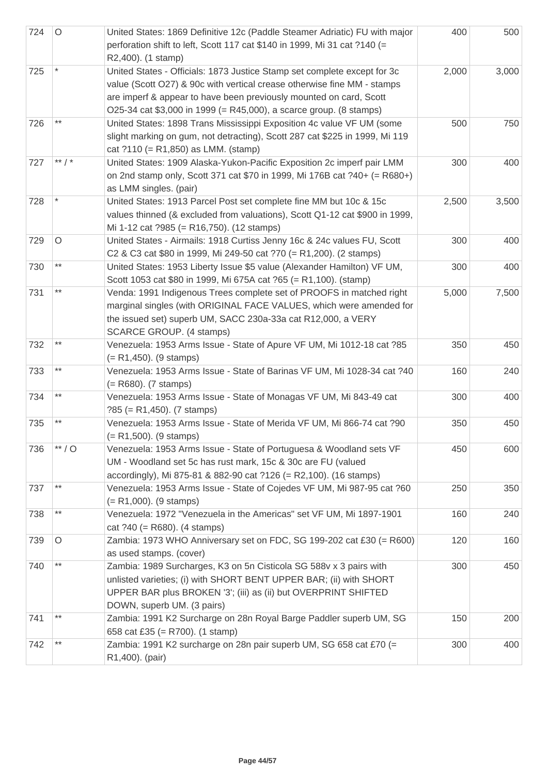| 724 | $\circ$           | United States: 1869 Definitive 12c (Paddle Steamer Adriatic) FU with major<br>perforation shift to left, Scott 117 cat \$140 in 1999, Mi 31 cat ?140 (=<br>R2,400). (1 stamp)                                                                                                                   | 400   | 500   |
|-----|-------------------|-------------------------------------------------------------------------------------------------------------------------------------------------------------------------------------------------------------------------------------------------------------------------------------------------|-------|-------|
| 725 |                   | United States - Officials: 1873 Justice Stamp set complete except for 3c<br>value (Scott O27) & 90c with vertical crease otherwise fine MM - stamps<br>are imperf & appear to have been previously mounted on card, Scott<br>O25-34 cat \$3,000 in 1999 (= R45,000), a scarce group. (8 stamps) | 2,000 | 3,000 |
| 726 | $***$             | United States: 1898 Trans Mississippi Exposition 4c value VF UM (some<br>slight marking on gum, not detracting), Scott 287 cat \$225 in 1999, Mi 119<br>cat $?110 (= R1,850)$ as LMM. (stamp)                                                                                                   | 500   | 750   |
| 727 | ** $/$ *          | United States: 1909 Alaska-Yukon-Pacific Exposition 2c imperf pair LMM<br>on 2nd stamp only, Scott 371 cat \$70 in 1999, Mi 176B cat ?40+ (= R680+)<br>as LMM singles. (pair)                                                                                                                   | 300   | 400   |
| 728 |                   | United States: 1913 Parcel Post set complete fine MM but 10c & 15c<br>values thinned (& excluded from valuations), Scott Q1-12 cat \$900 in 1999,<br>Mi 1-12 cat ?985 (= R16,750). (12 stamps)                                                                                                  | 2,500 | 3,500 |
| 729 | O                 | United States - Airmails: 1918 Curtiss Jenny 16c & 24c values FU, Scott<br>C2 & C3 cat \$80 in 1999, Mi 249-50 cat ?70 (= R1,200). (2 stamps)                                                                                                                                                   | 300   | 400   |
| 730 | $***$             | United States: 1953 Liberty Issue \$5 value (Alexander Hamilton) VF UM,<br>Scott 1053 cat \$80 in 1999, Mi 675A cat ?65 (= R1,100). (stamp)                                                                                                                                                     | 300   | 400   |
| 731 | $***$             | Venda: 1991 Indigenous Trees complete set of PROOFS in matched right<br>marginal singles (with ORIGINAL FACE VALUES, which were amended for<br>the issued set) superb UM, SACC 230a-33a cat R12,000, a VERY<br>SCARCE GROUP. (4 stamps)                                                         | 5,000 | 7,500 |
| 732 | $***$             | Venezuela: 1953 Arms Issue - State of Apure VF UM, Mi 1012-18 cat ?85<br>$(= R1,450)$ . (9 stamps)                                                                                                                                                                                              | 350   | 450   |
| 733 | $***$             | Venezuela: 1953 Arms Issue - State of Barinas VF UM, Mi 1028-34 cat ?40<br>$(= R680)$ . (7 stamps)                                                                                                                                                                                              | 160   | 240   |
| 734 | $***$             | Venezuela: 1953 Arms Issue - State of Monagas VF UM, Mi 843-49 cat<br>$?85 (= R1,450)$ . (7 stamps)                                                                                                                                                                                             | 300   | 400   |
| 735 | $***$             | Venezuela: 1953 Arms Issue - State of Merida VF UM, Mi 866-74 cat ?90<br>$(= R1,500)$ . (9 stamps)                                                                                                                                                                                              | 350   | 450   |
| 736 | $^{\ast\ast}$ / O | Venezuela: 1953 Arms Issue - State of Portuguesa & Woodland sets VF<br>UM - Woodland set 5c has rust mark, 15c & 30c are FU (valued<br>accordingly), Mi 875-81 & 882-90 cat ?126 (= R2,100). (16 stamps)                                                                                        | 450   | 600   |
| 737 | $^{\star\star}$   | Venezuela: 1953 Arms Issue - State of Cojedes VF UM, Mi 987-95 cat ?60<br>$(= R1,000)$ . (9 stamps)                                                                                                                                                                                             | 250   | 350   |
| 738 | $***$             | Venezuela: 1972 "Venezuela in the Americas" set VF UM, Mi 1897-1901<br>cat $?40 (= R680)$ . (4 stamps)                                                                                                                                                                                          | 160   | 240   |
| 739 | $\circ$           | Zambia: 1973 WHO Anniversary set on FDC, SG 199-202 cat £30 (= R600)<br>as used stamps. (cover)                                                                                                                                                                                                 | 120   | 160   |
| 740 | $***$             | Zambia: 1989 Surcharges, K3 on 5n Cisticola SG 588v x 3 pairs with<br>unlisted varieties; (i) with SHORT BENT UPPER BAR; (ii) with SHORT<br>UPPER BAR plus BROKEN '3'; (iii) as (ii) but OVERPRINT SHIFTED<br>DOWN, superb UM. (3 pairs)                                                        | 300   | 450   |
| 741 | $***$             | Zambia: 1991 K2 Surcharge on 28n Royal Barge Paddler superb UM, SG<br>658 cat £35 (= R700). (1 stamp)                                                                                                                                                                                           | 150   | 200   |
| 742 | $***$             | Zambia: 1991 K2 surcharge on 28n pair superb UM, SG 658 cat £70 (=<br>R1,400). (pair)                                                                                                                                                                                                           | 300   | 400   |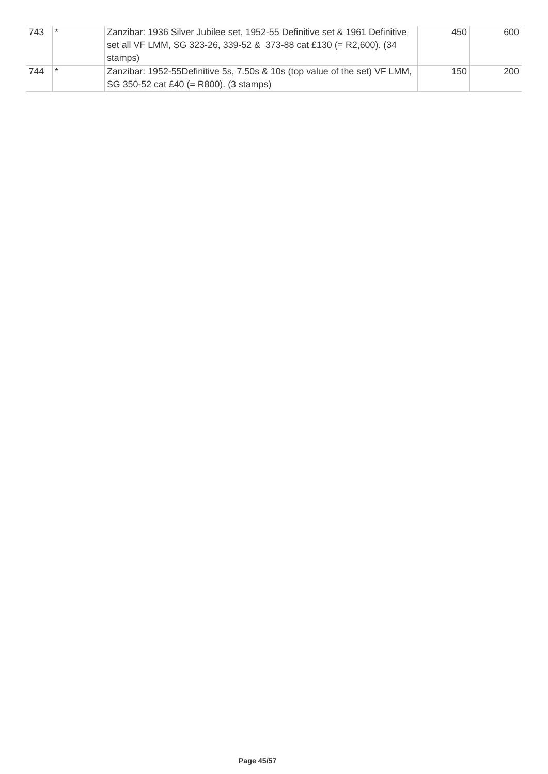| 743 | Zanzibar: 1936 Silver Jubilee set, 1952-55 Definitive set & 1961 Definitive<br>set all VF LMM, SG 323-26, 339-52 & 373-88 cat £130 (= R2,600). (34<br>stamps) | 450 | 600 |
|-----|---------------------------------------------------------------------------------------------------------------------------------------------------------------|-----|-----|
| 744 | Zanzibar: 1952-55Definitive 5s, 7.50s & 10s (top value of the set) VF LMM,<br>SG 350-52 cat £40 (= R800). (3 stamps)                                          | 150 | 200 |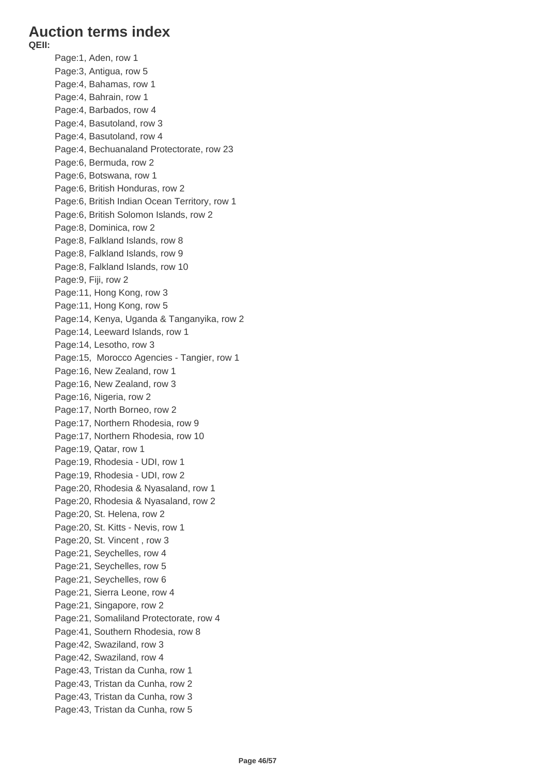## **Auction terms index**

**QEII:**

Page:1, Aden, row 1 Page:3, Antigua, row 5 Page:4, Bahamas, row 1 Page:4, Bahrain, row 1 Page:4, Barbados, row 4 Page:4, Basutoland, row 3 Page:4, Basutoland, row 4 Page:4, Bechuanaland Protectorate, row 23 Page:6, Bermuda, row 2 Page:6, Botswana, row 1 Page:6, British Honduras, row 2 Page:6, British Indian Ocean Territory, row 1 Page:6, British Solomon Islands, row 2 Page:8, Dominica, row 2 Page:8, Falkland Islands, row 8 Page:8, Falkland Islands, row 9 Page:8, Falkland Islands, row 10 Page:9, Fiji, row 2 Page:11, Hong Kong, row 3 Page:11, Hong Kong, row 5 Page:14, Kenya, Uganda & Tanganyika, row 2 Page:14, Leeward Islands, row 1 Page:14, Lesotho, row 3 Page:15, Morocco Agencies - Tangier, row 1 Page:16, New Zealand, row 1 Page:16, New Zealand, row 3 Page:16, Nigeria, row 2 Page:17, North Borneo, row 2 Page:17, Northern Rhodesia, row 9 Page:17, Northern Rhodesia, row 10 Page:19, Qatar, row 1 Page:19, Rhodesia - UDI, row 1 Page:19, Rhodesia - UDI, row 2 Page:20, Rhodesia & Nyasaland, row 1 Page:20, Rhodesia & Nyasaland, row 2 Page:20, St. Helena, row 2 Page:20, St. Kitts - Nevis, row 1 Page:20, St. Vincent , row 3 Page:21, Seychelles, row 4 Page:21, Seychelles, row 5 Page:21, Seychelles, row 6 Page:21, Sierra Leone, row 4 Page:21, Singapore, row 2 Page:21, Somaliland Protectorate, row 4 Page:41, Southern Rhodesia, row 8 Page:42, Swaziland, row 3 Page:42, Swaziland, row 4 Page:43, Tristan da Cunha, row 1 Page:43, Tristan da Cunha, row 2 Page:43, Tristan da Cunha, row 3 Page:43, Tristan da Cunha, row 5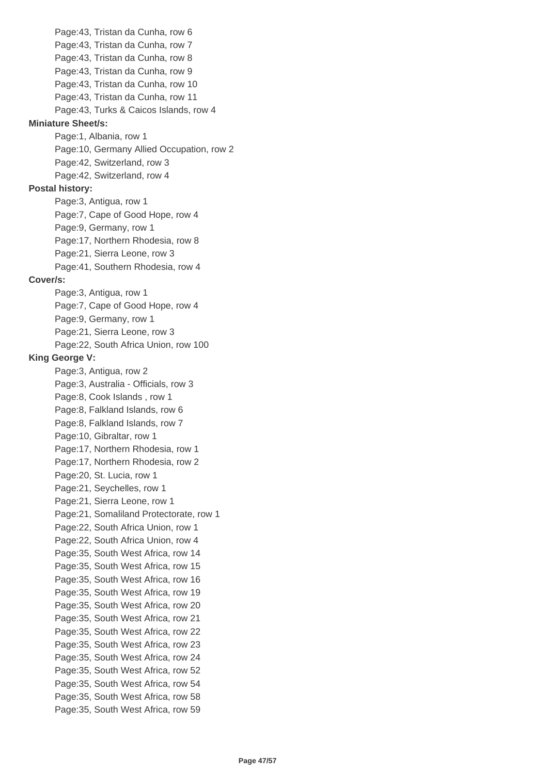Page:43, Tristan da Cunha, row 6 Page:43, Tristan da Cunha, row 7 Page:43, Tristan da Cunha, row 8 Page:43, Tristan da Cunha, row 9 Page:43, Tristan da Cunha, row 10 Page:43, Tristan da Cunha, row 11 Page:43, Turks & Caicos Islands, row 4 **Miniature Sheet/s:** Page:1, Albania, row 1 Page:10, Germany Allied Occupation, row 2 Page:42, Switzerland, row 3 Page:42, Switzerland, row 4 **Postal history:** Page:3, Antigua, row 1 Page:7, Cape of Good Hope, row 4 Page:9, Germany, row 1 Page:17, Northern Rhodesia, row 8 Page:21, Sierra Leone, row 3 Page:41, Southern Rhodesia, row 4 **Cover/s:** Page:3, Antigua, row 1 Page:7, Cape of Good Hope, row 4 Page:9, Germany, row 1 Page:21, Sierra Leone, row 3 Page:22, South Africa Union, row 100 **King George V:** Page:3, Antigua, row 2 Page:3, Australia - Officials, row 3 Page:8, Cook Islands , row 1 Page:8, Falkland Islands, row 6 Page:8, Falkland Islands, row 7 Page:10, Gibraltar, row 1 Page:17, Northern Rhodesia, row 1 Page:17, Northern Rhodesia, row 2 Page:20, St. Lucia, row 1 Page:21, Seychelles, row 1 Page:21, Sierra Leone, row 1 Page:21, Somaliland Protectorate, row 1 Page:22, South Africa Union, row 1 Page:22, South Africa Union, row 4 Page:35, South West Africa, row 14 Page:35, South West Africa, row 15 Page:35, South West Africa, row 16 Page:35, South West Africa, row 19 Page:35, South West Africa, row 20 Page:35, South West Africa, row 21 Page:35, South West Africa, row 22 Page:35, South West Africa, row 23 Page:35, South West Africa, row 24 Page:35, South West Africa, row 52 Page:35, South West Africa, row 54 Page:35, South West Africa, row 58 Page:35, South West Africa, row 59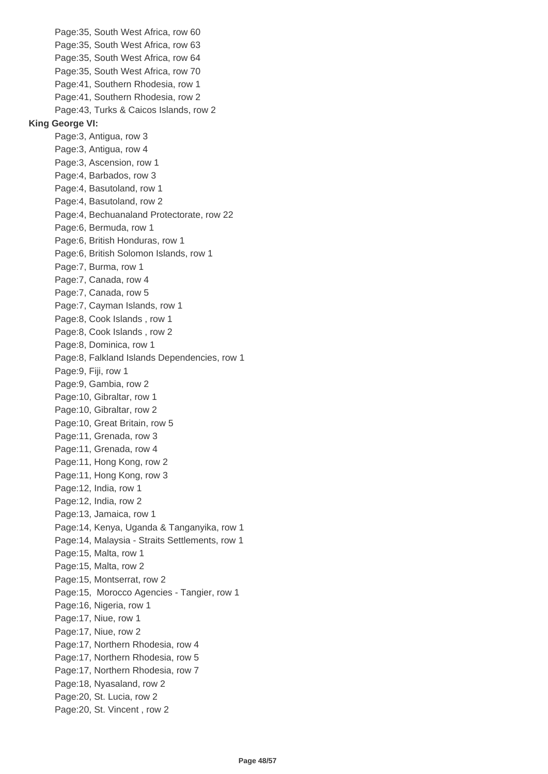Page:35, South West Africa, row 60 Page:35, South West Africa, row 63 Page:35, South West Africa, row 64 Page:35, South West Africa, row 70 Page:41, Southern Rhodesia, row 1 Page:41, Southern Rhodesia, row 2 Page:43, Turks & Caicos Islands, row 2 **King George VI:** Page:3, Antigua, row 3 Page:3, Antigua, row 4 Page:3, Ascension, row 1 Page:4, Barbados, row 3 Page:4, Basutoland, row 1 Page:4, Basutoland, row 2 Page:4, Bechuanaland Protectorate, row 22 Page:6, Bermuda, row 1 Page:6, British Honduras, row 1 Page:6, British Solomon Islands, row 1 Page:7, Burma, row 1 Page:7, Canada, row 4 Page:7, Canada, row 5 Page:7, Cayman Islands, row 1 Page:8, Cook Islands , row 1 Page:8, Cook Islands , row 2 Page:8, Dominica, row 1 Page:8, Falkland Islands Dependencies, row 1 Page:9, Fiji, row 1 Page:9, Gambia, row 2 Page:10, Gibraltar, row 1 Page:10, Gibraltar, row 2 Page:10, Great Britain, row 5 Page:11, Grenada, row 3 Page:11, Grenada, row 4 Page:11, Hong Kong, row 2 Page:11, Hong Kong, row 3 Page:12, India, row 1 Page:12, India, row 2 Page:13, Jamaica, row 1 Page:14, Kenya, Uganda & Tanganyika, row 1 Page:14, Malaysia - Straits Settlements, row 1 Page:15, Malta, row 1 Page:15, Malta, row 2 Page:15, Montserrat, row 2 Page:15, Morocco Agencies - Tangier, row 1 Page:16, Nigeria, row 1 Page:17, Niue, row 1 Page:17, Niue, row 2 Page:17, Northern Rhodesia, row 4 Page:17, Northern Rhodesia, row 5 Page:17, Northern Rhodesia, row 7 Page:18, Nyasaland, row 2 Page:20, St. Lucia, row 2 Page:20, St. Vincent , row 2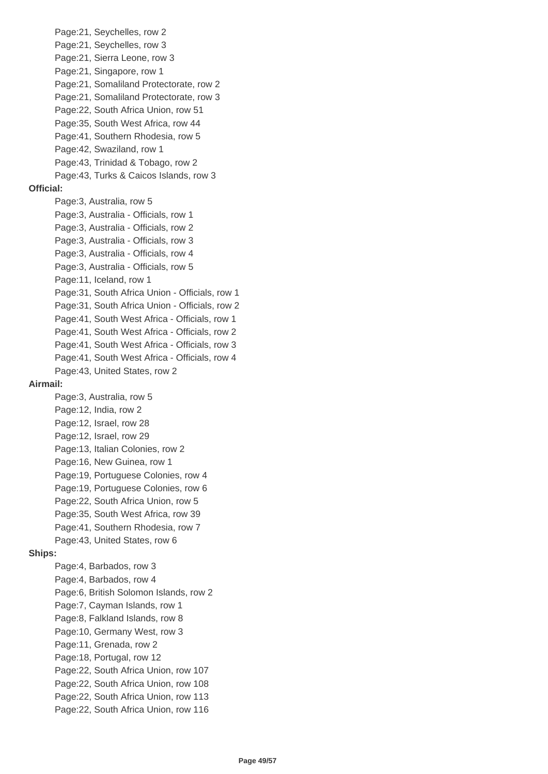Page:21, Seychelles, row 2 Page:21, Seychelles, row 3 Page:21, Sierra Leone, row 3 Page:21, Singapore, row 1 Page:21, Somaliland Protectorate, row 2 Page:21, Somaliland Protectorate, row 3 Page:22, South Africa Union, row 51 Page:35, South West Africa, row 44 Page:41, Southern Rhodesia, row 5 Page:42, Swaziland, row 1 Page:43, Trinidad & Tobago, row 2 Page:43, Turks & Caicos Islands, row 3 **Official:** Page:3, Australia, row 5 Page:3, Australia - Officials, row 1 Page:3, Australia - Officials, row 2 Page:3, Australia - Officials, row 3 Page:3, Australia - Officials, row 4 Page:3, Australia - Officials, row 5 Page:11, Iceland, row 1 Page:31, South Africa Union - Officials, row 1 Page:31, South Africa Union - Officials, row 2 Page:41, South West Africa - Officials, row 1 Page:41, South West Africa - Officials, row 2 Page:41, South West Africa - Officials, row 3 Page:41, South West Africa - Officials, row 4 Page:43, United States, row 2 **Airmail:** Page:3, Australia, row 5 Page:12, India, row 2 Page:12, Israel, row 28 Page:12, Israel, row 29 Page:13, Italian Colonies, row 2 Page:16, New Guinea, row 1 Page:19, Portuguese Colonies, row 4 Page:19, Portuguese Colonies, row 6 Page:22, South Africa Union, row 5 Page:35, South West Africa, row 39 Page:41, Southern Rhodesia, row 7 Page:43, United States, row 6 **Ships:** Page:4, Barbados, row 3 Page:4, Barbados, row 4 Page:6, British Solomon Islands, row 2 Page:7, Cayman Islands, row 1 Page:8, Falkland Islands, row 8 Page:10, Germany West, row 3 Page:11, Grenada, row 2 Page:18, Portugal, row 12 Page:22, South Africa Union, row 107 Page:22, South Africa Union, row 108 Page:22, South Africa Union, row 113 Page:22, South Africa Union, row 116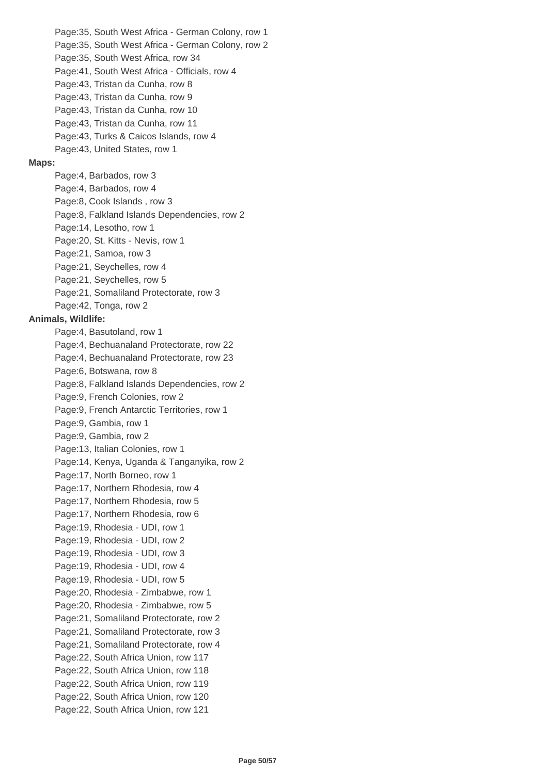Page:35, South West Africa - German Colony, row 1 Page:35, South West Africa - German Colony, row 2 Page:35, South West Africa, row 34 Page:41, South West Africa - Officials, row 4 Page:43, Tristan da Cunha, row 8 Page:43, Tristan da Cunha, row 9 Page:43, Tristan da Cunha, row 10 Page:43, Tristan da Cunha, row 11 Page:43, Turks & Caicos Islands, row 4 Page:43, United States, row 1 **Maps:** Page:4, Barbados, row 3 Page:4, Barbados, row 4 Page:8, Cook Islands , row 3 Page:8, Falkland Islands Dependencies, row 2 Page:14, Lesotho, row 1 Page:20, St. Kitts - Nevis, row 1 Page:21, Samoa, row 3 Page:21, Seychelles, row 4 Page:21, Seychelles, row 5 Page:21, Somaliland Protectorate, row 3 Page:42, Tonga, row 2 **Animals, Wildlife:** Page:4, Basutoland, row 1 Page:4, Bechuanaland Protectorate, row 22 Page:4, Bechuanaland Protectorate, row 23 Page:6, Botswana, row 8 Page:8, Falkland Islands Dependencies, row 2 Page:9, French Colonies, row 2 Page:9, French Antarctic Territories, row 1 Page:9, Gambia, row 1 Page:9, Gambia, row 2 Page:13, Italian Colonies, row 1 Page:14, Kenya, Uganda & Tanganyika, row 2 Page:17, North Borneo, row 1 Page:17, Northern Rhodesia, row 4 Page:17, Northern Rhodesia, row 5 Page:17, Northern Rhodesia, row 6 Page:19, Rhodesia - UDI, row 1 Page:19, Rhodesia - UDI, row 2 Page:19, Rhodesia - UDI, row 3 Page:19, Rhodesia - UDI, row 4 Page:19, Rhodesia - UDI, row 5 Page:20, Rhodesia - Zimbabwe, row 1 Page:20, Rhodesia - Zimbabwe, row 5 Page:21, Somaliland Protectorate, row 2 Page:21, Somaliland Protectorate, row 3 Page:21, Somaliland Protectorate, row 4 Page:22, South Africa Union, row 117 Page:22, South Africa Union, row 118 Page:22, South Africa Union, row 119 Page:22, South Africa Union, row 120 Page:22, South Africa Union, row 121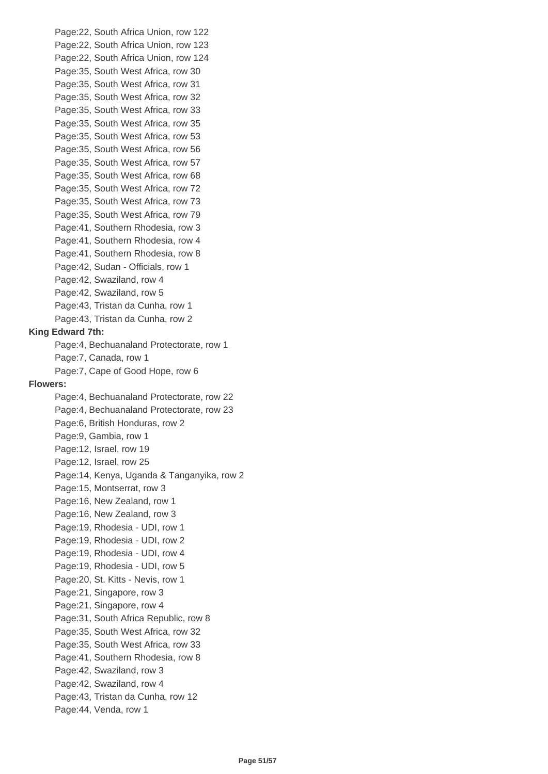Page:22, South Africa Union, row 122 Page:22, South Africa Union, row 123 Page:22, South Africa Union, row 124 Page:35, South West Africa, row 30 Page:35, South West Africa, row 31 Page:35, South West Africa, row 32 Page:35, South West Africa, row 33 Page:35, South West Africa, row 35 Page:35, South West Africa, row 53 Page:35, South West Africa, row 56 Page:35, South West Africa, row 57 Page:35, South West Africa, row 68 Page:35, South West Africa, row 72 Page:35, South West Africa, row 73 Page:35, South West Africa, row 79 Page:41, Southern Rhodesia, row 3 Page:41, Southern Rhodesia, row 4 Page:41, Southern Rhodesia, row 8 Page:42, Sudan - Officials, row 1 Page:42, Swaziland, row 4 Page:42, Swaziland, row 5 Page:43, Tristan da Cunha, row 1 Page:43, Tristan da Cunha, row 2 **King Edward 7th:** Page:4, Bechuanaland Protectorate, row 1 Page:7, Canada, row 1 Page:7, Cape of Good Hope, row 6 **Flowers:** Page:4, Bechuanaland Protectorate, row 22 Page:4, Bechuanaland Protectorate, row 23 Page:6, British Honduras, row 2 Page:9, Gambia, row 1 Page:12, Israel, row 19 Page:12, Israel, row 25 Page:14, Kenya, Uganda & Tanganyika, row 2 Page:15, Montserrat, row 3 Page:16, New Zealand, row 1 Page:16, New Zealand, row 3 Page:19, Rhodesia - UDI, row 1 Page:19, Rhodesia - UDI, row 2 Page:19, Rhodesia - UDI, row 4 Page:19, Rhodesia - UDI, row 5 Page:20, St. Kitts - Nevis, row 1 Page:21, Singapore, row 3 Page:21, Singapore, row 4 Page:31, South Africa Republic, row 8 Page:35, South West Africa, row 32 Page:35, South West Africa, row 33 Page:41, Southern Rhodesia, row 8 Page:42, Swaziland, row 3 Page:42, Swaziland, row 4 Page:43, Tristan da Cunha, row 12 Page:44, Venda, row 1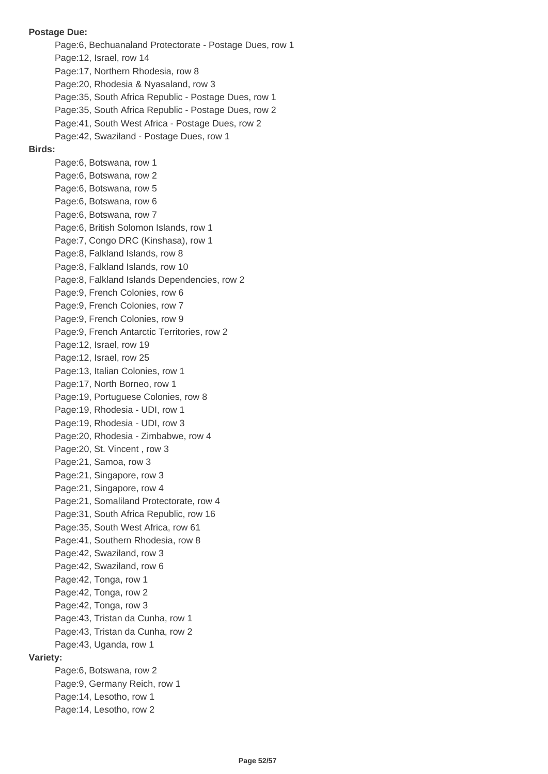Page:6, Bechuanaland Protectorate - Postage Dues, row 1 Page:12, Israel, row 14 Page:17, Northern Rhodesia, row 8 Page:20, Rhodesia & Nyasaland, row 3 Page:35, South Africa Republic - Postage Dues, row 1 Page:35, South Africa Republic - Postage Dues, row 2 Page:41, South West Africa - Postage Dues, row 2 Page:42, Swaziland - Postage Dues, row 1 **Birds:** Page:6, Botswana, row 1 Page:6, Botswana, row 2 Page:6, Botswana, row 5 Page:6, Botswana, row 6 Page:6, Botswana, row 7 Page:6, British Solomon Islands, row 1 Page:7, Congo DRC (Kinshasa), row 1 Page:8, Falkland Islands, row 8 Page:8, Falkland Islands, row 10 Page:8, Falkland Islands Dependencies, row 2 Page:9, French Colonies, row 6 Page:9, French Colonies, row 7 Page:9, French Colonies, row 9 Page:9, French Antarctic Territories, row 2 Page:12, Israel, row 19 Page:12, Israel, row 25 Page:13, Italian Colonies, row 1 Page:17, North Borneo, row 1 Page:19, Portuguese Colonies, row 8 Page:19, Rhodesia - UDI, row 1 Page:19, Rhodesia - UDI, row 3 Page:20, Rhodesia - Zimbabwe, row 4 Page:20, St. Vincent , row 3 Page:21, Samoa, row 3 Page:21, Singapore, row 3 Page:21, Singapore, row 4 Page:21, Somaliland Protectorate, row 4 Page:31, South Africa Republic, row 16 Page:35, South West Africa, row 61 Page:41, Southern Rhodesia, row 8 Page:42, Swaziland, row 3 Page:42, Swaziland, row 6 Page:42, Tonga, row 1 Page:42, Tonga, row 2 Page:42, Tonga, row 3 Page:43, Tristan da Cunha, row 1 Page:43, Tristan da Cunha, row 2 Page:43, Uganda, row 1 **Variety:** Page:6, Botswana, row 2 Page:9, Germany Reich, row 1 Page:14, Lesotho, row 1 Page:14, Lesotho, row 2

**Postage Due:**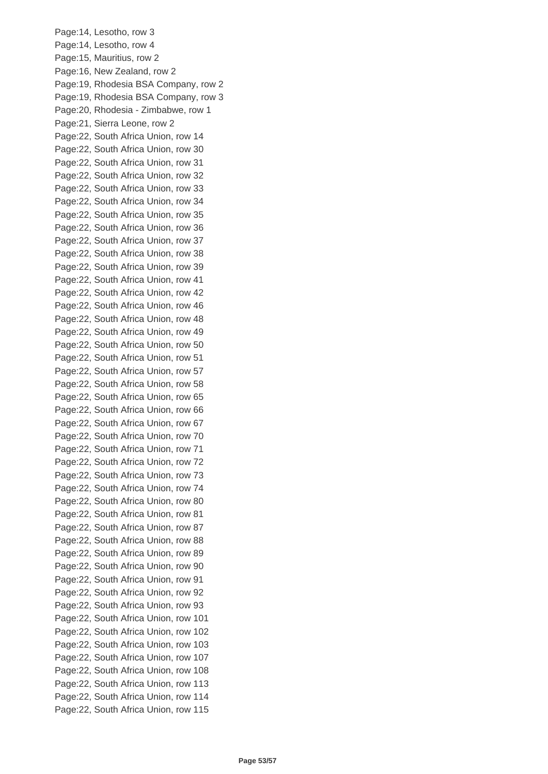Page:14, Lesotho, row 3 Page:14, Lesotho, row 4 Page:15, Mauritius, row 2 Page:16, New Zealand, row 2 Page:19, Rhodesia BSA Company, row 2 Page:19, Rhodesia BSA Company, row 3 Page:20, Rhodesia - Zimbabwe, row 1 Page:21, Sierra Leone, row 2 Page:22, South Africa Union, row 14 Page:22, South Africa Union, row 30 Page:22, South Africa Union, row 31 Page:22, South Africa Union, row 32 Page:22, South Africa Union, row 33 Page:22, South Africa Union, row 34 Page:22, South Africa Union, row 35 Page:22, South Africa Union, row 36 Page:22, South Africa Union, row 37 Page:22, South Africa Union, row 38 Page:22, South Africa Union, row 39 Page:22, South Africa Union, row 41 Page:22, South Africa Union, row 42 Page:22, South Africa Union, row 46 Page:22, South Africa Union, row 48 Page:22, South Africa Union, row 49 Page:22, South Africa Union, row 50 Page:22, South Africa Union, row 51 Page:22, South Africa Union, row 57 Page:22, South Africa Union, row 58 Page:22, South Africa Union, row 65 Page:22, South Africa Union, row 66 Page:22, South Africa Union, row 67 Page:22, South Africa Union, row 70 Page:22, South Africa Union, row 71 Page:22, South Africa Union, row 72 Page:22, South Africa Union, row 73 Page:22, South Africa Union, row 74 Page:22, South Africa Union, row 80 Page:22, South Africa Union, row 81 Page:22, South Africa Union, row 87 Page:22, South Africa Union, row 88 Page:22, South Africa Union, row 89 Page:22, South Africa Union, row 90 Page:22, South Africa Union, row 91 Page:22, South Africa Union, row 92 Page:22, South Africa Union, row 93 Page:22, South Africa Union, row 101 Page:22, South Africa Union, row 102 Page:22, South Africa Union, row 103 Page:22, South Africa Union, row 107 Page:22, South Africa Union, row 108 Page:22, South Africa Union, row 113 Page:22, South Africa Union, row 114 Page:22, South Africa Union, row 115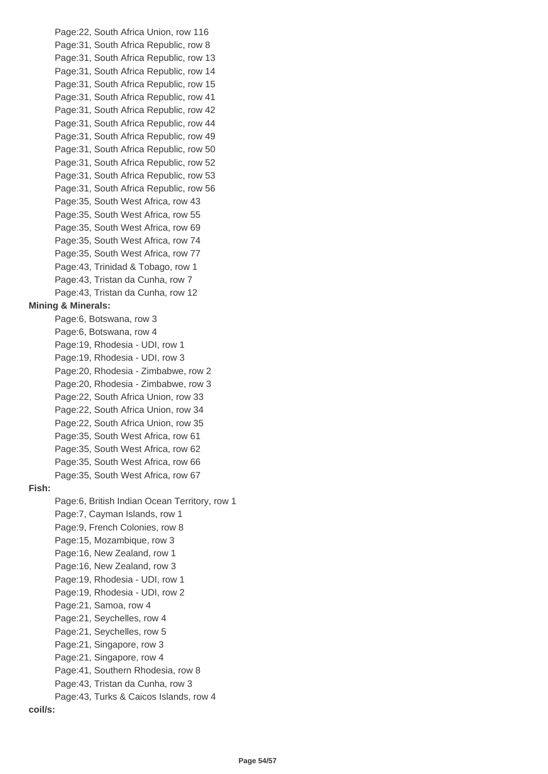Page:22, South Africa Union, row 116 Page:31, South Africa Republic, row 8 Page:31, South Africa Republic, row 13 Page:31, South Africa Republic, row 14 Page:31, South Africa Republic, row 15 Page:31, South Africa Republic, row 41 Page:31, South Africa Republic, row 42 Page:31, South Africa Republic, row 44 Page:31, South Africa Republic, row 49 Page:31, South Africa Republic, row 50 Page:31, South Africa Republic, row 52 Page:31, South Africa Republic, row 53 Page:31, South Africa Republic, row 56 Page:35, South West Africa, row 43 Page:35, South West Africa, row 55 Page:35, South West Africa, row 69 Page:35, South West Africa, row 74 Page:35, South West Africa, row 77 Page:43, Trinidad & Tobago, row 1 Page:43, Tristan da Cunha, row 7 Page:43, Tristan da Cunha, row 12 **Mining & Minerals:** Page:6, Botswana, row 3 Page:6, Botswana, row 4 Page:19, Rhodesia - UDI, row 1 Page:19, Rhodesia - UDI, row 3 Page:20, Rhodesia - Zimbabwe, row 2 Page:20, Rhodesia - Zimbabwe, row 3 Page:22, South Africa Union, row 33 Page:22, South Africa Union, row 34 Page:22, South Africa Union, row 35 Page:35, South West Africa, row 61 Page:35, South West Africa, row 62 Page:35, South West Africa, row 66 Page:35, South West Africa, row 67 **Fish:** Page:6, British Indian Ocean Territory, row 1 Page:7, Cayman Islands, row 1 Page:9, French Colonies, row 8 Page:15, Mozambique, row 3 Page:16, New Zealand, row 1 Page:16, New Zealand, row 3 Page:19, Rhodesia - UDI, row 1 Page:19, Rhodesia - UDI, row 2 Page:21, Samoa, row 4 Page:21, Seychelles, row 4 Page:21, Seychelles, row 5 Page:21, Singapore, row 3 Page:21, Singapore, row 4 Page:41, Southern Rhodesia, row 8 Page:43, Tristan da Cunha, row 3 Page:43, Turks & Caicos Islands, row 4 **coil/s:**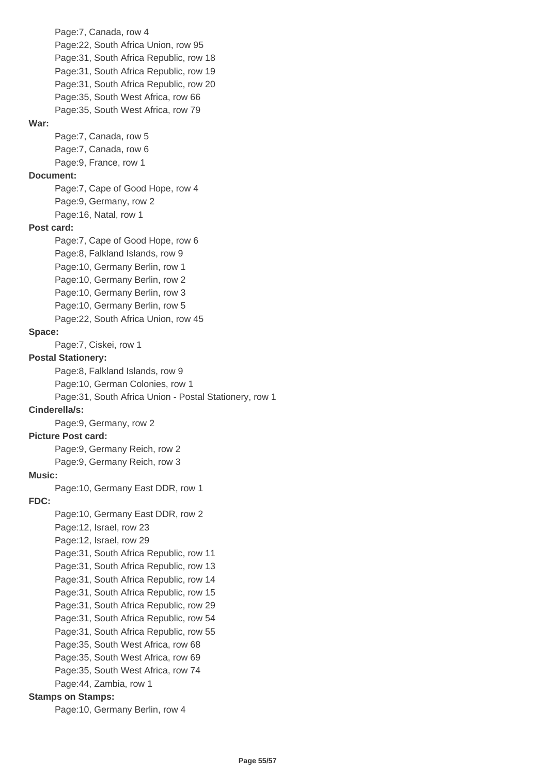Page:7, Canada, row 4 Page:22, South Africa Union, row 95 Page:31, South Africa Republic, row 18 Page:31, South Africa Republic, row 19 Page:31, South Africa Republic, row 20 Page:35, South West Africa, row 66 Page:35, South West Africa, row 79 **War:** Page:7, Canada, row 5 Page:7, Canada, row 6 Page:9, France, row 1 **Document:** Page:7, Cape of Good Hope, row 4 Page:9, Germany, row 2 Page:16, Natal, row 1 **Post card:** Page:7, Cape of Good Hope, row 6 Page:8, Falkland Islands, row 9 Page:10, Germany Berlin, row 1 Page:10, Germany Berlin, row 2 Page:10, Germany Berlin, row 3 Page:10, Germany Berlin, row 5 Page:22, South Africa Union, row 45 **Space:** Page:7, Ciskei, row 1 **Postal Stationery:** Page:8, Falkland Islands, row 9 Page:10, German Colonies, row 1 Page:31, South Africa Union - Postal Stationery, row 1 **Cinderella/s:** Page:9, Germany, row 2 **Picture Post card:** Page:9, Germany Reich, row 2 Page:9, Germany Reich, row 3 **Music:** Page:10, Germany East DDR, row 1 **FDC:** Page:10, Germany East DDR, row 2 Page:12, Israel, row 23 Page:12, Israel, row 29 Page:31, South Africa Republic, row 11 Page:31, South Africa Republic, row 13 Page:31, South Africa Republic, row 14 Page:31, South Africa Republic, row 15 Page:31, South Africa Republic, row 29 Page:31, South Africa Republic, row 54 Page:31, South Africa Republic, row 55 Page:35, South West Africa, row 68 Page:35, South West Africa, row 69 Page:35, South West Africa, row 74 Page:44, Zambia, row 1 **Stamps on Stamps:** Page:10, Germany Berlin, row 4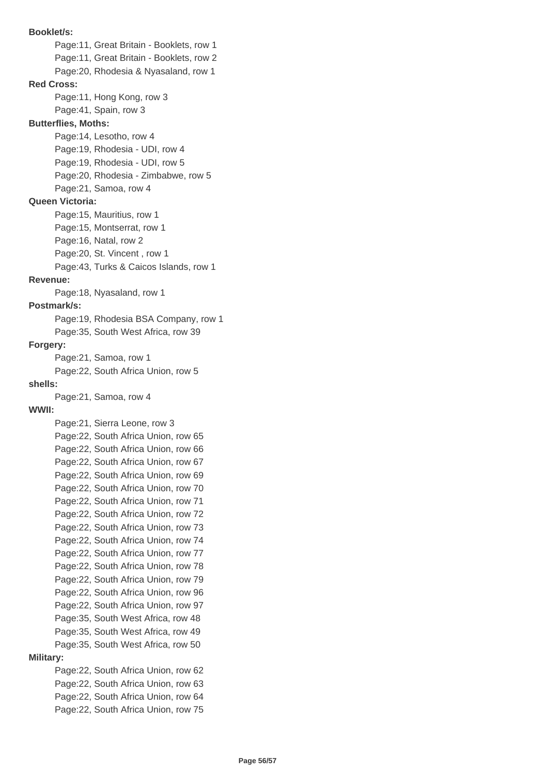**Booklet/s:** Page:11, Great Britain - Booklets, row 1 Page:11, Great Britain - Booklets, row 2 Page:20, Rhodesia & Nyasaland, row 1 **Red Cross:** Page:11, Hong Kong, row 3 Page:41, Spain, row 3 **Butterflies, Moths:** Page:14, Lesotho, row 4 Page:19, Rhodesia - UDI, row 4 Page:19, Rhodesia - UDI, row 5 Page:20, Rhodesia - Zimbabwe, row 5 Page:21, Samoa, row 4 **Queen Victoria:** Page:15, Mauritius, row 1 Page:15, Montserrat, row 1 Page:16, Natal, row 2 Page:20, St. Vincent , row 1 Page:43, Turks & Caicos Islands, row 1 **Revenue:** Page:18, Nyasaland, row 1 **Postmark/s:** Page:19, Rhodesia BSA Company, row 1 Page:35, South West Africa, row 39 **Forgery:** Page:21, Samoa, row 1 Page:22, South Africa Union, row 5 **shells:** Page:21, Samoa, row 4 **WWII:** Page:21, Sierra Leone, row 3 Page:22, South Africa Union, row 65 Page:22, South Africa Union, row 66 Page:22, South Africa Union, row 67 Page:22, South Africa Union, row 69 Page:22, South Africa Union, row 70 Page:22, South Africa Union, row 71 Page:22, South Africa Union, row 72 Page:22, South Africa Union, row 73 Page:22, South Africa Union, row 74 Page:22, South Africa Union, row 77 Page:22, South Africa Union, row 78 Page:22, South Africa Union, row 79 Page:22, South Africa Union, row 96 Page:22, South Africa Union, row 97 Page:35, South West Africa, row 48 Page:35, South West Africa, row 49 Page:35, South West Africa, row 50 **Military:** Page:22, South Africa Union, row 62 Page:22, South Africa Union, row 63 Page:22, South Africa Union, row 64 Page:22, South Africa Union, row 75